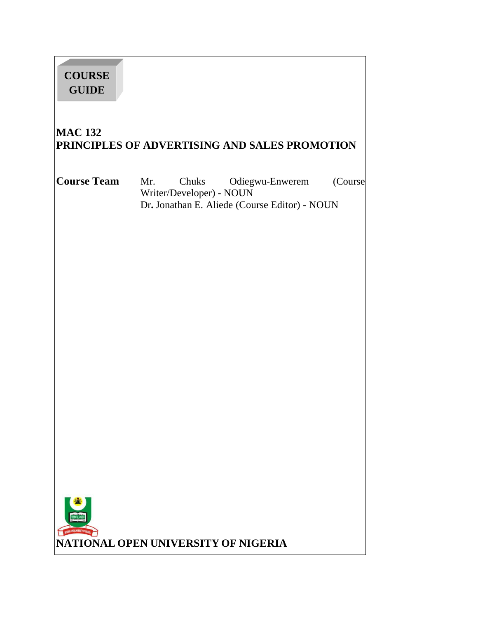| <b>COURSE</b><br><b>GUIDE</b>     |                                                                                                              |         |
|-----------------------------------|--------------------------------------------------------------------------------------------------------------|---------|
| <b>MAC 132</b>                    | PRINCIPLES OF ADVERTISING AND SALES PROMOTION                                                                |         |
| <b>Course Team</b>                | Chuks<br>Odiegwu-Enwerem<br>Mr.<br>Writer/Developer) - NOUN<br>Dr. Jonathan E. Aliede (Course Editor) - NOUN | (Course |
| LATIONAL OPEN UNIVERSITY OF NIGER | NATIONAL OPEN UNIVERSITY OF NIGERIA                                                                          |         |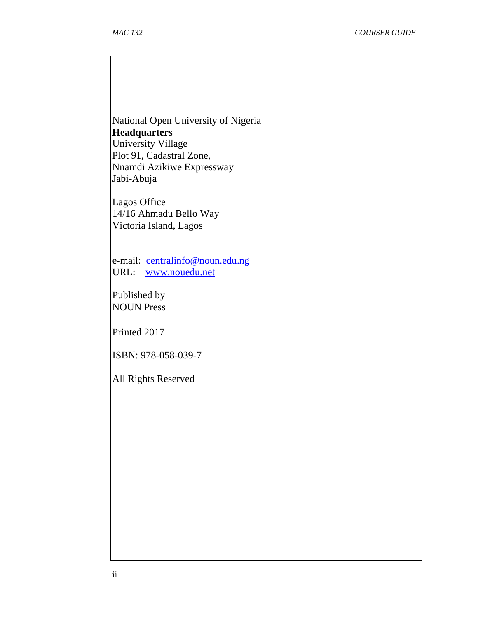National Open University of Nigeria **Headquarters**  University Village Plot 91, Cadastral Zone, Nnamdi Azikiwe Expressway Jabi-Abuja

Lagos Office 14/16 Ahmadu Bello Way Victoria Island, Lagos

e-mail: centralinfo@noun.edu.ng URL: www.nouedu.net

Published by NOUN Press

Printed 2017

ISBN: 978-058-039-7

All Rights Reserved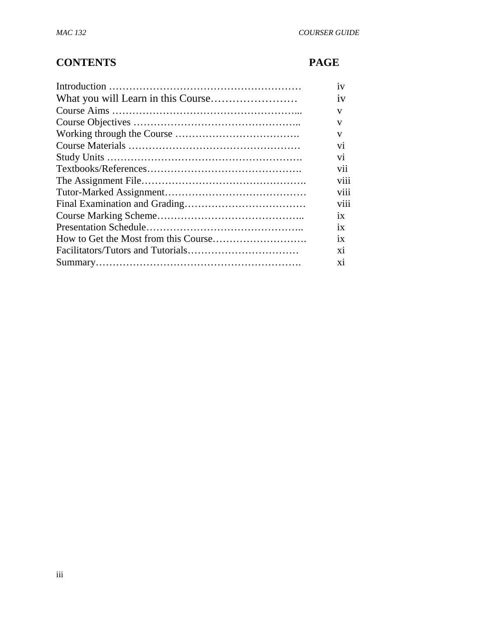# **CONTENTS PAGE**

| 1V                      |
|-------------------------|
| 1V                      |
| V                       |
| V                       |
| v                       |
| V <sub>1</sub>          |
| $\overline{\mathbf{v}}$ |
| vii                     |
| V <sub>111</sub>        |
| viii                    |
| V <sub>111</sub>        |
| 1X                      |
| 1X                      |
| 1X                      |
| X1                      |
| X1                      |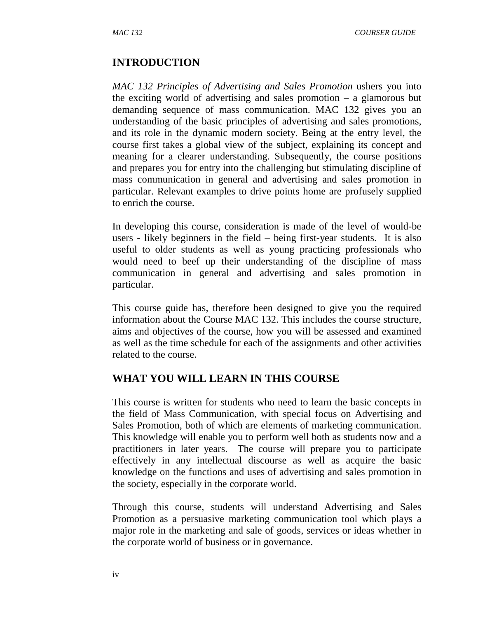#### **INTRODUCTION**

*MAC 132 Principles of Advertising and Sales Promotion* ushers you into the exciting world of advertising and sales promotion – a glamorous but demanding sequence of mass communication. MAC 132 gives you an understanding of the basic principles of advertising and sales promotions, and its role in the dynamic modern society. Being at the entry level, the course first takes a global view of the subject, explaining its concept and meaning for a clearer understanding. Subsequently, the course positions and prepares you for entry into the challenging but stimulating discipline of mass communication in general and advertising and sales promotion in particular. Relevant examples to drive points home are profusely supplied to enrich the course.

In developing this course, consideration is made of the level of would-be users - likely beginners in the field – being first-year students. It is also useful to older students as well as young practicing professionals who would need to beef up their understanding of the discipline of mass communication in general and advertising and sales promotion in particular.

This course guide has, therefore been designed to give you the required information about the Course MAC 132. This includes the course structure, aims and objectives of the course, how you will be assessed and examined as well as the time schedule for each of the assignments and other activities related to the course.

## **WHAT YOU WILL LEARN IN THIS COURSE**

This course is written for students who need to learn the basic concepts in the field of Mass Communication, with special focus on Advertising and Sales Promotion, both of which are elements of marketing communication. This knowledge will enable you to perform well both as students now and a practitioners in later years. The course will prepare you to participate effectively in any intellectual discourse as well as acquire the basic knowledge on the functions and uses of advertising and sales promotion in the society, especially in the corporate world.

Through this course, students will understand Advertising and Sales Promotion as a persuasive marketing communication tool which plays a major role in the marketing and sale of goods, services or ideas whether in the corporate world of business or in governance.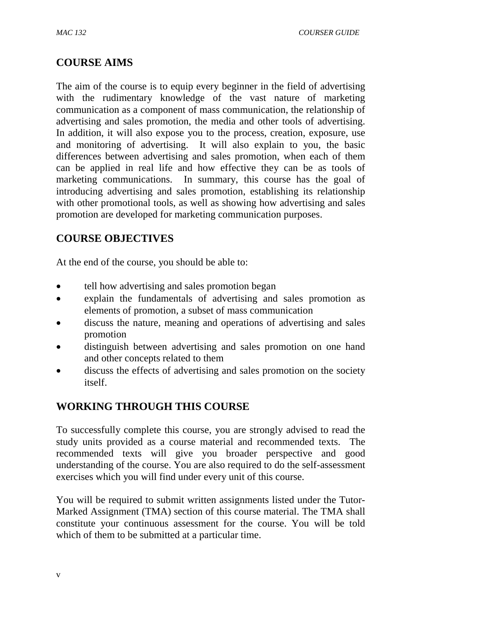## **COURSE AIMS**

The aim of the course is to equip every beginner in the field of advertising with the rudimentary knowledge of the vast nature of marketing communication as a component of mass communication, the relationship of advertising and sales promotion, the media and other tools of advertising. In addition, it will also expose you to the process, creation, exposure, use and monitoring of advertising. It will also explain to you, the basic differences between advertising and sales promotion, when each of them can be applied in real life and how effective they can be as tools of marketing communications. In summary, this course has the goal of introducing advertising and sales promotion, establishing its relationship with other promotional tools, as well as showing how advertising and sales promotion are developed for marketing communication purposes.

# **COURSE OBJECTIVES**

At the end of the course, you should be able to:

- tell how advertising and sales promotion began
- explain the fundamentals of advertising and sales promotion as elements of promotion, a subset of mass communication
- discuss the nature, meaning and operations of advertising and sales promotion
- distinguish between advertising and sales promotion on one hand and other concepts related to them
- discuss the effects of advertising and sales promotion on the society itself.

# **WORKING THROUGH THIS COURSE**

To successfully complete this course, you are strongly advised to read the study units provided as a course material and recommended texts. The recommended texts will give you broader perspective and good understanding of the course. You are also required to do the self-assessment exercises which you will find under every unit of this course.

You will be required to submit written assignments listed under the Tutor-Marked Assignment (TMA) section of this course material. The TMA shall constitute your continuous assessment for the course. You will be told which of them to be submitted at a particular time.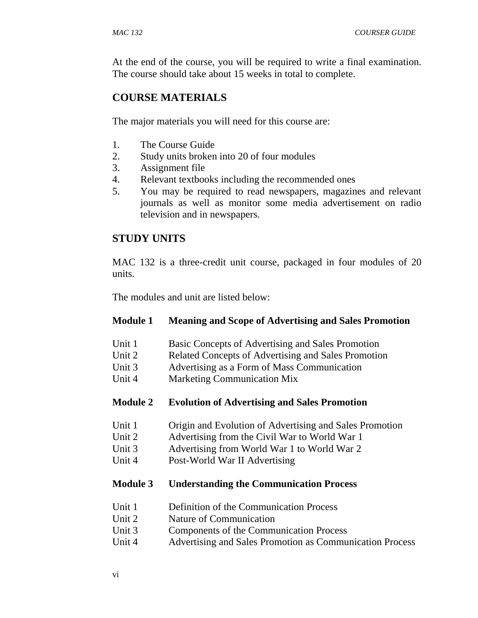At the end of the course, you will be required to write a final examination. The course should take about 15 weeks in total to complete.

# **COURSE MATERIALS**

The major materials you will need for this course are:

- 1. The Course Guide
- 2. Study units broken into 20 of four modules
- 3. Assignment file
- 4. Relevant textbooks including the recommended ones
- 5. You may be required to read newspapers, magazines and relevant journals as well as monitor some media advertisement on radio television and in newspapers.

# **STUDY UNITS**

MAC 132 is a three-credit unit course, packaged in four modules of 20 units.

The modules and unit are listed below:

#### **Module 1 Meaning and Scope of Advertising and Sales Promotion**

- Unit 1 Basic Concepts of Advertising and Sales Promotion
- Unit 2 Related Concepts of Advertising and Sales Promotion
- Unit 3 Advertising as a Form of Mass Communication
- Unit 4 Marketing Communication Mix
- **Module 2 Evolution of Advertising and Sales Promotion**
- Unit 1 Origin and Evolution of Advertising and Sales Promotion
- Unit 2 Advertising from the Civil War to World War 1
- Unit 3 Advertising from World War 1 to World War 2
- Unit 4 Post-World War II Advertising

#### **Module 3 Understanding the Communication Process**

- Unit 1 Definition of the Communication Process
- Unit 2 Nature of Communication
- Unit 3 Components of the Communication Process
- Unit 4 Advertising and Sales Promotion as Communication Process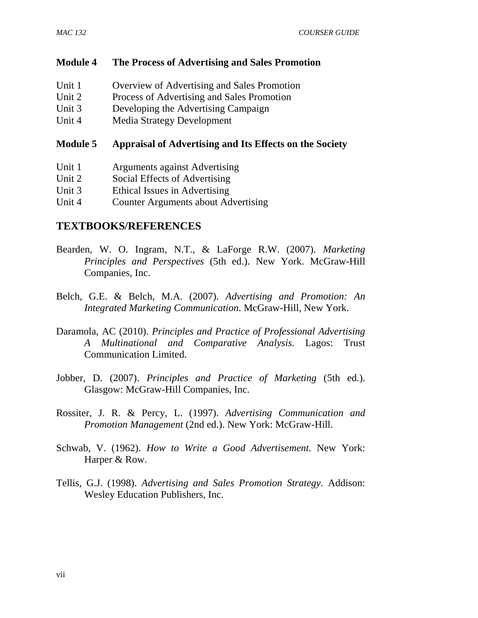#### **Module 4 The Process of Advertising and Sales Promotion**

- Unit 1 Overview of Advertising and Sales Promotion
- Unit 2 Process of Advertising and Sales Promotion
- Unit 3 Developing the Advertising Campaign
- Unit 4 Media Strategy Development

#### **Module 5 Appraisal of Advertising and Its Effects on the Society**

- Unit 1 Arguments against Advertising
- Unit 2 Social Effects of Advertising
- Unit 3 Ethical Issues in Advertising
- Unit 4 Counter Arguments about Advertising

#### **TEXTBOOKS/REFERENCES**

- Bearden, W. O. Ingram, N.T., & LaForge R.W. (2007). *Marketing Principles and Perspectives* (5th ed.). New York. McGraw-Hill Companies, Inc.
- Belch, G.E. & Belch, M.A. (2007). *Advertising and Promotion: An Integrated Marketing Communication*. McGraw-Hill, New York.
- Daramola, AC (2010). *Principles and Practice of Professional Advertising A Multinational and Comparative Analysis*. Lagos: Trust Communication Limited.
- Jobber, D. (2007). *Principles and Practice of Marketing* (5th ed.). Glasgow: McGraw-Hill Companies, Inc.
- Rossiter, J. R. & Percy, L. (1997). *Advertising Communication and Promotion Management* (2nd ed.). New York: McGraw-Hill.
- Schwab, V. (1962). *How to Write a Good Advertisement.* New York: Harper & Row.
- Tellis, G.J. (1998). *Advertising and Sales Promotion Strategy*. Addison: Wesley Education Publishers, Inc.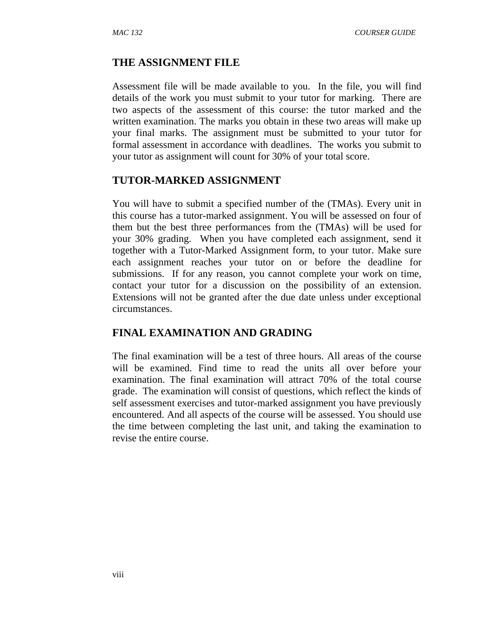#### **THE ASSIGNMENT FILE**

Assessment file will be made available to you. In the file, you will find details of the work you must submit to your tutor for marking. There are two aspects of the assessment of this course: the tutor marked and the written examination. The marks you obtain in these two areas will make up your final marks. The assignment must be submitted to your tutor for formal assessment in accordance with deadlines. The works you submit to your tutor as assignment will count for 30% of your total score.

#### **TUTOR-MARKED ASSIGNMENT**

You will have to submit a specified number of the (TMAs). Every unit in this course has a tutor-marked assignment. You will be assessed on four of them but the best three performances from the (TMAs) will be used for your 30% grading. When you have completed each assignment, send it together with a Tutor-Marked Assignment form, to your tutor. Make sure each assignment reaches your tutor on or before the deadline for submissions. If for any reason, you cannot complete your work on time, contact your tutor for a discussion on the possibility of an extension. Extensions will not be granted after the due date unless under exceptional circumstances.

## **FINAL EXAMINATION AND GRADING**

The final examination will be a test of three hours. All areas of the course will be examined. Find time to read the units all over before your examination. The final examination will attract 70% of the total course grade. The examination will consist of questions, which reflect the kinds of self assessment exercises and tutor-marked assignment you have previously encountered. And all aspects of the course will be assessed. You should use the time between completing the last unit, and taking the examination to revise the entire course.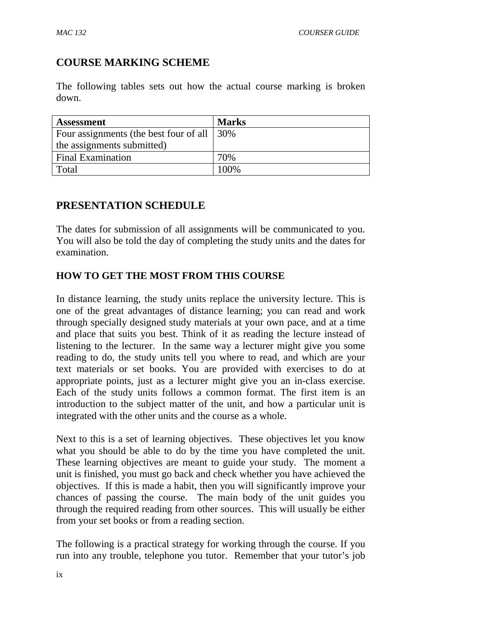# **COURSE MARKING SCHEME**

The following tables sets out how the actual course marking is broken down.

| <b>Assessment</b>                      | <b>Marks</b> |
|----------------------------------------|--------------|
| Four assignments (the best four of all | 30%          |
| the assignments submitted)             |              |
| <b>Final Examination</b>               | 70%          |
| Total                                  | 100\%        |

# **PRESENTATION SCHEDULE**

The dates for submission of all assignments will be communicated to you. You will also be told the day of completing the study units and the dates for examination.

# **HOW TO GET THE MOST FROM THIS COURSE**

In distance learning, the study units replace the university lecture. This is one of the great advantages of distance learning; you can read and work through specially designed study materials at your own pace, and at a time and place that suits you best. Think of it as reading the lecture instead of listening to the lecturer. In the same way a lecturer might give you some reading to do, the study units tell you where to read, and which are your text materials or set books. You are provided with exercises to do at appropriate points, just as a lecturer might give you an in-class exercise. Each of the study units follows a common format. The first item is an introduction to the subject matter of the unit, and how a particular unit is integrated with the other units and the course as a whole.

Next to this is a set of learning objectives. These objectives let you know what you should be able to do by the time you have completed the unit. These learning objectives are meant to guide your study. The moment a unit is finished, you must go back and check whether you have achieved the objectives. If this is made a habit, then you will significantly improve your chances of passing the course. The main body of the unit guides you through the required reading from other sources. This will usually be either from your set books or from a reading section.

The following is a practical strategy for working through the course. If you run into any trouble, telephone you tutor. Remember that your tutor's job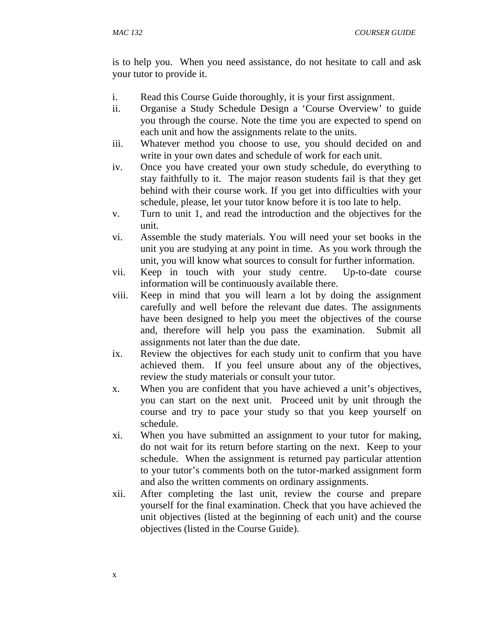is to help you. When you need assistance, do not hesitate to call and ask your tutor to provide it.

- i. Read this Course Guide thoroughly, it is your first assignment.
- ii. Organise a Study Schedule Design a 'Course Overview' to guide you through the course. Note the time you are expected to spend on each unit and how the assignments relate to the units.
- iii. Whatever method you choose to use, you should decided on and write in your own dates and schedule of work for each unit.
- iv. Once you have created your own study schedule, do everything to stay faithfully to it. The major reason students fail is that they get behind with their course work. If you get into difficulties with your schedule, please, let your tutor know before it is too late to help.
- v. Turn to unit 1, and read the introduction and the objectives for the unit.
- vi. Assemble the study materials. You will need your set books in the unit you are studying at any point in time. As you work through the unit, you will know what sources to consult for further information.
- vii. Keep in touch with your study centre. Up-to-date course information will be continuously available there.
- viii. Keep in mind that you will learn a lot by doing the assignment carefully and well before the relevant due dates. The assignments have been designed to help you meet the objectives of the course and, therefore will help you pass the examination. Submit all assignments not later than the due date.
- ix. Review the objectives for each study unit to confirm that you have achieved them. If you feel unsure about any of the objectives, review the study materials or consult your tutor.
- x. When you are confident that you have achieved a unit's objectives, you can start on the next unit. Proceed unit by unit through the course and try to pace your study so that you keep yourself on schedule.
- xi. When you have submitted an assignment to your tutor for making, do not wait for its return before starting on the next. Keep to your schedule. When the assignment is returned pay particular attention to your tutor's comments both on the tutor-marked assignment form and also the written comments on ordinary assignments.
- xii. After completing the last unit, review the course and prepare yourself for the final examination. Check that you have achieved the unit objectives (listed at the beginning of each unit) and the course objectives (listed in the Course Guide).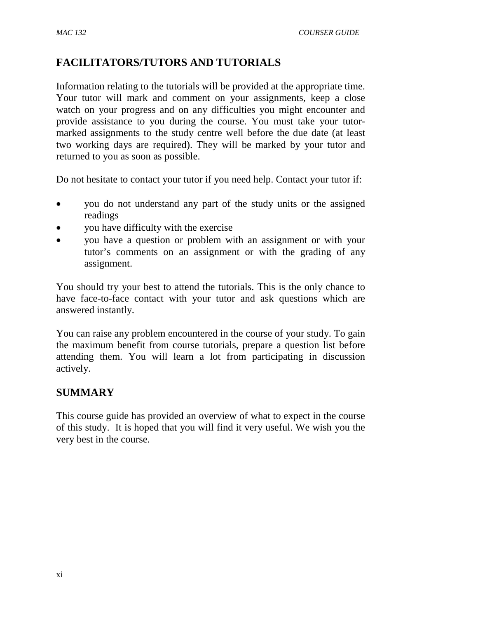# **FACILITATORS/TUTORS AND TUTORIALS**

Information relating to the tutorials will be provided at the appropriate time. Your tutor will mark and comment on your assignments, keep a close watch on your progress and on any difficulties you might encounter and provide assistance to you during the course. You must take your tutormarked assignments to the study centre well before the due date (at least two working days are required). They will be marked by your tutor and returned to you as soon as possible.

Do not hesitate to contact your tutor if you need help. Contact your tutor if:

- you do not understand any part of the study units or the assigned readings
- you have difficulty with the exercise
- you have a question or problem with an assignment or with your tutor's comments on an assignment or with the grading of any assignment.

You should try your best to attend the tutorials. This is the only chance to have face-to-face contact with your tutor and ask questions which are answered instantly.

You can raise any problem encountered in the course of your study. To gain the maximum benefit from course tutorials, prepare a question list before attending them. You will learn a lot from participating in discussion actively.

## **SUMMARY**

This course guide has provided an overview of what to expect in the course of this study. It is hoped that you will find it very useful. We wish you the very best in the course.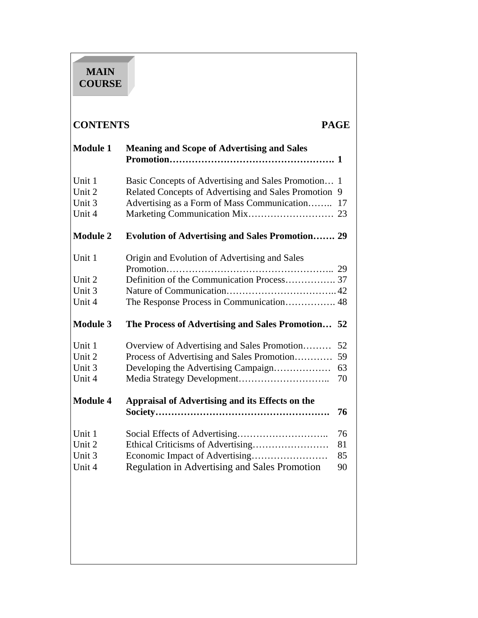# **MAIN COURSE**

# **CONTENTS PAGE**

| <b>Meaning and Scope of Advertising and Sales</b>                                                                                                         |                                                                                        |
|-----------------------------------------------------------------------------------------------------------------------------------------------------------|----------------------------------------------------------------------------------------|
| Basic Concepts of Advertising and Sales Promotion 1<br>Related Concepts of Advertising and Sales Promotion<br>Advertising as a Form of Mass Communication | 9<br>17                                                                                |
| <b>Evolution of Advertising and Sales Promotion 29</b>                                                                                                    |                                                                                        |
| Origin and Evolution of Advertising and Sales                                                                                                             |                                                                                        |
|                                                                                                                                                           |                                                                                        |
|                                                                                                                                                           |                                                                                        |
| The Process of Advertising and Sales Promotion 52                                                                                                         |                                                                                        |
| Overview of Advertising and Sales Promotion<br>Process of Advertising and Sales Promotion<br>Developing the Advertising Campaign                          | 52<br>59<br>63<br>70                                                                   |
| Appraisal of Advertising and its Effects on the                                                                                                           | 76                                                                                     |
| <b>Regulation in Advertising and Sales Promotion</b>                                                                                                      | 76<br>81<br>85<br>90                                                                   |
|                                                                                                                                                           |                                                                                        |
|                                                                                                                                                           | Definition of the Communication Process 37<br>The Response Process in Communication 48 |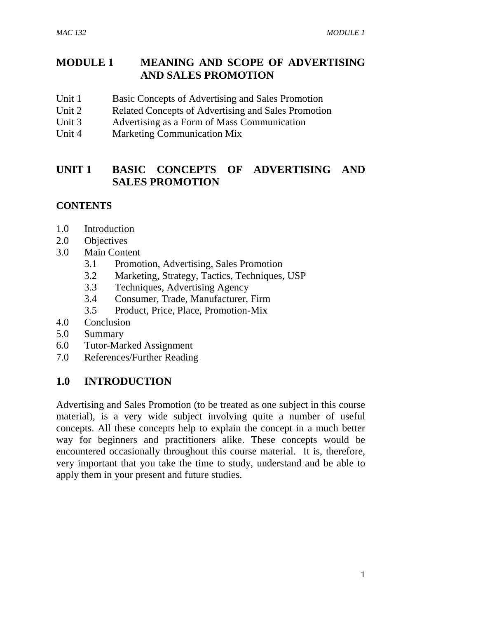# **MODULE 1 MEANING AND SCOPE OF ADVERTISING AND SALES PROMOTION**

- Unit 1 Basic Concepts of Advertising and Sales Promotion
- Unit 2 Related Concepts of Advertising and Sales Promotion
- Unit 3 Advertising as a Form of Mass Communication
- Unit 4 Marketing Communication Mix

# **UNIT 1 BASIC CONCEPTS OF ADVERTISING AND SALES PROMOTION**

#### **CONTENTS**

- 1.0 Introduction
- 2.0 Objectives
- 3.0 Main Content
	- 3.1 Promotion, Advertising, Sales Promotion
	- 3.2 Marketing, Strategy, Tactics, Techniques, USP
	- 3.3 Techniques, Advertising Agency
	- 3.4 Consumer, Trade, Manufacturer, Firm
	- 3.5 Product, Price, Place, Promotion-Mix
- 4.0 Conclusion
- 5.0 Summary
- 6.0 Tutor-Marked Assignment
- 7.0 References/Further Reading

## **1.0 INTRODUCTION**

Advertising and Sales Promotion (to be treated as one subject in this course material), is a very wide subject involving quite a number of useful concepts. All these concepts help to explain the concept in a much better way for beginners and practitioners alike. These concepts would be encountered occasionally throughout this course material. It is, therefore, very important that you take the time to study, understand and be able to apply them in your present and future studies.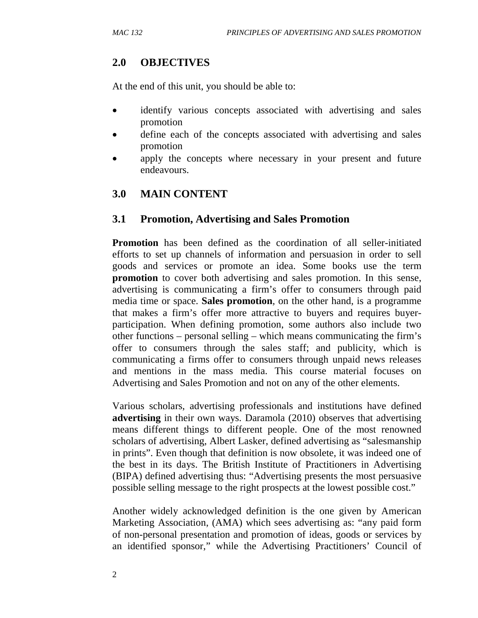#### **2.0 OBJECTIVES**

At the end of this unit, you should be able to:

- identify various concepts associated with advertising and sales promotion
- define each of the concepts associated with advertising and sales promotion
- apply the concepts where necessary in your present and future endeavours.

## **3.0 MAIN CONTENT**

#### **3.1 Promotion, Advertising and Sales Promotion**

**Promotion** has been defined as the coordination of all seller-initiated efforts to set up channels of information and persuasion in order to sell goods and services or promote an idea. Some books use the term **promotion** to cover both advertising and sales promotion. In this sense, advertising is communicating a firm's offer to consumers through paid media time or space. **Sales promotion***,* on the other hand*,* is a programme that makes a firm's offer more attractive to buyers and requires buyerparticipation. When defining promotion, some authors also include two other functions – personal selling – which means communicating the firm's offer to consumers through the sales staff; and publicity, which is communicating a firms offer to consumers through unpaid news releases and mentions in the mass media. This course material focuses on Advertising and Sales Promotion and not on any of the other elements.

Various scholars, advertising professionals and institutions have defined **advertising** in their own ways. Daramola (2010) observes that advertising means different things to different people. One of the most renowned scholars of advertising, Albert Lasker, defined advertising as "salesmanship in prints". Even though that definition is now obsolete, it was indeed one of the best in its days. The British Institute of Practitioners in Advertising (BIPA) defined advertising thus: "Advertising presents the most persuasive possible selling message to the right prospects at the lowest possible cost."

Another widely acknowledged definition is the one given by American Marketing Association, (AMA) which sees advertising as: "any paid form of non-personal presentation and promotion of ideas, goods or services by an identified sponsor," while the Advertising Practitioners' Council of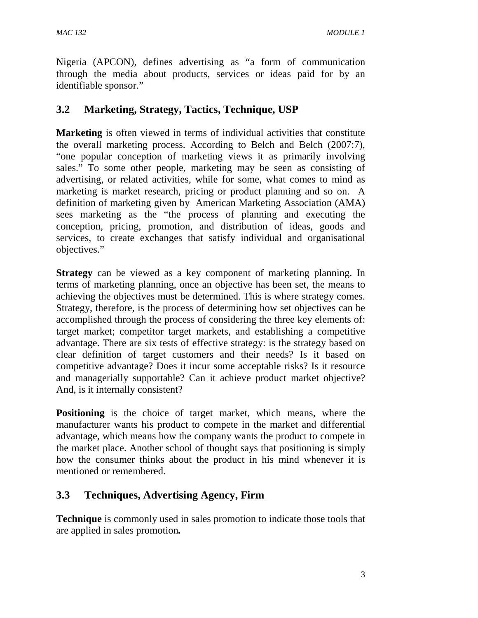Nigeria (APCON), defines advertising as "a form of communication through the media about products, services or ideas paid for by an identifiable sponsor."

# **3.2 Marketing, Strategy, Tactics, Technique, USP**

**Marketing** is often viewed in terms of individual activities that constitute the overall marketing process. According to Belch and Belch (2007:7), "one popular conception of marketing views it as primarily involving sales." To some other people, marketing may be seen as consisting of advertising, or related activities, while for some, what comes to mind as marketing is market research, pricing or product planning and so on. A definition of marketing given by American Marketing Association (AMA) sees marketing as the "the process of planning and executing the conception, pricing, promotion, and distribution of ideas, goods and services, to create exchanges that satisfy individual and organisational objectives."

**Strategy** can be viewed as a key component of marketing planning. In terms of marketing planning, once an objective has been set, the means to achieving the objectives must be determined. This is where strategy comes. Strategy, therefore, is the process of determining how set objectives can be accomplished through the process of considering the three key elements of: target market; competitor target markets, and establishing a competitive advantage. There are six tests of effective strategy: is the strategy based on clear definition of target customers and their needs? Is it based on competitive advantage? Does it incur some acceptable risks? Is it resource and managerially supportable? Can it achieve product market objective? And, is it internally consistent?

**Positioning** is the choice of target market, which means, where the manufacturer wants his product to compete in the market and differential advantage, which means how the company wants the product to compete in the market place. Another school of thought says that positioning is simply how the consumer thinks about the product in his mind whenever it is mentioned or remembered.

# **3.3 Techniques, Advertising Agency, Firm**

**Technique** is commonly used in sales promotion to indicate those tools that are applied in sales promotion*.*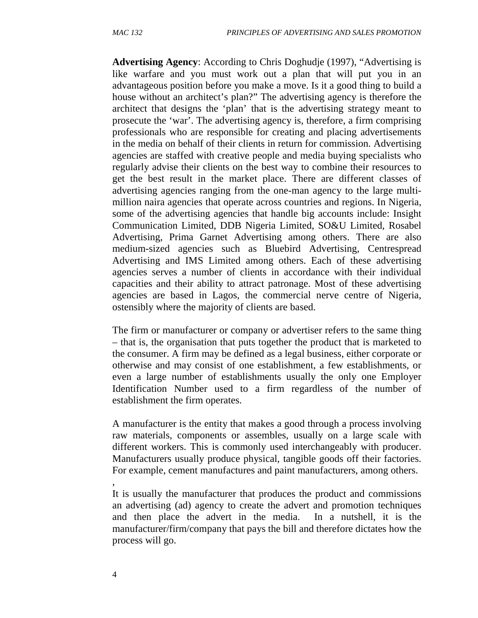**Advertising Agency**: According to Chris Doghudje (1997), "Advertising is like warfare and you must work out a plan that will put you in an advantageous position before you make a move. Is it a good thing to build a house without an architect's plan?" The advertising agency is therefore the architect that designs the 'plan' that is the advertising strategy meant to prosecute the 'war'. The advertising agency is, therefore, a firm comprising professionals who are responsible for creating and placing advertisements in the media on behalf of their clients in return for commission. Advertising agencies are staffed with creative people and media buying specialists who regularly advise their clients on the best way to combine their resources to get the best result in the market place. There are different classes of advertising agencies ranging from the one-man agency to the large multimillion naira agencies that operate across countries and regions. In Nigeria, some of the advertising agencies that handle big accounts include: Insight Communication Limited, DDB Nigeria Limited, SO&U Limited, Rosabel Advertising, Prima Garnet Advertising among others. There are also medium-sized agencies such as Bluebird Advertising, Centrespread Advertising and IMS Limited among others. Each of these advertising agencies serves a number of clients in accordance with their individual capacities and their ability to attract patronage. Most of these advertising agencies are based in Lagos, the commercial nerve centre of Nigeria, ostensibly where the majority of clients are based.

The firm or manufacturer or company or advertiser refers to the same thing – that is, the organisation that puts together the product that is marketed to the consumer. A firm may be defined as a legal business, either corporate or otherwise and may consist of one establishment, a few establishments, or even a large number of establishments usually the only one Employer Identification Number used to a firm regardless of the number of establishment the firm operates.

A manufacturer is the entity that makes a good through a process involving raw materials, components or assembles, usually on a large scale with different workers. This is commonly used interchangeably with producer. Manufacturers usually produce physical, tangible goods off their factories. For example, cement manufactures and paint manufacturers, among others.

It is usually the manufacturer that produces the product and commissions an advertising (ad) agency to create the advert and promotion techniques and then place the advert in the media. In a nutshell, it is the manufacturer/firm/company that pays the bill and therefore dictates how the process will go.

,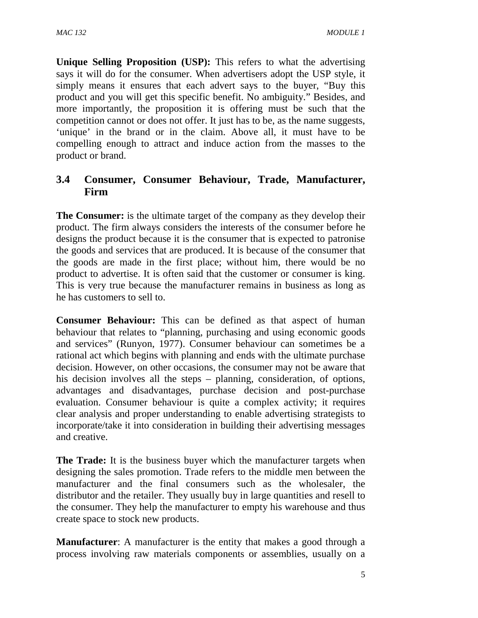**Unique Selling Proposition (USP):** This refers to what the advertising says it will do for the consumer. When advertisers adopt the USP style, it simply means it ensures that each advert says to the buyer, "Buy this product and you will get this specific benefit. No ambiguity." Besides, and more importantly, the proposition it is offering must be such that the competition cannot or does not offer. It just has to be, as the name suggests, 'unique' in the brand or in the claim. Above all, it must have to be compelling enough to attract and induce action from the masses to the product or brand.

# **3.4 Consumer, Consumer Behaviour, Trade, Manufacturer, Firm**

**The Consumer:** is the ultimate target of the company as they develop their product. The firm always considers the interests of the consumer before he designs the product because it is the consumer that is expected to patronise the goods and services that are produced. It is because of the consumer that the goods are made in the first place; without him, there would be no product to advertise. It is often said that the customer or consumer is king. This is very true because the manufacturer remains in business as long as he has customers to sell to.

**Consumer Behaviour:** This can be defined as that aspect of human behaviour that relates to "planning, purchasing and using economic goods and services" (Runyon, 1977). Consumer behaviour can sometimes be a rational act which begins with planning and ends with the ultimate purchase decision. However, on other occasions, the consumer may not be aware that his decision involves all the steps – planning, consideration, of options, advantages and disadvantages, purchase decision and post-purchase evaluation. Consumer behaviour is quite a complex activity; it requires clear analysis and proper understanding to enable advertising strategists to incorporate/take it into consideration in building their advertising messages and creative.

**The Trade:** It is the business buyer which the manufacturer targets when designing the sales promotion. Trade refers to the middle men between the manufacturer and the final consumers such as the wholesaler, the distributor and the retailer. They usually buy in large quantities and resell to the consumer. They help the manufacturer to empty his warehouse and thus create space to stock new products.

**Manufacturer:** A manufacturer is the entity that makes a good through a process involving raw materials components or assemblies, usually on a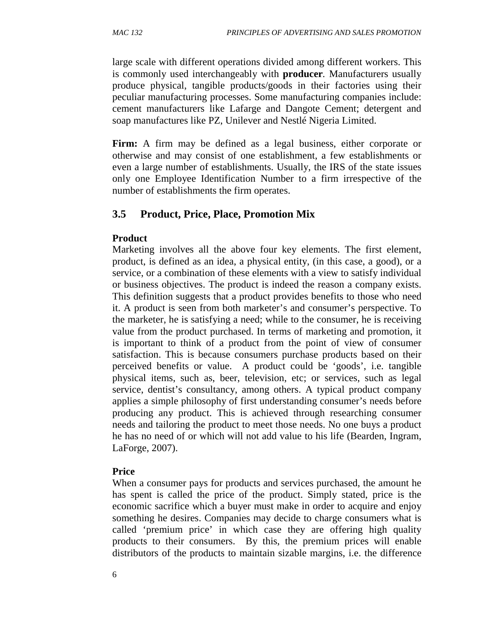large scale with different operations divided among different workers. This is commonly used interchangeably with **producer***.* Manufacturers usually produce physical, tangible products/goods in their factories using their peculiar manufacturing processes. Some manufacturing companies include: cement manufacturers like Lafarge and Dangote Cement; detergent and soap manufactures like PZ, Unilever and Nestlé Nigeria Limited.

**Firm:** A firm may be defined as a legal business, either corporate or otherwise and may consist of one establishment, a few establishments or even a large number of establishments. Usually, the IRS of the state issues only one Employee Identification Number to a firm irrespective of the number of establishments the firm operates.

# **3.5 Product, Price, Place, Promotion Mix**

#### **Product**

Marketing involves all the above four key elements. The first element, product, is defined as an idea, a physical entity, (in this case, a good), or a service, or a combination of these elements with a view to satisfy individual or business objectives. The product is indeed the reason a company exists. This definition suggests that a product provides benefits to those who need it. A product is seen from both marketer's and consumer's perspective. To the marketer, he is satisfying a need; while to the consumer, he is receiving value from the product purchased. In terms of marketing and promotion, it is important to think of a product from the point of view of consumer satisfaction. This is because consumers purchase products based on their perceived benefits or value. A product could be 'goods', i.e. tangible physical items, such as, beer, television, etc; or services, such as legal service, dentist's consultancy, among others. A typical product company applies a simple philosophy of first understanding consumer's needs before producing any product. This is achieved through researching consumer needs and tailoring the product to meet those needs. No one buys a product he has no need of or which will not add value to his life (Bearden, Ingram, LaForge, 2007).

## **Price**

When a consumer pays for products and services purchased, the amount he has spent is called the price of the product. Simply stated, price is the economic sacrifice which a buyer must make in order to acquire and enjoy something he desires. Companies may decide to charge consumers what is called 'premium price' in which case they are offering high quality products to their consumers. By this, the premium prices will enable distributors of the products to maintain sizable margins, i.e. the difference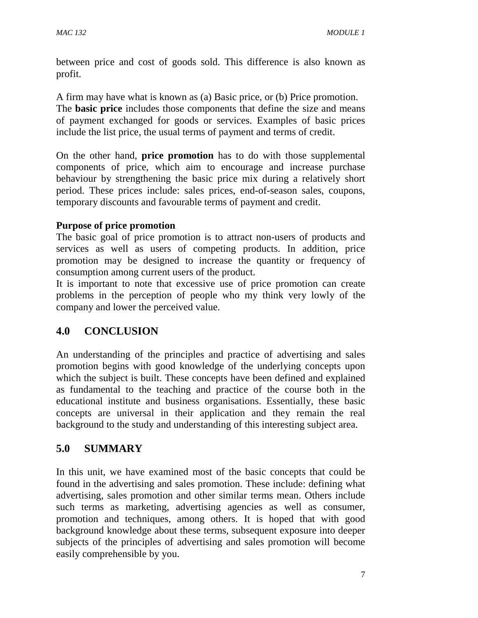between price and cost of goods sold. This difference is also known as profit.

A firm may have what is known as (a) Basic price, or (b) Price promotion. The **basic price** includes those components that define the size and means of payment exchanged for goods or services. Examples of basic prices include the list price, the usual terms of payment and terms of credit.

On the other hand, **price promotion** has to do with those supplemental components of price, which aim to encourage and increase purchase behaviour by strengthening the basic price mix during a relatively short period. These prices include: sales prices, end-of-season sales, coupons, temporary discounts and favourable terms of payment and credit.

#### **Purpose of price promotion**

The basic goal of price promotion is to attract non-users of products and services as well as users of competing products. In addition, price promotion may be designed to increase the quantity or frequency of consumption among current users of the product.

It is important to note that excessive use of price promotion can create problems in the perception of people who my think very lowly of the company and lower the perceived value.

## **4.0 CONCLUSION**

An understanding of the principles and practice of advertising and sales promotion begins with good knowledge of the underlying concepts upon which the subject is built. These concepts have been defined and explained as fundamental to the teaching and practice of the course both in the educational institute and business organisations. Essentially, these basic concepts are universal in their application and they remain the real background to the study and understanding of this interesting subject area.

## **5.0 SUMMARY**

In this unit, we have examined most of the basic concepts that could be found in the advertising and sales promotion. These include: defining what advertising, sales promotion and other similar terms mean. Others include such terms as marketing, advertising agencies as well as consumer, promotion and techniques, among others. It is hoped that with good background knowledge about these terms, subsequent exposure into deeper subjects of the principles of advertising and sales promotion will become easily comprehensible by you.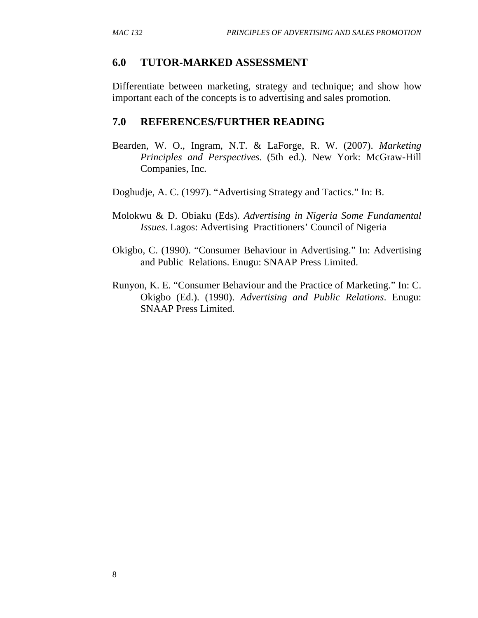#### **6.0 TUTOR-MARKED ASSESSMENT**

Differentiate between marketing, strategy and technique; and show how important each of the concepts is to advertising and sales promotion.

#### **7.0 REFERENCES/FURTHER READING**

Bearden, W. O., Ingram, N.T. & LaForge, R. W. (2007). *Marketing Principles and Perspectives.* (5th ed.). New York: McGraw-Hill Companies, Inc.

Doghudje, A. C. (1997). "Advertising Strategy and Tactics." In: B.

- Molokwu & D. Obiaku (Eds). *Advertising in Nigeria Some Fundamental Issues*. Lagos: Advertising Practitioners' Council of Nigeria
- Okigbo, C. (1990). "Consumer Behaviour in Advertising." In: Advertising and Public Relations. Enugu: SNAAP Press Limited.
- Runyon, K. E. "Consumer Behaviour and the Practice of Marketing." In: C. Okigbo (Ed.). (1990). *Advertising and Public Relations*. Enugu: SNAAP Press Limited.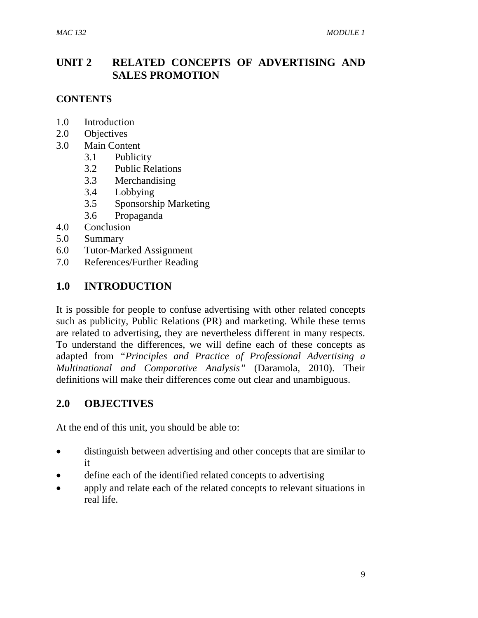# **UNIT 2 RELATED CONCEPTS OF ADVERTISING AND SALES PROMOTION**

#### **CONTENTS**

- 1.0 Introduction
- 2.0 Objectives
- 3.0 Main Content
	- 3.1 Publicity
	- 3.2 Public Relations
	- 3.3 Merchandising
	- 3.4 Lobbying
	- 3.5 Sponsorship Marketing
	- 3.6 Propaganda
- 4.0 Conclusion
- 5.0 Summary
- 6.0 Tutor-Marked Assignment
- 7.0 References/Further Reading

#### **1.0 INTRODUCTION**

It is possible for people to confuse advertising with other related concepts such as publicity, Public Relations (PR) and marketing. While these terms are related to advertising, they are nevertheless different in many respects. To understand the differences, we will define each of these concepts as adapted from *"Principles and Practice of Professional Advertising a Multinational and Comparative Analysis"* (Daramola, 2010). Their definitions will make their differences come out clear and unambiguous.

## **2.0 OBJECTIVES**

At the end of this unit, you should be able to:

- distinguish between advertising and other concepts that are similar to it
- define each of the identified related concepts to advertising
- apply and relate each of the related concepts to relevant situations in real life.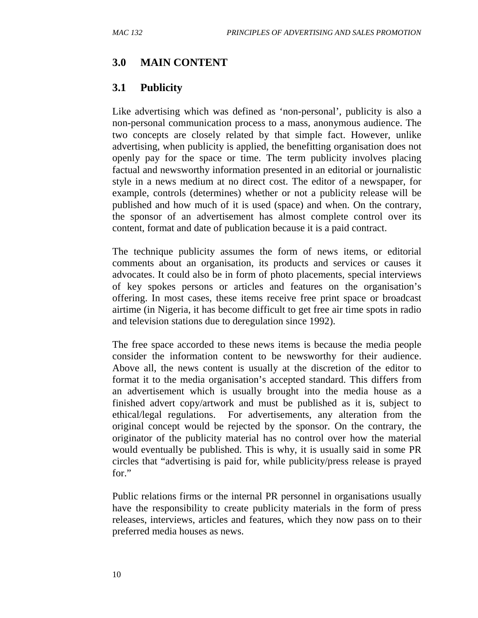#### **3.0 MAIN CONTENT**

#### **3.1 Publicity**

Like advertising which was defined as 'non-personal', publicity is also a non-personal communication process to a mass, anonymous audience. The two concepts are closely related by that simple fact. However, unlike advertising, when publicity is applied, the benefitting organisation does not openly pay for the space or time. The term publicity involves placing factual and newsworthy information presented in an editorial or journalistic style in a news medium at no direct cost. The editor of a newspaper, for example, controls (determines) whether or not a publicity release will be published and how much of it is used (space) and when. On the contrary, the sponsor of an advertisement has almost complete control over its content, format and date of publication because it is a paid contract.

The technique publicity assumes the form of news items, or editorial comments about an organisation, its products and services or causes it advocates. It could also be in form of photo placements, special interviews of key spokes persons or articles and features on the organisation's offering. In most cases, these items receive free print space or broadcast airtime (in Nigeria, it has become difficult to get free air time spots in radio and television stations due to deregulation since 1992).

The free space accorded to these news items is because the media people consider the information content to be newsworthy for their audience. Above all, the news content is usually at the discretion of the editor to format it to the media organisation's accepted standard. This differs from an advertisement which is usually brought into the media house as a finished advert copy/artwork and must be published as it is, subject to ethical/legal regulations. For advertisements, any alteration from the original concept would be rejected by the sponsor. On the contrary, the originator of the publicity material has no control over how the material would eventually be published. This is why, it is usually said in some PR circles that "advertising is paid for, while publicity/press release is prayed for."

Public relations firms or the internal PR personnel in organisations usually have the responsibility to create publicity materials in the form of press releases, interviews, articles and features, which they now pass on to their preferred media houses as news.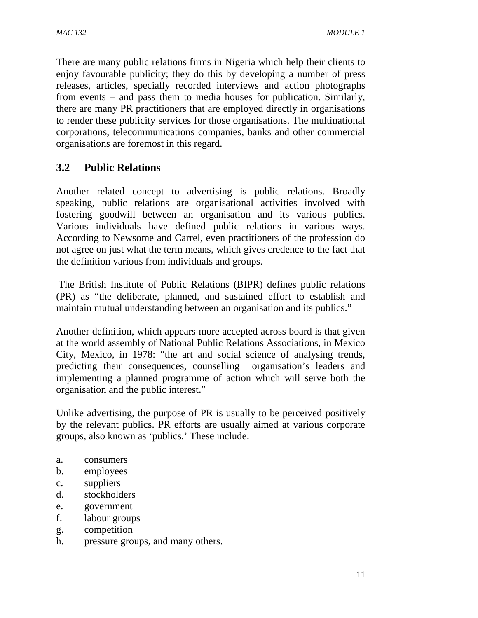There are many public relations firms in Nigeria which help their clients to enjoy favourable publicity; they do this by developing a number of press releases, articles, specially recorded interviews and action photographs from events – and pass them to media houses for publication. Similarly, there are many PR practitioners that are employed directly in organisations to render these publicity services for those organisations. The multinational corporations, telecommunications companies, banks and other commercial organisations are foremost in this regard.

# **3.2 Public Relations**

Another related concept to advertising is public relations. Broadly speaking, public relations are organisational activities involved with fostering goodwill between an organisation and its various publics. Various individuals have defined public relations in various ways. According to Newsome and Carrel, even practitioners of the profession do not agree on just what the term means, which gives credence to the fact that the definition various from individuals and groups.

 The British Institute of Public Relations (BIPR) defines public relations (PR) as "the deliberate, planned, and sustained effort to establish and maintain mutual understanding between an organisation and its publics."

Another definition, which appears more accepted across board is that given at the world assembly of National Public Relations Associations, in Mexico City, Mexico, in 1978: "the art and social science of analysing trends, predicting their consequences, counselling organisation's leaders and implementing a planned programme of action which will serve both the organisation and the public interest."

Unlike advertising, the purpose of PR is usually to be perceived positively by the relevant publics. PR efforts are usually aimed at various corporate groups, also known as 'publics.' These include:

- a. consumers
- b. employees
- c. suppliers
- d. stockholders
- e. government
- f. labour groups
- g. competition
- h. pressure groups, and many others.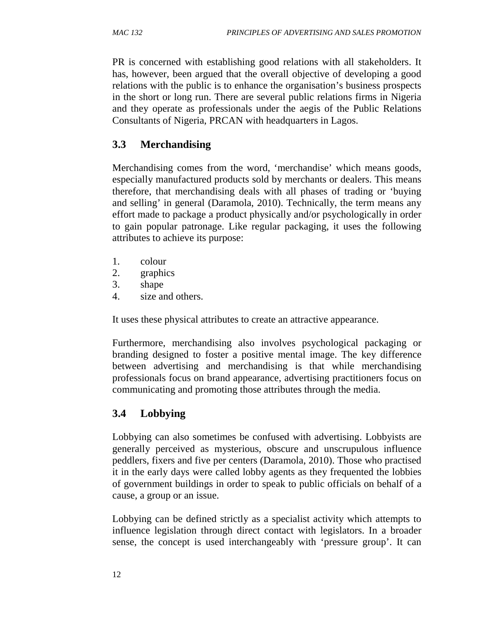PR is concerned with establishing good relations with all stakeholders. It has, however, been argued that the overall objective of developing a good relations with the public is to enhance the organisation's business prospects in the short or long run. There are several public relations firms in Nigeria and they operate as professionals under the aegis of the Public Relations Consultants of Nigeria, PRCAN with headquarters in Lagos.

# **3.3 Merchandising**

Merchandising comes from the word, 'merchandise' which means goods, especially manufactured products sold by merchants or dealers. This means therefore, that merchandising deals with all phases of trading or 'buying and selling' in general (Daramola, 2010). Technically, the term means any effort made to package a product physically and/or psychologically in order to gain popular patronage. Like regular packaging, it uses the following attributes to achieve its purpose:

- 1. colour
- 2. graphics
- 3. shape
- 4. size and others.

It uses these physical attributes to create an attractive appearance.

Furthermore, merchandising also involves psychological packaging or branding designed to foster a positive mental image. The key difference between advertising and merchandising is that while merchandising professionals focus on brand appearance, advertising practitioners focus on communicating and promoting those attributes through the media.

# **3.4 Lobbying**

Lobbying can also sometimes be confused with advertising. Lobbyists are generally perceived as mysterious, obscure and unscrupulous influence peddlers, fixers and five per centers (Daramola, 2010). Those who practised it in the early days were called lobby agents as they frequented the lobbies of government buildings in order to speak to public officials on behalf of a cause, a group or an issue.

Lobbying can be defined strictly as a specialist activity which attempts to influence legislation through direct contact with legislators. In a broader sense, the concept is used interchangeably with 'pressure group'. It can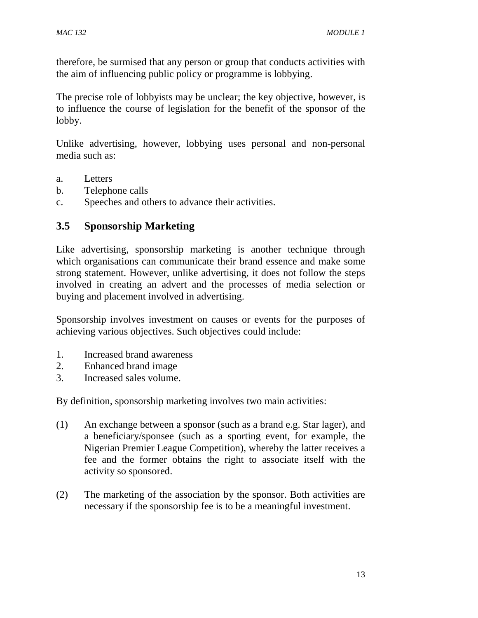therefore, be surmised that any person or group that conducts activities with the aim of influencing public policy or programme is lobbying.

The precise role of lobbyists may be unclear; the key objective, however, is to influence the course of legislation for the benefit of the sponsor of the lobby.

Unlike advertising, however, lobbying uses personal and non-personal media such as:

- a. Letters
- b. Telephone calls
- c. Speeches and others to advance their activities.

#### **3.5 Sponsorship Marketing**

Like advertising, sponsorship marketing is another technique through which organisations can communicate their brand essence and make some strong statement. However, unlike advertising, it does not follow the steps involved in creating an advert and the processes of media selection or buying and placement involved in advertising.

Sponsorship involves investment on causes or events for the purposes of achieving various objectives. Such objectives could include:

- 1. Increased brand awareness
- 2. Enhanced brand image
- 3. Increased sales volume.

By definition, sponsorship marketing involves two main activities:

- (1) An exchange between a sponsor (such as a brand e.g. Star lager), and a beneficiary/sponsee (such as a sporting event, for example, the Nigerian Premier League Competition), whereby the latter receives a fee and the former obtains the right to associate itself with the activity so sponsored.
- (2) The marketing of the association by the sponsor. Both activities are necessary if the sponsorship fee is to be a meaningful investment.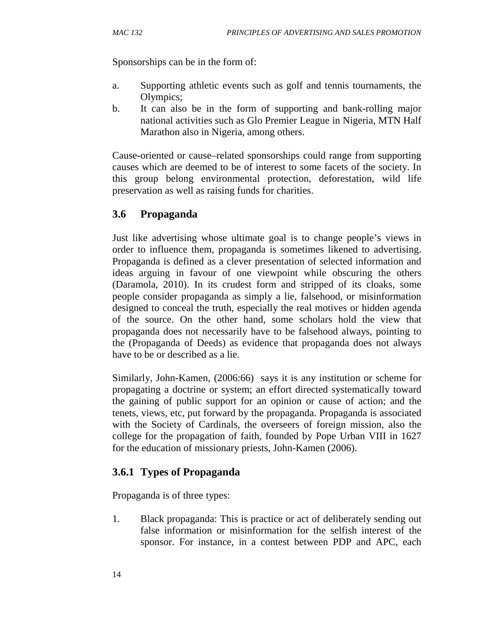Sponsorships can be in the form of:

- a. Supporting athletic events such as golf and tennis tournaments, the Olympics;
- b. It can also be in the form of supporting and bank-rolling major national activities such as Glo Premier League in Nigeria, MTN Half Marathon also in Nigeria, among others.

Cause-oriented or cause–related sponsorships could range from supporting causes which are deemed to be of interest to some facets of the society. In this group belong environmental protection, deforestation, wild life preservation as well as raising funds for charities.

## **3.6 Propaganda**

Just like advertising whose ultimate goal is to change people's views in order to influence them, propaganda is sometimes likened to advertising. Propaganda is defined as a clever presentation of selected information and ideas arguing in favour of one viewpoint while obscuring the others (Daramola, 2010). In its crudest form and stripped of its cloaks, some people consider propaganda as simply a lie, falsehood, or misinformation designed to conceal the truth, especially the real motives or hidden agenda of the source. On the other hand, some scholars hold the view that propaganda does not necessarily have to be falsehood always, pointing to the (Propaganda of Deeds) as evidence that propaganda does not always have to be or described as a lie.

Similarly, John-Kamen, (2006:66) says it is any institution or scheme for propagating a doctrine or system; an effort directed systematically toward the gaining of public support for an opinion or cause of action; and the tenets, views, etc, put forward by the propaganda. Propaganda is associated with the Society of Cardinals, the overseers of foreign mission, also the college for the propagation of faith, founded by Pope Urban VIII in 1627 for the education of missionary priests, John-Kamen (2006).

## **3.6.1 Types of Propaganda**

Propaganda is of three types:

1. Black propaganda: This is practice or act of deliberately sending out false information or misinformation for the selfish interest of the sponsor. For instance, in a contest between PDP and APC, each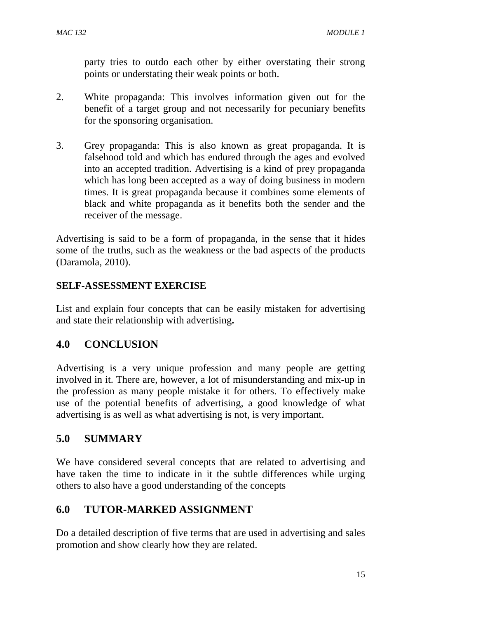party tries to outdo each other by either overstating their strong points or understating their weak points or both.

- 2. White propaganda: This involves information given out for the benefit of a target group and not necessarily for pecuniary benefits for the sponsoring organisation.
- 3. Grey propaganda: This is also known as great propaganda. It is falsehood told and which has endured through the ages and evolved into an accepted tradition. Advertising is a kind of prey propaganda which has long been accepted as a way of doing business in modern times. It is great propaganda because it combines some elements of black and white propaganda as it benefits both the sender and the receiver of the message.

Advertising is said to be a form of propaganda, in the sense that it hides some of the truths, such as the weakness or the bad aspects of the products (Daramola, 2010).

#### **SELF-ASSESSMENT EXERCISE**

List and explain four concepts that can be easily mistaken for advertising and state their relationship with advertising**.** 

# **4.0 CONCLUSION**

Advertising is a very unique profession and many people are getting involved in it. There are, however, a lot of misunderstanding and mix-up in the profession as many people mistake it for others. To effectively make use of the potential benefits of advertising, a good knowledge of what advertising is as well as what advertising is not, is very important.

# **5.0 SUMMARY**

We have considered several concepts that are related to advertising and have taken the time to indicate in it the subtle differences while urging others to also have a good understanding of the concepts

# **6.0 TUTOR-MARKED ASSIGNMENT**

Do a detailed description of five terms that are used in advertising and sales promotion and show clearly how they are related.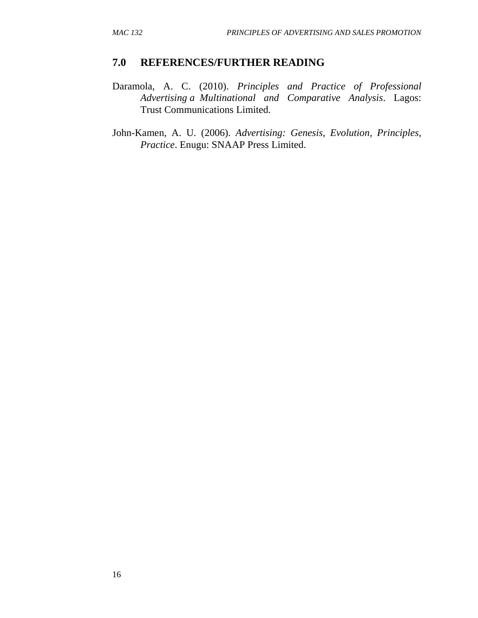## **7.0 REFERENCES/FURTHER READING**

- Daramola, A. C. (2010). *Principles and Practice of Professional Advertising a Multinational and Comparative Analysis*. Lagos: Trust Communications Limited.
- John-Kamen, A. U. (2006). *Advertising: Genesis, Evolution, Principles, Practice*. Enugu: SNAAP Press Limited.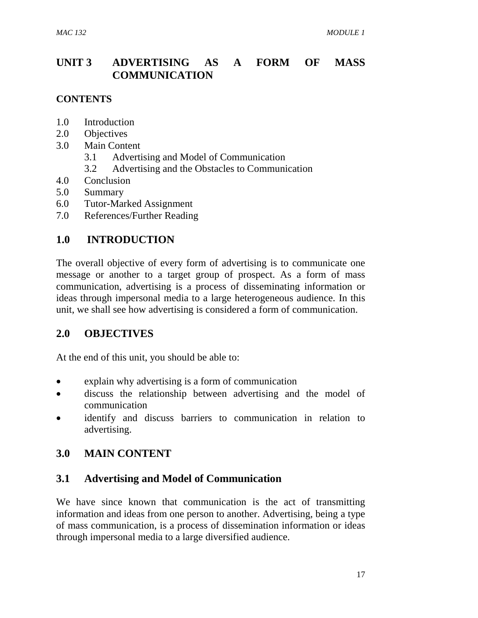# **UNIT 3 ADVERTISING AS A FORM OF MASS COMMUNICATION**

#### **CONTENTS**

- 1.0 Introduction
- 2.0 Objectives
- 3.0 Main Content
	- 3.1 Advertising and Model of Communication
	- 3.2 Advertising and the Obstacles to Communication
- 4.0 Conclusion
- 5.0 Summary
- 6.0 Tutor-Marked Assignment
- 7.0 References/Further Reading

## **1.0 INTRODUCTION**

The overall objective of every form of advertising is to communicate one message or another to a target group of prospect. As a form of mass communication, advertising is a process of disseminating information or ideas through impersonal media to a large heterogeneous audience. In this unit, we shall see how advertising is considered a form of communication.

## **2.0 OBJECTIVES**

At the end of this unit, you should be able to:

- explain why advertising is a form of communication
- discuss the relationship between advertising and the model of communication
- identify and discuss barriers to communication in relation to advertising.

## **3.0 MAIN CONTENT**

#### **3.1 Advertising and Model of Communication**

We have since known that communication is the act of transmitting information and ideas from one person to another. Advertising, being a type of mass communication, is a process of dissemination information or ideas through impersonal media to a large diversified audience.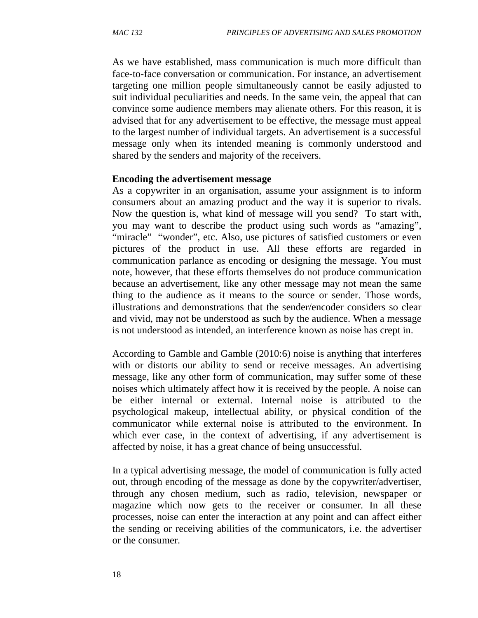As we have established, mass communication is much more difficult than face-to-face conversation or communication. For instance, an advertisement targeting one million people simultaneously cannot be easily adjusted to suit individual peculiarities and needs. In the same vein, the appeal that can convince some audience members may alienate others. For this reason, it is advised that for any advertisement to be effective, the message must appeal to the largest number of individual targets. An advertisement is a successful message only when its intended meaning is commonly understood and shared by the senders and majority of the receivers.

#### **Encoding the advertisement message**

As a copywriter in an organisation, assume your assignment is to inform consumers about an amazing product and the way it is superior to rivals. Now the question is, what kind of message will you send? To start with, you may want to describe the product using such words as "amazing", "miracle" "wonder", etc. Also, use pictures of satisfied customers or even pictures of the product in use. All these efforts are regarded in communication parlance as encoding or designing the message. You must note, however, that these efforts themselves do not produce communication because an advertisement, like any other message may not mean the same thing to the audience as it means to the source or sender. Those words, illustrations and demonstrations that the sender/encoder considers so clear and vivid, may not be understood as such by the audience. When a message is not understood as intended, an interference known as noise has crept in.

According to Gamble and Gamble (2010:6) noise is anything that interferes with or distorts our ability to send or receive messages. An advertising message, like any other form of communication, may suffer some of these noises which ultimately affect how it is received by the people. A noise can be either internal or external. Internal noise is attributed to the psychological makeup, intellectual ability, or physical condition of the communicator while external noise is attributed to the environment. In which ever case, in the context of advertising, if any advertisement is affected by noise, it has a great chance of being unsuccessful.

In a typical advertising message, the model of communication is fully acted out, through encoding of the message as done by the copywriter/advertiser, through any chosen medium, such as radio, television, newspaper or magazine which now gets to the receiver or consumer. In all these processes, noise can enter the interaction at any point and can affect either the sending or receiving abilities of the communicators, i.e. the advertiser or the consumer.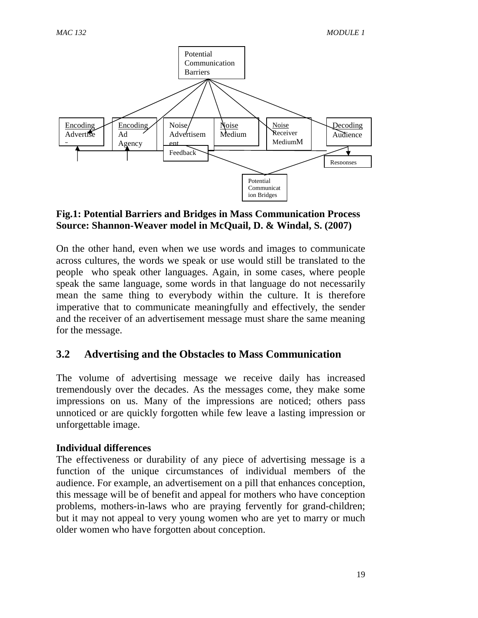

#### **Fig.1: Potential Barriers and Bridges in Mass Communication Process Source: Shannon-Weaver model in McQuail, D. & Windal, S. (2007)**

On the other hand, even when we use words and images to communicate across cultures, the words we speak or use would still be translated to the people who speak other languages. Again, in some cases, where people speak the same language, some words in that language do not necessarily mean the same thing to everybody within the culture. It is therefore imperative that to communicate meaningfully and effectively, the sender and the receiver of an advertisement message must share the same meaning for the message.

## **3.2 Advertising and the Obstacles to Mass Communication**

The volume of advertising message we receive daily has increased tremendously over the decades. As the messages come, they make some impressions on us. Many of the impressions are noticed; others pass unnoticed or are quickly forgotten while few leave a lasting impression or unforgettable image.

#### **Individual differences**

The effectiveness or durability of any piece of advertising message is a function of the unique circumstances of individual members of the audience. For example, an advertisement on a pill that enhances conception, this message will be of benefit and appeal for mothers who have conception problems, mothers-in-laws who are praying fervently for grand-children; but it may not appeal to very young women who are yet to marry or much older women who have forgotten about conception.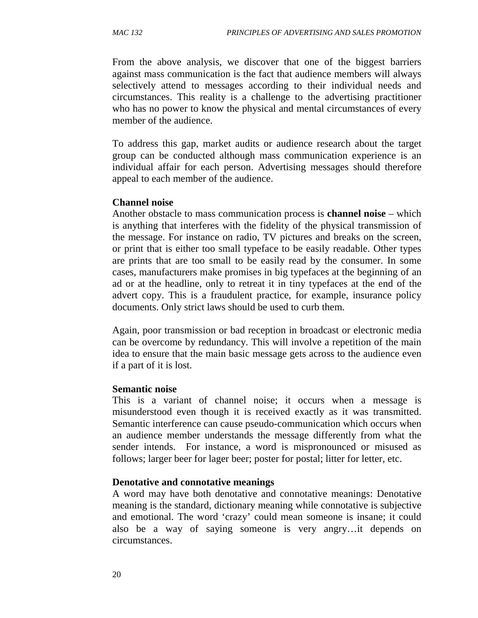From the above analysis, we discover that one of the biggest barriers against mass communication is the fact that audience members will always selectively attend to messages according to their individual needs and circumstances. This reality is a challenge to the advertising practitioner who has no power to know the physical and mental circumstances of every member of the audience.

To address this gap, market audits or audience research about the target group can be conducted although mass communication experience is an individual affair for each person. Advertising messages should therefore appeal to each member of the audience.

#### **Channel noise**

Another obstacle to mass communication process is **channel noise** – which is anything that interferes with the fidelity of the physical transmission of the message. For instance on radio, TV pictures and breaks on the screen, or print that is either too small typeface to be easily readable. Other types are prints that are too small to be easily read by the consumer. In some cases, manufacturers make promises in big typefaces at the beginning of an ad or at the headline, only to retreat it in tiny typefaces at the end of the advert copy. This is a fraudulent practice, for example, insurance policy documents. Only strict laws should be used to curb them.

Again, poor transmission or bad reception in broadcast or electronic media can be overcome by redundancy. This will involve a repetition of the main idea to ensure that the main basic message gets across to the audience even if a part of it is lost.

#### **Semantic noise**

This is a variant of channel noise; it occurs when a message is misunderstood even though it is received exactly as it was transmitted. Semantic interference can cause pseudo-communication which occurs when an audience member understands the message differently from what the sender intends. For instance, a word is mispronounced or misused as follows; larger beer for lager beer; poster for postal; litter for letter, etc.

#### **Denotative and connotative meanings**

A word may have both denotative and connotative meanings: Denotative meaning is the standard, dictionary meaning while connotative is subjective and emotional. The word 'crazy' could mean someone is insane; it could also be a way of saying someone is very angry…it depends on circumstances.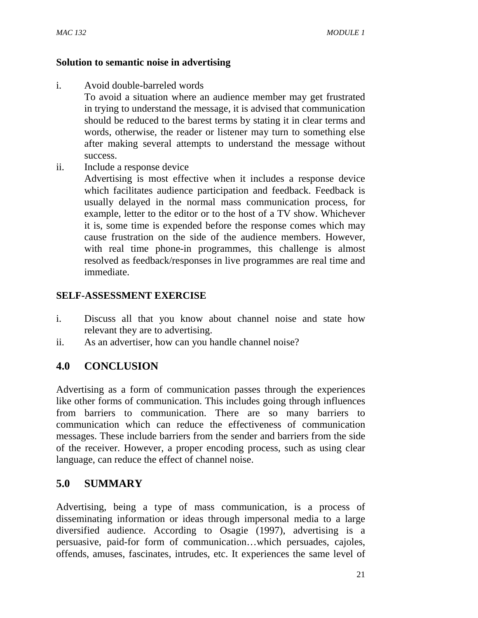#### **Solution to semantic noise in advertising**

i. Avoid double-barreled words

To avoid a situation where an audience member may get frustrated in trying to understand the message, it is advised that communication should be reduced to the barest terms by stating it in clear terms and words, otherwise, the reader or listener may turn to something else after making several attempts to understand the message without success.

ii. Include a response device

Advertising is most effective when it includes a response device which facilitates audience participation and feedback. Feedback is usually delayed in the normal mass communication process, for example, letter to the editor or to the host of a TV show. Whichever it is, some time is expended before the response comes which may cause frustration on the side of the audience members. However, with real time phone-in programmes, this challenge is almost resolved as feedback/responses in live programmes are real time and immediate.

## **SELF-ASSESSMENT EXERCISE**

- i. Discuss all that you know about channel noise and state how relevant they are to advertising.
- ii. As an advertiser, how can you handle channel noise?

# **4.0 CONCLUSION**

Advertising as a form of communication passes through the experiences like other forms of communication. This includes going through influences from barriers to communication. There are so many barriers to communication which can reduce the effectiveness of communication messages. These include barriers from the sender and barriers from the side of the receiver. However, a proper encoding process, such as using clear language, can reduce the effect of channel noise.

# **5.0 SUMMARY**

Advertising, being a type of mass communication, is a process of disseminating information or ideas through impersonal media to a large diversified audience. According to Osagie (1997), advertising is a persuasive, paid-for form of communication…which persuades, cajoles, offends, amuses, fascinates, intrudes, etc. It experiences the same level of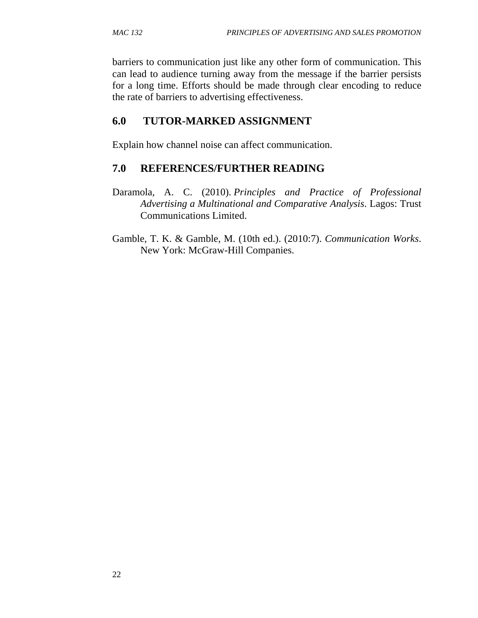barriers to communication just like any other form of communication. This can lead to audience turning away from the message if the barrier persists for a long time. Efforts should be made through clear encoding to reduce the rate of barriers to advertising effectiveness.

## **6.0 TUTOR-MARKED ASSIGNMENT**

Explain how channel noise can affect communication.

## **7.0 REFERENCES/FURTHER READING**

- Daramola, A. C. (2010). *Principles and Practice of Professional Advertising a Multinational and Comparative Analysis*. Lagos: Trust Communications Limited.
- Gamble, T. K. & Gamble, M. (10th ed.). (2010:7). *Communication Works*. New York: McGraw-Hill Companies.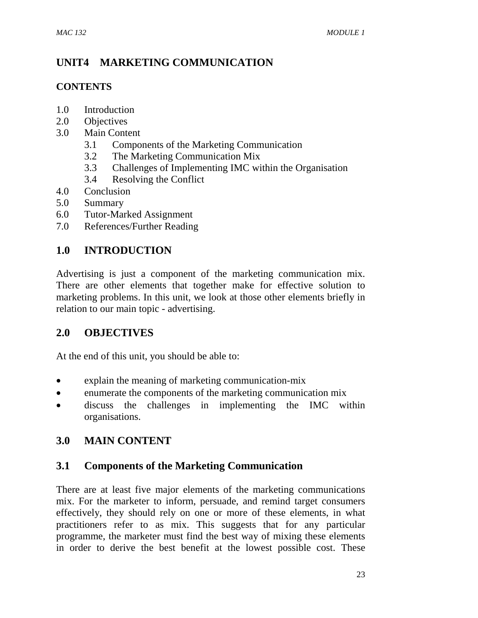# **UNIT4 MARKETING COMMUNICATION**

#### **CONTENTS**

- 1.0 Introduction
- 2.0 Objectives
- 3.0 Main Content
	- 3.1 Components of the Marketing Communication
	- 3.2 The Marketing Communication Mix
	- 3.3 Challenges of Implementing IMC within the Organisation
	- 3.4 Resolving the Conflict
- 4.0 Conclusion
- 5.0 Summary
- 6.0 Tutor-Marked Assignment
- 7.0 References/Further Reading

# **1.0 INTRODUCTION**

Advertising is just a component of the marketing communication mix. There are other elements that together make for effective solution to marketing problems. In this unit, we look at those other elements briefly in relation to our main topic - advertising.

## **2.0 OBJECTIVES**

At the end of this unit, you should be able to:

- explain the meaning of marketing communication-mix
- enumerate the components of the marketing communication mix
- discuss the challenges in implementing the IMC within organisations.

## **3.0 MAIN CONTENT**

## **3.1 Components of the Marketing Communication**

There are at least five major elements of the marketing communications mix. For the marketer to inform, persuade, and remind target consumers effectively, they should rely on one or more of these elements, in what practitioners refer to as mix. This suggests that for any particular programme, the marketer must find the best way of mixing these elements in order to derive the best benefit at the lowest possible cost. These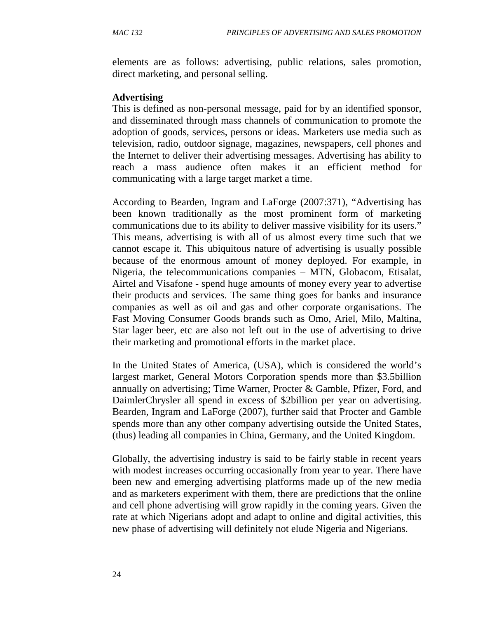elements are as follows: advertising, public relations, sales promotion, direct marketing, and personal selling.

#### **Advertising**

This is defined as non-personal message, paid for by an identified sponsor, and disseminated through mass channels of communication to promote the adoption of goods, services, persons or ideas. Marketers use media such as television, radio, outdoor signage, magazines, newspapers, cell phones and the Internet to deliver their advertising messages. Advertising has ability to reach a mass audience often makes it an efficient method for communicating with a large target market a time.

According to Bearden, Ingram and LaForge (2007:371), "Advertising has been known traditionally as the most prominent form of marketing communications due to its ability to deliver massive visibility for its users." This means, advertising is with all of us almost every time such that we cannot escape it. This ubiquitous nature of advertising is usually possible because of the enormous amount of money deployed. For example, in Nigeria, the telecommunications companies – MTN, Globacom, Etisalat, Airtel and Visafone - spend huge amounts of money every year to advertise their products and services. The same thing goes for banks and insurance companies as well as oil and gas and other corporate organisations. The Fast Moving Consumer Goods brands such as Omo, Ariel, Milo, Maltina, Star lager beer, etc are also not left out in the use of advertising to drive their marketing and promotional efforts in the market place.

In the United States of America, (USA), which is considered the world's largest market, General Motors Corporation spends more than \$3.5billion annually on advertising; Time Warner, Procter & Gamble, Pfizer, Ford, and DaimlerChrysler all spend in excess of \$2billion per year on advertising. Bearden, Ingram and LaForge (2007), further said that Procter and Gamble spends more than any other company advertising outside the United States, (thus) leading all companies in China, Germany, and the United Kingdom.

Globally, the advertising industry is said to be fairly stable in recent years with modest increases occurring occasionally from year to year. There have been new and emerging advertising platforms made up of the new media and as marketers experiment with them, there are predictions that the online and cell phone advertising will grow rapidly in the coming years. Given the rate at which Nigerians adopt and adapt to online and digital activities, this new phase of advertising will definitely not elude Nigeria and Nigerians.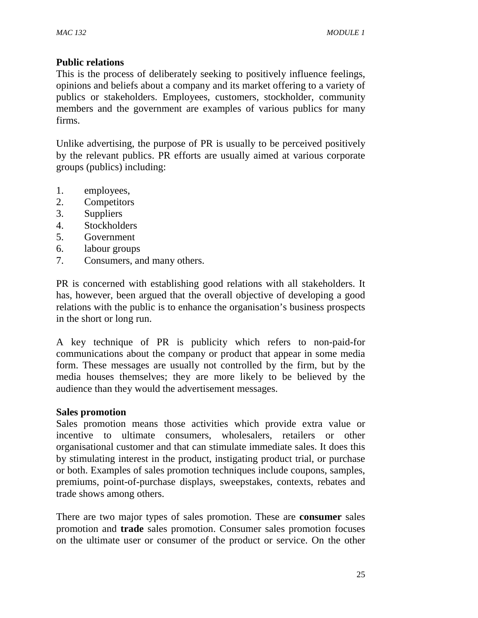#### **Public relations**

This is the process of deliberately seeking to positively influence feelings, opinions and beliefs about a company and its market offering to a variety of publics or stakeholders. Employees, customers, stockholder, community members and the government are examples of various publics for many firms.

Unlike advertising, the purpose of PR is usually to be perceived positively by the relevant publics. PR efforts are usually aimed at various corporate groups (publics) including:

- 1. employees,
- 2. Competitors
- 3. Suppliers
- 4. Stockholders
- 5. Government
- 6. labour groups
- 7. Consumers, and many others.

PR is concerned with establishing good relations with all stakeholders. It has, however, been argued that the overall objective of developing a good relations with the public is to enhance the organisation's business prospects in the short or long run.

A key technique of PR is publicity which refers to non-paid-for communications about the company or product that appear in some media form. These messages are usually not controlled by the firm, but by the media houses themselves; they are more likely to be believed by the audience than they would the advertisement messages.

#### **Sales promotion**

Sales promotion means those activities which provide extra value or incentive to ultimate consumers, wholesalers, retailers or other organisational customer and that can stimulate immediate sales. It does this by stimulating interest in the product, instigating product trial, or purchase or both. Examples of sales promotion techniques include coupons, samples, premiums, point-of-purchase displays, sweepstakes, contexts, rebates and trade shows among others.

There are two major types of sales promotion. These are **consumer** sales promotion and **trade** sales promotion. Consumer sales promotion focuses on the ultimate user or consumer of the product or service. On the other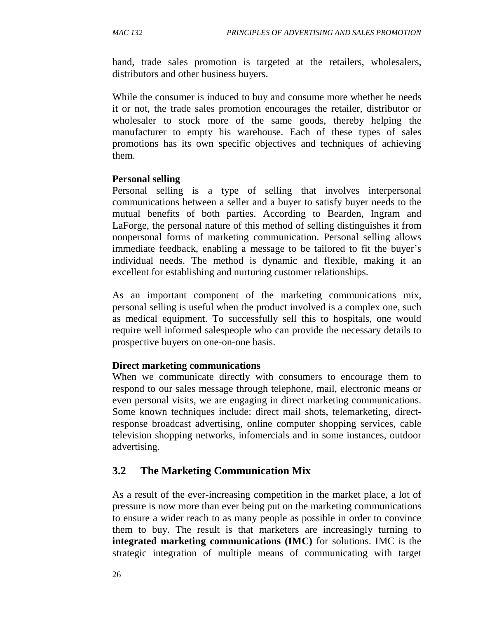hand, trade sales promotion is targeted at the retailers, wholesalers, distributors and other business buyers.

While the consumer is induced to buy and consume more whether he needs it or not, the trade sales promotion encourages the retailer, distributor or wholesaler to stock more of the same goods, thereby helping the manufacturer to empty his warehouse. Each of these types of sales promotions has its own specific objectives and techniques of achieving them.

#### **Personal selling**

Personal selling is a type of selling that involves interpersonal communications between a seller and a buyer to satisfy buyer needs to the mutual benefits of both parties. According to Bearden, Ingram and LaForge, the personal nature of this method of selling distinguishes it from nonpersonal forms of marketing communication. Personal selling allows immediate feedback, enabling a message to be tailored to fit the buyer's individual needs. The method is dynamic and flexible, making it an excellent for establishing and nurturing customer relationships.

As an important component of the marketing communications mix, personal selling is useful when the product involved is a complex one, such as medical equipment. To successfully sell this to hospitals, one would require well informed salespeople who can provide the necessary details to prospective buyers on one-on-one basis.

### **Direct marketing communications**

When we communicate directly with consumers to encourage them to respond to our sales message through telephone, mail, electronic means or even personal visits, we are engaging in direct marketing communications. Some known techniques include: direct mail shots, telemarketing, directresponse broadcast advertising, online computer shopping services, cable television shopping networks, infomercials and in some instances, outdoor advertising.

## **3.2 The Marketing Communication Mix**

As a result of the ever-increasing competition in the market place, a lot of pressure is now more than ever being put on the marketing communications to ensure a wider reach to as many people as possible in order to convince them to buy. The result is that marketers are increasingly turning to **integrated marketing communications (IMC)** for solutions. IMC is the strategic integration of multiple means of communicating with target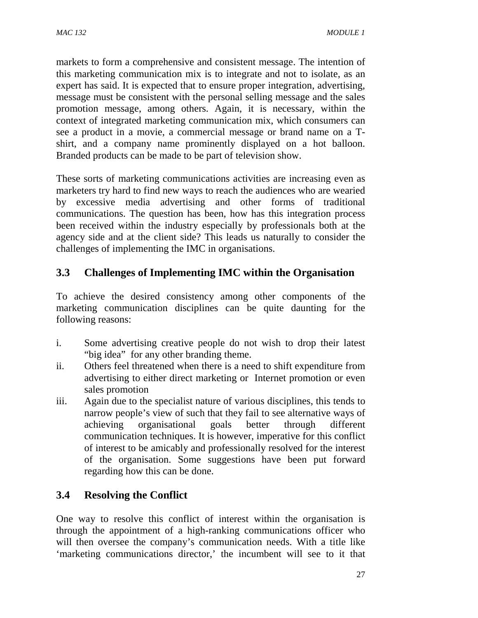markets to form a comprehensive and consistent message. The intention of this marketing communication mix is to integrate and not to isolate, as an expert has said. It is expected that to ensure proper integration, advertising, message must be consistent with the personal selling message and the sales promotion message, among others. Again, it is necessary, within the context of integrated marketing communication mix, which consumers can see a product in a movie, a commercial message or brand name on a Tshirt, and a company name prominently displayed on a hot balloon. Branded products can be made to be part of television show.

These sorts of marketing communications activities are increasing even as marketers try hard to find new ways to reach the audiences who are wearied by excessive media advertising and other forms of traditional communications. The question has been, how has this integration process been received within the industry especially by professionals both at the agency side and at the client side? This leads us naturally to consider the challenges of implementing the IMC in organisations.

# **3.3 Challenges of Implementing IMC within the Organisation**

To achieve the desired consistency among other components of the marketing communication disciplines can be quite daunting for the following reasons:

- i. Some advertising creative people do not wish to drop their latest "big idea" for any other branding theme.
- ii. Others feel threatened when there is a need to shift expenditure from advertising to either direct marketing or Internet promotion or even sales promotion
- iii. Again due to the specialist nature of various disciplines, this tends to narrow people's view of such that they fail to see alternative ways of achieving organisational goals better through different communication techniques. It is however, imperative for this conflict of interest to be amicably and professionally resolved for the interest of the organisation. Some suggestions have been put forward regarding how this can be done.

# **3.4 Resolving the Conflict**

One way to resolve this conflict of interest within the organisation is through the appointment of a high-ranking communications officer who will then oversee the company's communication needs. With a title like 'marketing communications director,' the incumbent will see to it that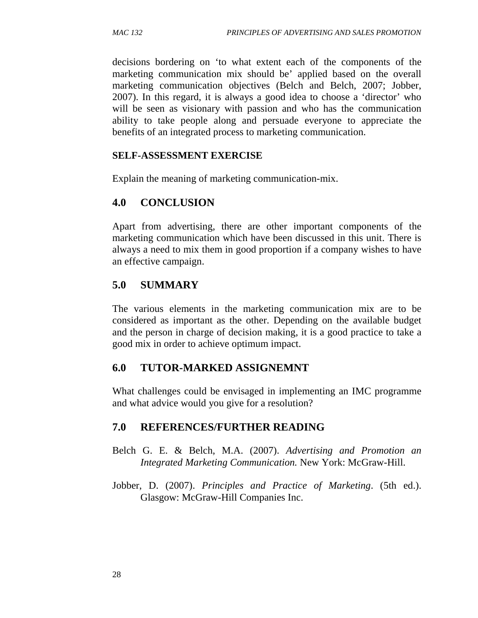decisions bordering on 'to what extent each of the components of the marketing communication mix should be' applied based on the overall marketing communication objectives (Belch and Belch, 2007; Jobber, 2007). In this regard, it is always a good idea to choose a 'director' who will be seen as visionary with passion and who has the communication ability to take people along and persuade everyone to appreciate the benefits of an integrated process to marketing communication.

### **SELF-ASSESSMENT EXERCISE**

Explain the meaning of marketing communication-mix.

## **4.0 CONCLUSION**

Apart from advertising, there are other important components of the marketing communication which have been discussed in this unit. There is always a need to mix them in good proportion if a company wishes to have an effective campaign.

## **5.0 SUMMARY**

The various elements in the marketing communication mix are to be considered as important as the other. Depending on the available budget and the person in charge of decision making, it is a good practice to take a good mix in order to achieve optimum impact.

## **6.0 TUTOR-MARKED ASSIGNEMNT**

What challenges could be envisaged in implementing an IMC programme and what advice would you give for a resolution?

## **7.0 REFERENCES/FURTHER READING**

- Belch G. E. & Belch, M.A. (2007). *Advertising and Promotion an Integrated Marketing Communication.* New York: McGraw-Hill.
- Jobber, D. (2007). *Principles and Practice of Marketing*. (5th ed.). Glasgow: McGraw-Hill Companies Inc.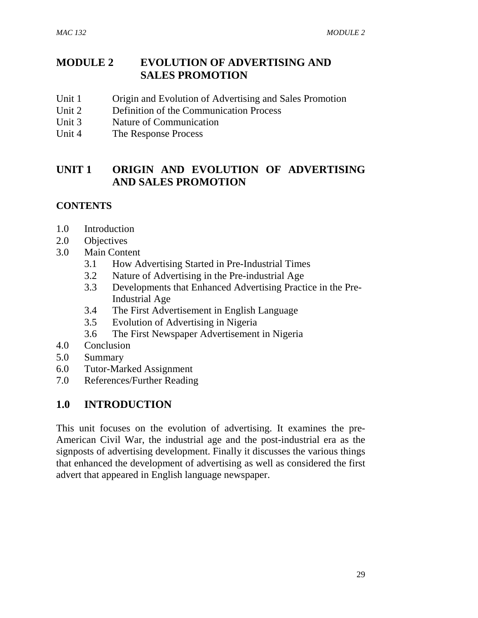# **MODULE 2 EVOLUTION OF ADVERTISING AND SALES PROMOTION**

- Unit 1 Origin and Evolution of Advertising and Sales Promotion
- Unit 2 Definition of the Communication Process
- Unit 3 Nature of Communication
- Unit 4 The Response Process

## **UNIT 1 ORIGIN AND EVOLUTION OF ADVERTISING AND SALES PROMOTION**

### **CONTENTS**

- 1.0 Introduction
- 2.0 Objectives
- 3.0 Main Content
	- 3.1 How Advertising Started in Pre-Industrial Times
	- 3.2 Nature of Advertising in the Pre-industrial Age
	- 3.3 Developments that Enhanced Advertising Practice in the Pre-Industrial Age
	- 3.4 The First Advertisement in English Language
	- 3.5 Evolution of Advertising in Nigeria
	- 3.6 The First Newspaper Advertisement in Nigeria
- 4.0 Conclusion
- 5.0 Summary
- 6.0 Tutor-Marked Assignment
- 7.0 References/Further Reading

# **1.0 INTRODUCTION**

This unit focuses on the evolution of advertising. It examines the pre-American Civil War, the industrial age and the post-industrial era as the signposts of advertising development. Finally it discusses the various things that enhanced the development of advertising as well as considered the first advert that appeared in English language newspaper.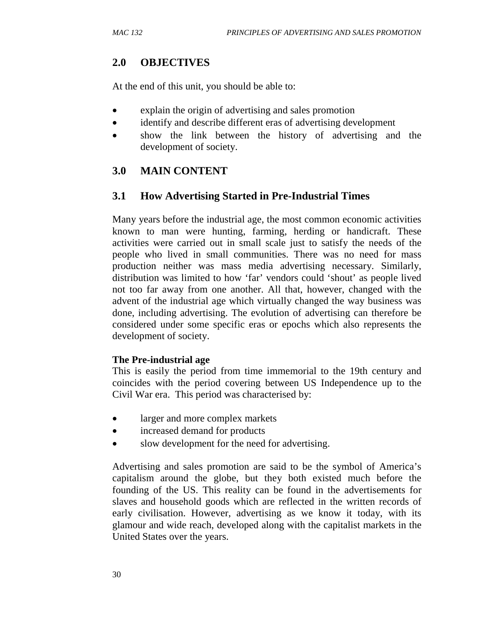## **2.0 OBJECTIVES**

At the end of this unit, you should be able to:

- explain the origin of advertising and sales promotion
- identify and describe different eras of advertising development
- show the link between the history of advertising and the development of society.

# **3.0 MAIN CONTENT**

# **3.1 How Advertising Started in Pre-Industrial Times**

Many years before the industrial age, the most common economic activities known to man were hunting, farming, herding or handicraft. These activities were carried out in small scale just to satisfy the needs of the people who lived in small communities. There was no need for mass production neither was mass media advertising necessary. Similarly, distribution was limited to how 'far' vendors could 'shout' as people lived not too far away from one another. All that, however, changed with the advent of the industrial age which virtually changed the way business was done, including advertising. The evolution of advertising can therefore be considered under some specific eras or epochs which also represents the development of society.

### **The Pre-industrial age**

This is easily the period from time immemorial to the 19th century and coincides with the period covering between US Independence up to the Civil War era. This period was characterised by:

- larger and more complex markets
- increased demand for products
- slow development for the need for advertising.

Advertising and sales promotion are said to be the symbol of America's capitalism around the globe, but they both existed much before the founding of the US. This reality can be found in the advertisements for slaves and household goods which are reflected in the written records of early civilisation. However, advertising as we know it today, with its glamour and wide reach, developed along with the capitalist markets in the United States over the years.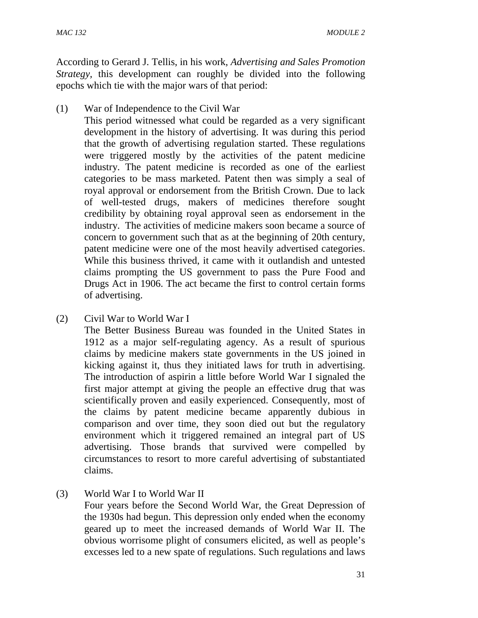According to Gerard J. Tellis, in his work, *Advertising and Sales Promotion Strategy,* this development can roughly be divided into the following epochs which tie with the major wars of that period:

(1) War of Independence to the Civil War

This period witnessed what could be regarded as a very significant development in the history of advertising. It was during this period that the growth of advertising regulation started. These regulations were triggered mostly by the activities of the patent medicine industry. The patent medicine is recorded as one of the earliest categories to be mass marketed. Patent then was simply a seal of royal approval or endorsement from the British Crown. Due to lack of well-tested drugs, makers of medicines therefore sought credibility by obtaining royal approval seen as endorsement in the industry. The activities of medicine makers soon became a source of concern to government such that as at the beginning of 20th century, patent medicine were one of the most heavily advertised categories. While this business thrived, it came with it outlandish and untested claims prompting the US government to pass the Pure Food and Drugs Act in 1906. The act became the first to control certain forms of advertising.

(2) Civil War to World War I

The Better Business Bureau was founded in the United States in 1912 as a major self-regulating agency. As a result of spurious claims by medicine makers state governments in the US joined in kicking against it, thus they initiated laws for truth in advertising. The introduction of aspirin a little before World War I signaled the first major attempt at giving the people an effective drug that was scientifically proven and easily experienced. Consequently, most of the claims by patent medicine became apparently dubious in comparison and over time, they soon died out but the regulatory environment which it triggered remained an integral part of US advertising. Those brands that survived were compelled by circumstances to resort to more careful advertising of substantiated claims.

(3) World War I to World War II

Four years before the Second World War, the Great Depression of the 1930s had begun. This depression only ended when the economy geared up to meet the increased demands of World War II. The obvious worrisome plight of consumers elicited, as well as people's excesses led to a new spate of regulations. Such regulations and laws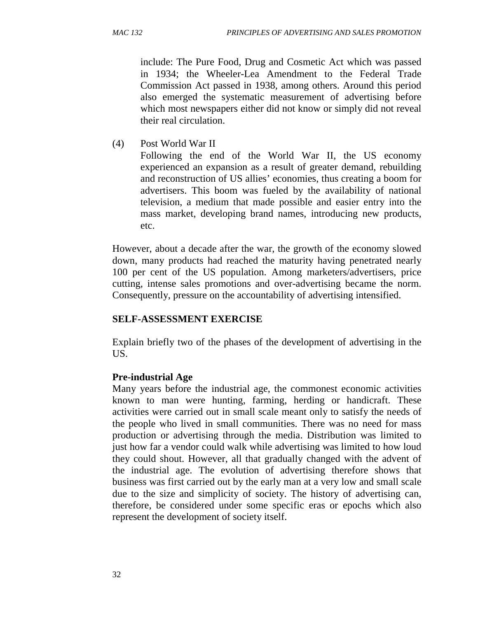include: The Pure Food, Drug and Cosmetic Act which was passed in 1934; the Wheeler-Lea Amendment to the Federal Trade Commission Act passed in 1938, among others. Around this period also emerged the systematic measurement of advertising before which most newspapers either did not know or simply did not reveal their real circulation.

(4) Post World War II

Following the end of the World War II, the US economy experienced an expansion as a result of greater demand, rebuilding and reconstruction of US allies' economies, thus creating a boom for advertisers. This boom was fueled by the availability of national television, a medium that made possible and easier entry into the mass market, developing brand names, introducing new products, etc.

However, about a decade after the war, the growth of the economy slowed down, many products had reached the maturity having penetrated nearly 100 per cent of the US population. Among marketers/advertisers, price cutting, intense sales promotions and over-advertising became the norm. Consequently, pressure on the accountability of advertising intensified.

## **SELF-ASSESSMENT EXERCISE**

Explain briefly two of the phases of the development of advertising in the US.

## **Pre-industrial Age**

Many years before the industrial age, the commonest economic activities known to man were hunting, farming, herding or handicraft. These activities were carried out in small scale meant only to satisfy the needs of the people who lived in small communities. There was no need for mass production or advertising through the media. Distribution was limited to just how far a vendor could walk while advertising was limited to how loud they could shout. However, all that gradually changed with the advent of the industrial age. The evolution of advertising therefore shows that business was first carried out by the early man at a very low and small scale due to the size and simplicity of society. The history of advertising can, therefore, be considered under some specific eras or epochs which also represent the development of society itself.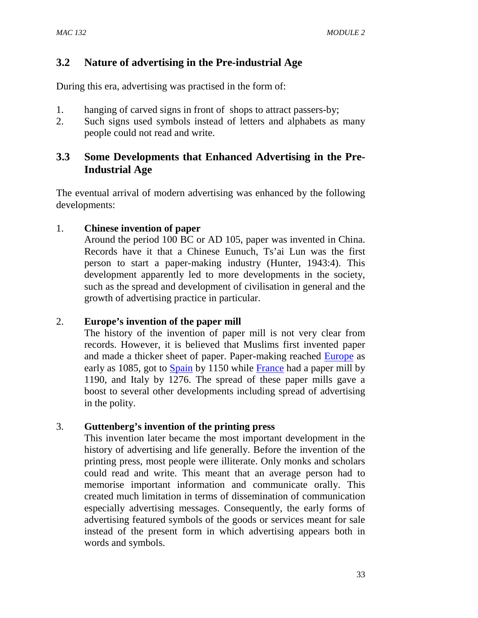## **3.2 Nature of advertising in the Pre-industrial Age**

During this era, advertising was practised in the form of:

- 1. hanging of carved signs in front of shops to attract passers-by;
- 2. Such signs used symbols instead of letters and alphabets as many people could not read and write.

## **3.3 Some Developments that Enhanced Advertising in the Pre-Industrial Age**

The eventual arrival of modern advertising was enhanced by the following developments:

### 1. **Chinese invention of paper**

Around the period 100 BC or AD 105, paper was invented in China. Records have it that a Chinese Eunuch, Ts'ai Lun was the first person to start a paper-making industry (Hunter, 1943:4). This development apparently led to more developments in the society, such as the spread and development of civilisation in general and the growth of advertising practice in particular.

### 2. **Europe's invention of the paper mill**

The history of the invention of paper mill is not very clear from records. However, it is believed that Muslims first invented paper and made a thicker sheet of paper. Paper-making reached Europe as early as 1085, got to Spain by 1150 while France had a paper mill by 1190, and Italy by 1276. The spread of these paper mills gave a boost to several other developments including spread of advertising in the polity.

### 3. **Guttenberg's invention of the printing press**

This invention later became the most important development in the history of advertising and life generally. Before the invention of the printing press, most people were illiterate. Only monks and scholars could read and write. This meant that an average person had to memorise important information and communicate orally. This created much limitation in terms of dissemination of communication especially advertising messages. Consequently, the early forms of advertising featured symbols of the goods or services meant for sale instead of the present form in which advertising appears both in words and symbols.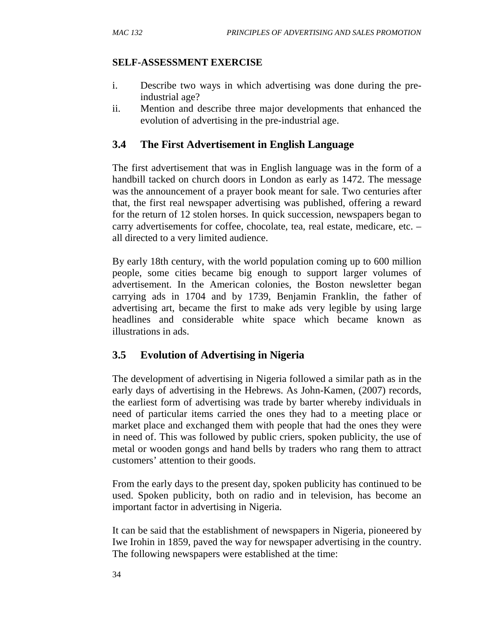### **SELF-ASSESSMENT EXERCISE**

- i. Describe two ways in which advertising was done during the preindustrial age?
- ii. Mention and describe three major developments that enhanced the evolution of advertising in the pre-industrial age.

## **3.4 The First Advertisement in English Language**

The first advertisement that was in English language was in the form of a handbill tacked on church doors in London as early as 1472. The message was the announcement of a prayer book meant for sale. Two centuries after that, the first real newspaper advertising was published, offering a reward for the return of 12 stolen horses. In quick succession, newspapers began to carry advertisements for coffee, chocolate, tea, real estate, medicare, etc. – all directed to a very limited audience.

By early 18th century, with the world population coming up to 600 million people, some cities became big enough to support larger volumes of advertisement. In the American colonies, the Boston newsletter began carrying ads in 1704 and by 1739, Benjamin Franklin, the father of advertising art, became the first to make ads very legible by using large headlines and considerable white space which became known as illustrations in ads.

# **3.5 Evolution of Advertising in Nigeria**

The development of advertising in Nigeria followed a similar path as in the early days of advertising in the Hebrews. As John-Kamen, (2007) records, the earliest form of advertising was trade by barter whereby individuals in need of particular items carried the ones they had to a meeting place or market place and exchanged them with people that had the ones they were in need of. This was followed by public criers, spoken publicity, the use of metal or wooden gongs and hand bells by traders who rang them to attract customers' attention to their goods.

From the early days to the present day, spoken publicity has continued to be used. Spoken publicity, both on radio and in television, has become an important factor in advertising in Nigeria.

It can be said that the establishment of newspapers in Nigeria, pioneered by Iwe Irohin in 1859, paved the way for newspaper advertising in the country. The following newspapers were established at the time: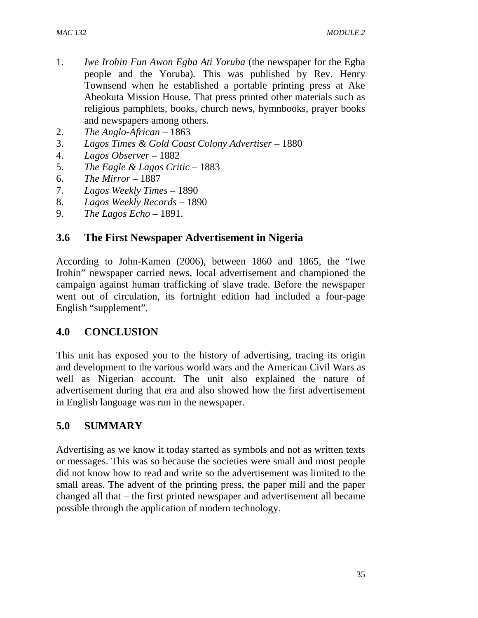- 1. *Iwe Irohin Fun Awon Egba Ati Yoruba* (the newspaper for the Egba people and the Yoruba)*.* This was published by Rev. Henry Townsend when he established a portable printing press at Ake Abeokuta Mission House. That press printed other materials such as religious pamphlets, books, church news, hymnbooks, prayer books and newspapers among others.
- 2. *The Anglo-African* 1863
- 3. *Lagos Times & Gold Coast Colony Advertiser* 1880
- 4. *Lagos Observer*  1882
- 5. *The Eagle & Lagos Critic* 1883
- 6. *The Mirror* 1887
- 7. *Lagos Weekly Times* 1890
- 8. *Lagos Weekly Records* 1890
- 9. *The Lagos Echo* 1891.

## **3.6 The First Newspaper Advertisement in Nigeria**

According to John-Kamen (2006), between 1860 and 1865, the "Iwe Irohin" newspaper carried news, local advertisement and championed the campaign against human trafficking of slave trade. Before the newspaper went out of circulation, its fortnight edition had included a four-page English "supplement".

## **4.0 CONCLUSION**

This unit has exposed you to the history of advertising, tracing its origin and development to the various world wars and the American Civil Wars as well as Nigerian account. The unit also explained the nature of advertisement during that era and also showed how the first advertisement in English language was run in the newspaper.

# **5.0 SUMMARY**

Advertising as we know it today started as symbols and not as written texts or messages. This was so because the societies were small and most people did not know how to read and write so the advertisement was limited to the small areas. The advent of the printing press, the paper mill and the paper changed all that – the first printed newspaper and advertisement all became possible through the application of modern technology.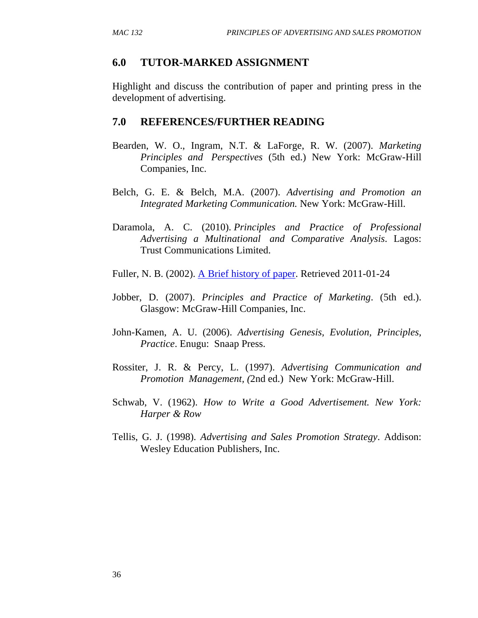### **6.0 TUTOR-MARKED ASSIGNMENT**

Highlight and discuss the contribution of paper and printing press in the development of advertising.

#### **7.0 REFERENCES/FURTHER READING**

- Bearden, W. O., Ingram, N.T. & LaForge, R. W. (2007). *Marketing Principles and Perspectives* (5th ed.) New York: McGraw-Hill Companies, Inc.
- Belch, G. E. & Belch, M.A. (2007). *Advertising and Promotion an Integrated Marketing Communication.* New York: McGraw-Hill.
- Daramola, A. C. (2010). *Principles and Practice of Professional Advertising a Multinational and Comparative Analysis*. Lagos: Trust Communications Limited.
- Fuller, N. B. (2002). A Brief history of paper. Retrieved 2011-01-24
- Jobber, D. (2007). *Principles and Practice of Marketing*. (5th ed.). Glasgow: McGraw-Hill Companies, Inc.
- John-Kamen, A. U. (2006). *Advertising Genesis, Evolution, Principles, Practice*. Enugu: Snaap Press.
- Rossiter, J. R. & Percy, L. (1997). *Advertising Communication and Promotion Management, (*2nd ed.) New York: McGraw-Hill.
- Schwab, V. (1962). *How to Write a Good Advertisement. New York: Harper & Row*
- Tellis, G. J. (1998). *Advertising and Sales Promotion Strategy*. Addison: Wesley Education Publishers, Inc.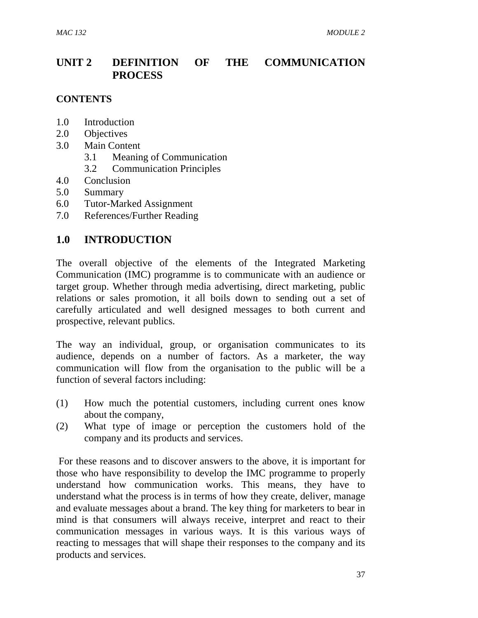## **UNIT 2 DEFINITION OF THE COMMUNICATION PROCESS**

#### **CONTENTS**

- 1.0 Introduction
- 2.0 Objectives
- 3.0 Main Content
	- 3.1 Meaning of Communication
	- 3.2 Communication Principles
- 4.0 Conclusion
- 5.0 Summary
- 6.0 Tutor-Marked Assignment
- 7.0 References/Further Reading

### **1.0 INTRODUCTION**

The overall objective of the elements of the Integrated Marketing Communication (IMC) programme is to communicate with an audience or target group. Whether through media advertising, direct marketing, public relations or sales promotion, it all boils down to sending out a set of carefully articulated and well designed messages to both current and prospective, relevant publics.

The way an individual, group, or organisation communicates to its audience, depends on a number of factors. As a marketer, the way communication will flow from the organisation to the public will be a function of several factors including:

- (1) How much the potential customers, including current ones know about the company,
- (2) What type of image or perception the customers hold of the company and its products and services.

 For these reasons and to discover answers to the above, it is important for those who have responsibility to develop the IMC programme to properly understand how communication works. This means, they have to understand what the process is in terms of how they create, deliver, manage and evaluate messages about a brand. The key thing for marketers to bear in mind is that consumers will always receive, interpret and react to their communication messages in various ways. It is this various ways of reacting to messages that will shape their responses to the company and its products and services.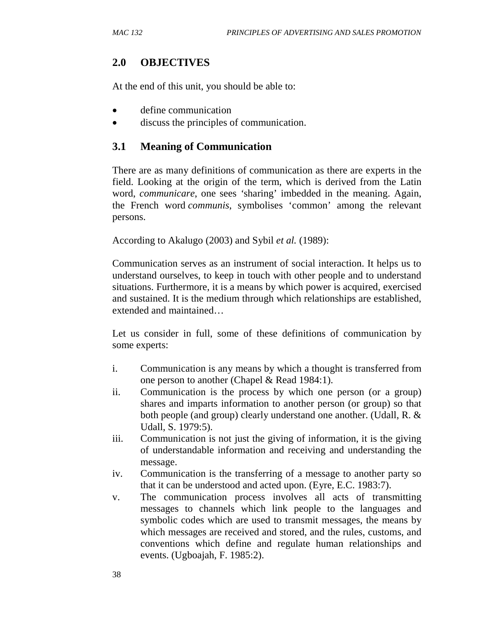## **2.0 OBJECTIVES**

At the end of this unit, you should be able to:

- define communication
- discuss the principles of communication.

## **3.1 Meaning of Communication**

There are as many definitions of communication as there are experts in the field. Looking at the origin of the term, which is derived from the Latin word, *communicare*, one sees *'*sharing' imbedded in the meaning. Again, the French word *communis*, symbolises 'common' among the relevant persons.

According to Akalugo (2003) and Sybil *et al.* (1989):

Communication serves as an instrument of social interaction. It helps us to understand ourselves, to keep in touch with other people and to understand situations. Furthermore, it is a means by which power is acquired, exercised and sustained. It is the medium through which relationships are established, extended and maintained…

Let us consider in full, some of these definitions of communication by some experts:

- i. Communication is any means by which a thought is transferred from one person to another (Chapel & Read 1984:1).
- ii. Communication is the process by which one person (or a group) shares and imparts information to another person (or group) so that both people (and group) clearly understand one another. (Udall, R. & Udall, S. 1979:5).
- iii. Communication is not just the giving of information, it is the giving of understandable information and receiving and understanding the message.
- iv. Communication is the transferring of a message to another party so that it can be understood and acted upon. (Eyre, E.C. 1983:7).
- v. The communication process involves all acts of transmitting messages to channels which link people to the languages and symbolic codes which are used to transmit messages, the means by which messages are received and stored, and the rules, customs, and conventions which define and regulate human relationships and events. (Ugboajah, F. 1985:2).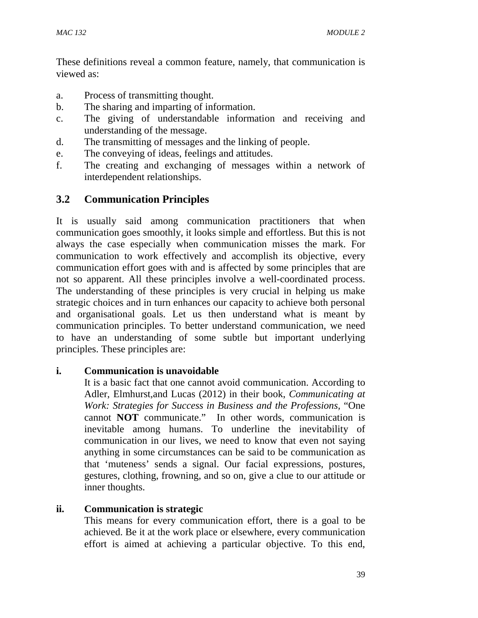These definitions reveal a common feature, namely, that communication is viewed as:

- a. Process of transmitting thought.
- b. The sharing and imparting of information.
- c. The giving of understandable information and receiving and understanding of the message.
- d. The transmitting of messages and the linking of people.
- e. The conveying of ideas, feelings and attitudes.
- f. The creating and exchanging of messages within a network of interdependent relationships.

## **3.2 Communication Principles**

It is usually said among communication practitioners that when communication goes smoothly, it looks simple and effortless. But this is not always the case especially when communication misses the mark. For communication to work effectively and accomplish its objective, every communication effort goes with and is affected by some principles that are not so apparent. All these principles involve a well-coordinated process. The understanding of these principles is very crucial in helping us make strategic choices and in turn enhances our capacity to achieve both personal and organisational goals. Let us then understand what is meant by communication principles. To better understand communication, we need to have an understanding of some subtle but important underlying principles. These principles are:

#### **i. Communication is unavoidable**

It is a basic fact that one cannot avoid communication. According to Adler, Elmhurst,and Lucas (2012) in their book, *Communicating at Work: Strategies for Success in Business and the Professions,* "One cannot **NOT** communicate." In other words, communication is inevitable among humans. To underline the inevitability of communication in our lives, we need to know that even not saying anything in some circumstances can be said to be communication as that 'muteness' sends a signal. Our facial expressions, postures, gestures, clothing, frowning, and so on, give a clue to our attitude or inner thoughts.

### **ii. Communication is strategic**

This means for every communication effort, there is a goal to be achieved. Be it at the work place or elsewhere, every communication effort is aimed at achieving a particular objective. To this end,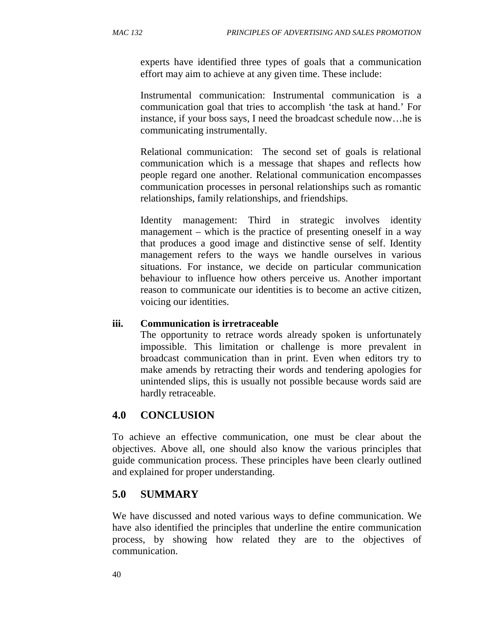experts have identified three types of goals that a communication effort may aim to achieve at any given time. These include:

Instrumental communication: Instrumental communication is a communication goal that tries to accomplish 'the task at hand.' For instance, if your boss says, I need the broadcast schedule now…he is communicating instrumentally.

Relational communication:The second set of goals is relational communication which is a message that shapes and reflects how people regard one another. Relational communication encompasses communication processes in personal relationships such as romantic relationships, family relationships, and friendships.

Identity management: Third in strategic involves identity management – which is the practice of presenting oneself in a way that produces a good image and distinctive sense of self. Identity management refers to the ways we handle ourselves in various situations. For instance, we decide on particular communication behaviour to influence how others perceive us. Another important reason to communicate our identities is to become an active citizen, voicing our identities.

### **iii. Communication is irretraceable**

The opportunity to retrace words already spoken is unfortunately impossible. This limitation or challenge is more prevalent in broadcast communication than in print. Even when editors try to make amends by retracting their words and tendering apologies for unintended slips, this is usually not possible because words said are hardly retraceable.

# **4.0 CONCLUSION**

To achieve an effective communication, one must be clear about the objectives. Above all, one should also know the various principles that guide communication process. These principles have been clearly outlined and explained for proper understanding.

## **5.0 SUMMARY**

We have discussed and noted various ways to define communication. We have also identified the principles that underline the entire communication process, by showing how related they are to the objectives of communication.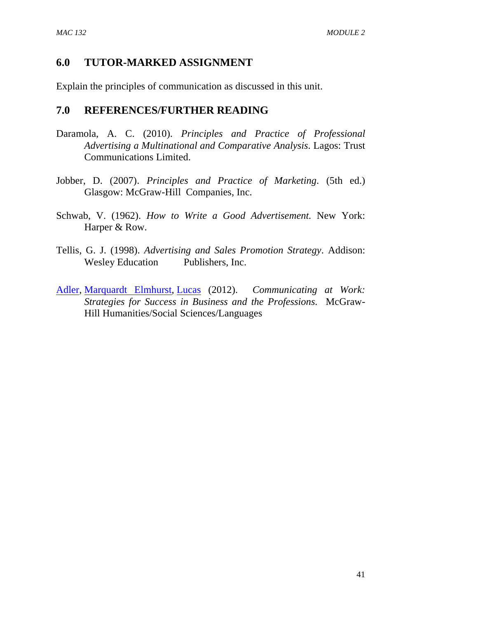## **6.0 TUTOR-MARKED ASSIGNMENT**

Explain the principles of communication as discussed in this unit.

### **7.0 REFERENCES/FURTHER READING**

- Daramola, A. C. (2010). *Principles and Practice of Professional Advertising a Multinational and Comparative Analysis*. Lagos: Trust Communications Limited.
- Jobber, D. (2007). *Principles and Practice of Marketing*. (5th ed.) Glasgow: McGraw-Hill Companies, Inc.
- Schwab, V. (1962). *How to Write a Good Advertisement.* New York: Harper & Row.
- Tellis, G. J. (1998). *Advertising and Sales Promotion Strategy*. Addison: Wesley Education Publishers, Inc.
- Adler, Marquardt Elmhurst, Lucas (2012). *Communicating at Work: Strategies for Success in Business and the Professions.* McGraw-Hill Humanities/Social Sciences/Languages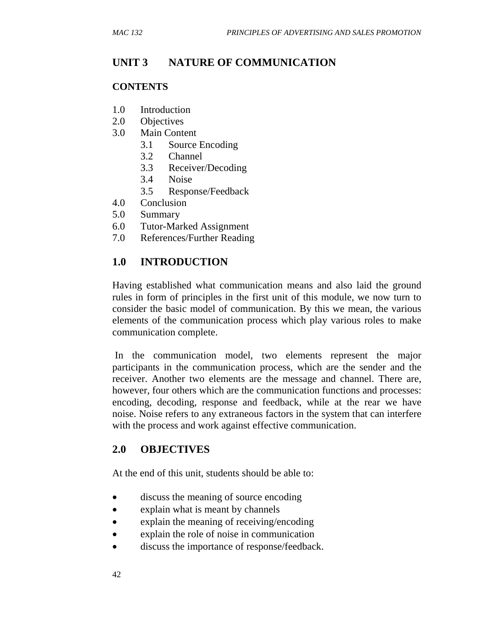# **UNIT 3 NATURE OF COMMUNICATION**

### **CONTENTS**

- 1.0 Introduction
- 2.0 Objectives
- 3.0 Main Content
	- 3.1 Source Encoding
	- 3.2 Channel
	- 3.3 Receiver/Decoding
	- 3.4 Noise
	- 3.5 Response/Feedback
- 4.0 Conclusion
- 5.0 Summary
- 6.0 Tutor-Marked Assignment
- 7.0 References/Further Reading

## **1.0 INTRODUCTION**

Having established what communication means and also laid the ground rules in form of principles in the first unit of this module, we now turn to consider the basic model of communication. By this we mean, the various elements of the communication process which play various roles to make communication complete.

 In the communication model, two elements represent the major participants in the communication process, which are the sender and the receiver. Another two elements are the message and channel. There are, however, four others which are the communication functions and processes: encoding, decoding, response and feedback, while at the rear we have noise. Noise refers to any extraneous factors in the system that can interfere with the process and work against effective communication.

## **2.0 OBJECTIVES**

At the end of this unit, students should be able to:

- discuss the meaning of source encoding
- explain what is meant by channels
- explain the meaning of receiving/encoding
- explain the role of noise in communication
- discuss the importance of response/feedback.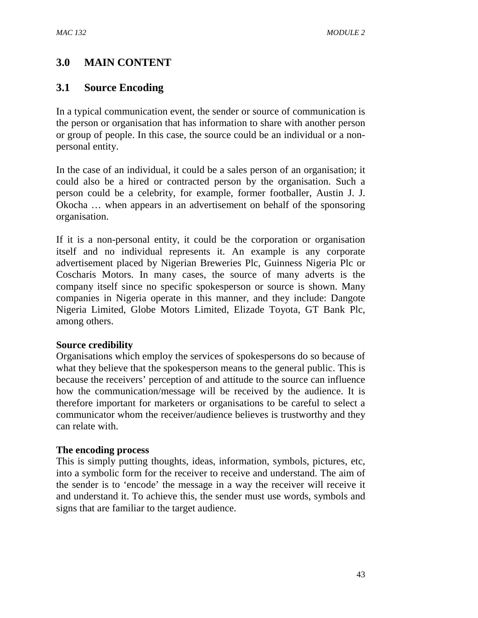# **3.0 MAIN CONTENT**

## **3.1 Source Encoding**

In a typical communication event, the sender or source of communication is the person or organisation that has information to share with another person or group of people. In this case, the source could be an individual or a nonpersonal entity.

In the case of an individual, it could be a sales person of an organisation; it could also be a hired or contracted person by the organisation. Such a person could be a celebrity, for example, former footballer, Austin J. J. Okocha … when appears in an advertisement on behalf of the sponsoring organisation.

If it is a non-personal entity, it could be the corporation or organisation itself and no individual represents it. An example is any corporate advertisement placed by Nigerian Breweries Plc, Guinness Nigeria Plc or Coscharis Motors. In many cases, the source of many adverts is the company itself since no specific spokesperson or source is shown. Many companies in Nigeria operate in this manner, and they include: Dangote Nigeria Limited, Globe Motors Limited, Elizade Toyota, GT Bank Plc, among others.

#### **Source credibility**

Organisations which employ the services of spokespersons do so because of what they believe that the spokesperson means to the general public. This is because the receivers' perception of and attitude to the source can influence how the communication/message will be received by the audience. It is therefore important for marketers or organisations to be careful to select a communicator whom the receiver/audience believes is trustworthy and they can relate with.

#### **The encoding process**

This is simply putting thoughts, ideas, information, symbols, pictures, etc, into a symbolic form for the receiver to receive and understand. The aim of the sender is to 'encode' the message in a way the receiver will receive it and understand it. To achieve this, the sender must use words, symbols and signs that are familiar to the target audience.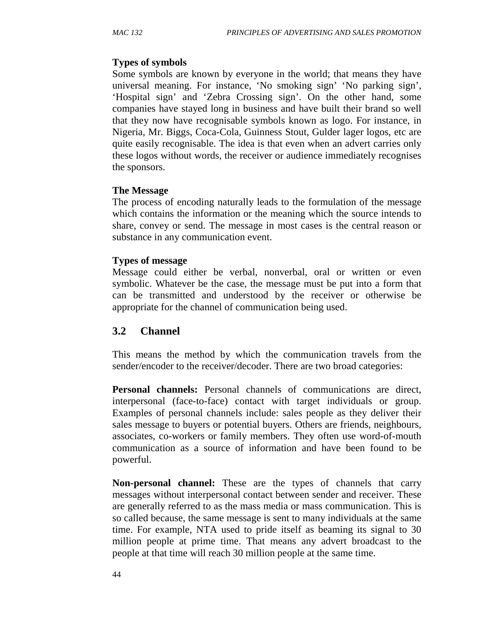### **Types of symbols**

Some symbols are known by everyone in the world; that means they have universal meaning. For instance, 'No smoking sign' 'No parking sign', 'Hospital sign' and 'Zebra Crossing sign'. On the other hand, some companies have stayed long in business and have built their brand so well that they now have recognisable symbols known as logo. For instance, in Nigeria, Mr. Biggs, Coca-Cola, Guinness Stout, Gulder lager logos, etc are quite easily recognisable. The idea is that even when an advert carries only these logos without words, the receiver or audience immediately recognises the sponsors.

### **The Message**

The process of encoding naturally leads to the formulation of the message which contains the information or the meaning which the source intends to share, convey or send. The message in most cases is the central reason or substance in any communication event.

### **Types of message**

Message could either be verbal, nonverbal, oral or written or even symbolic. Whatever be the case, the message must be put into a form that can be transmitted and understood by the receiver or otherwise be appropriate for the channel of communication being used.

## **3.2 Channel**

This means the method by which the communication travels from the sender/encoder to the receiver/decoder. There are two broad categories:

**Personal channels:** Personal channels of communications are direct, interpersonal (face-to-face) contact with target individuals or group. Examples of personal channels include: sales people as they deliver their sales message to buyers or potential buyers. Others are friends, neighbours, associates, co-workers or family members. They often use word-of-mouth communication as a source of information and have been found to be powerful.

**Non-personal channel:** These are the types of channels that carry messages without interpersonal contact between sender and receiver. These are generally referred to as the mass media or mass communication. This is so called because, the same message is sent to many individuals at the same time. For example, NTA used to pride itself as beaming its signal to 30 million people at prime time. That means any advert broadcast to the people at that time will reach 30 million people at the same time.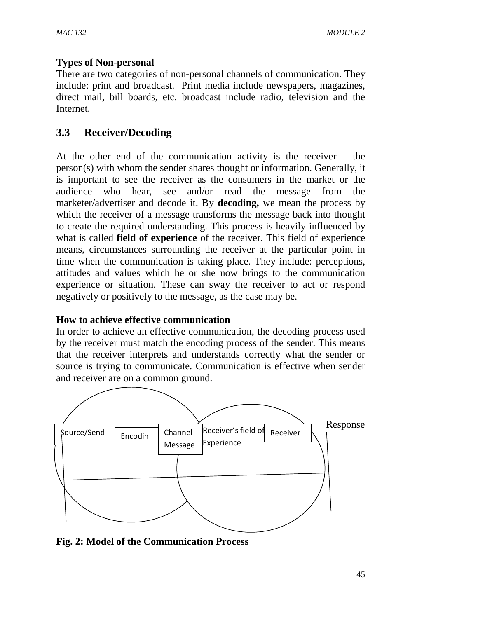### **Types of Non-personal**

There are two categories of non-personal channels of communication. They include: print and broadcast. Print media include newspapers, magazines, direct mail, bill boards, etc. broadcast include radio, television and the Internet.

## **3.3 Receiver/Decoding**

At the other end of the communication activity is the receiver – the person(s) with whom the sender shares thought or information. Generally, it is important to see the receiver as the consumers in the market or the audience who hear, see and/or read the message from the marketer/advertiser and decode it. By **decoding,** we mean the process by which the receiver of a message transforms the message back into thought to create the required understanding. This process is heavily influenced by what is called **field of experience** of the receiver. This field of experience means, circumstances surrounding the receiver at the particular point in time when the communication is taking place. They include: perceptions, attitudes and values which he or she now brings to the communication experience or situation. These can sway the receiver to act or respond negatively or positively to the message, as the case may be.

### **How to achieve effective communication**

In order to achieve an effective communication, the decoding process used by the receiver must match the encoding process of the sender. This means that the receiver interprets and understands correctly what the sender or source is trying to communicate. Communication is effective when sender and receiver are on a common ground.



**Fig. 2: Model of the Communication Process**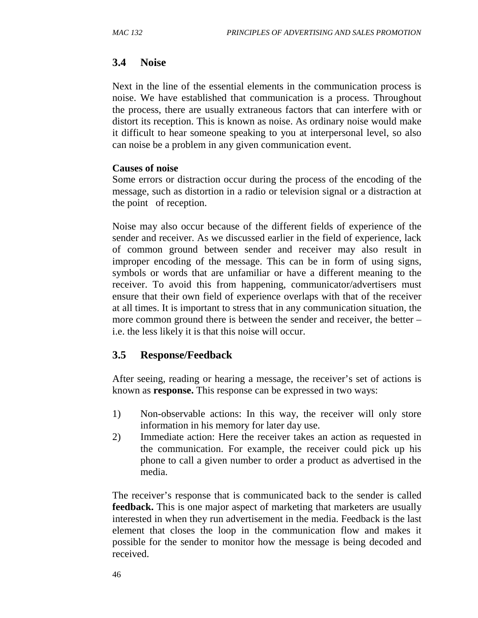## **3.4 Noise**

Next in the line of the essential elements in the communication process is noise. We have established that communication is a process. Throughout the process, there are usually extraneous factors that can interfere with or distort its reception. This is known as noise. As ordinary noise would make it difficult to hear someone speaking to you at interpersonal level, so also can noise be a problem in any given communication event.

### **Causes of noise**

Some errors or distraction occur during the process of the encoding of the message, such as distortion in a radio or television signal or a distraction at the point of reception.

Noise may also occur because of the different fields of experience of the sender and receiver. As we discussed earlier in the field of experience, lack of common ground between sender and receiver may also result in improper encoding of the message. This can be in form of using signs, symbols or words that are unfamiliar or have a different meaning to the receiver. To avoid this from happening, communicator/advertisers must ensure that their own field of experience overlaps with that of the receiver at all times. It is important to stress that in any communication situation, the more common ground there is between the sender and receiver, the better – i.e. the less likely it is that this noise will occur.

# **3.5 Response/Feedback**

After seeing, reading or hearing a message, the receiver's set of actions is known as **response.** This response can be expressed in two ways:

- 1) Non-observable actions: In this way, the receiver will only store information in his memory for later day use.
- 2) Immediate action: Here the receiver takes an action as requested in the communication. For example, the receiver could pick up his phone to call a given number to order a product as advertised in the media.

The receiver's response that is communicated back to the sender is called **feedback.** This is one major aspect of marketing that marketers are usually interested in when they run advertisement in the media. Feedback is the last element that closes the loop in the communication flow and makes it possible for the sender to monitor how the message is being decoded and received.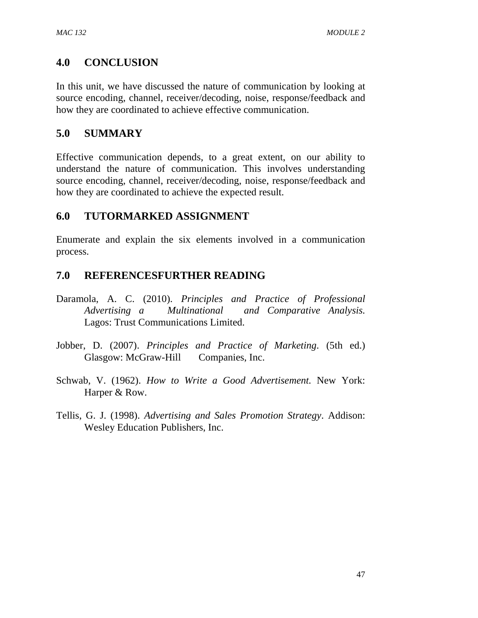## **4.0 CONCLUSION**

In this unit, we have discussed the nature of communication by looking at source encoding, channel, receiver/decoding, noise, response/feedback and how they are coordinated to achieve effective communication.

## **5.0 SUMMARY**

Effective communication depends, to a great extent, on our ability to understand the nature of communication. This involves understanding source encoding, channel, receiver/decoding, noise, response/feedback and how they are coordinated to achieve the expected result.

## **6.0 TUTORMARKED ASSIGNMENT**

Enumerate and explain the six elements involved in a communication process.

## **7.0 REFERENCESFURTHER READING**

- Daramola, A. C. (2010). *Principles and Practice of Professional Advertising a Multinational and Comparative Analysis.* Lagos: Trust Communications Limited.
- Jobber, D. (2007). *Principles and Practice of Marketing*. (5th ed.) Glasgow: McGraw-Hill Companies, Inc.
- Schwab, V. (1962). *How to Write a Good Advertisement.* New York: Harper & Row.
- Tellis, G. J. (1998). *Advertising and Sales Promotion Strategy*. Addison: Wesley Education Publishers, Inc.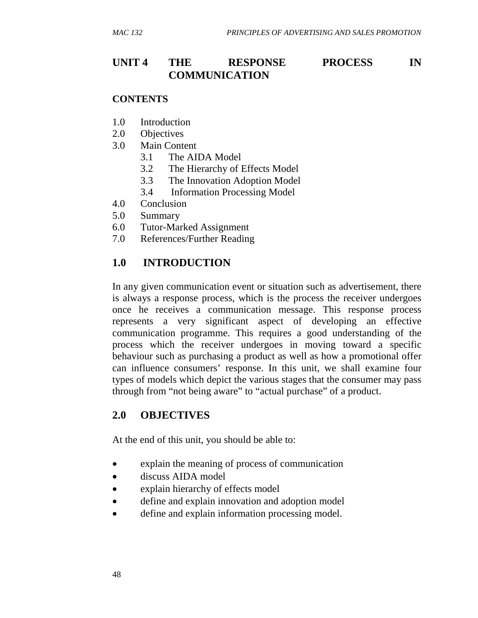## **UNIT 4 THE RESPONSE PROCESS IN COMMUNICATION**

#### **CONTENTS**

- 1.0 Introduction
- 2.0 Objectives
- 3.0 Main Content
	- 3.1 The AIDA Model
	- 3.2 The Hierarchy of Effects Model
	- 3.3 The Innovation Adoption Model
	- 3.4 Information Processing Model
- 4.0 Conclusion
- 5.0 Summary
- 6.0 Tutor-Marked Assignment
- 7.0 References/Further Reading

### **1.0 INTRODUCTION**

In any given communication event or situation such as advertisement, there is always a response process, which is the process the receiver undergoes once he receives a communication message. This response process represents a very significant aspect of developing an effective communication programme. This requires a good understanding of the process which the receiver undergoes in moving toward a specific behaviour such as purchasing a product as well as how a promotional offer can influence consumers' response. In this unit, we shall examine four types of models which depict the various stages that the consumer may pass through from "not being aware" to "actual purchase" of a product.

### **2.0 OBJECTIVES**

At the end of this unit, you should be able to:

- explain the meaning of process of communication
- discuss AIDA model
- explain hierarchy of effects model
- define and explain innovation and adoption model
- define and explain information processing model.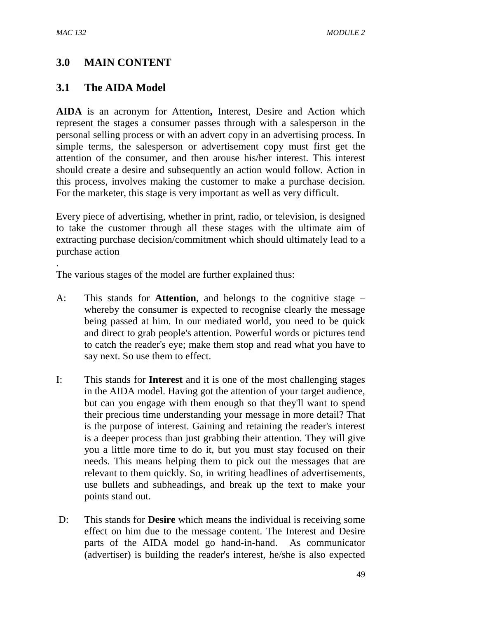.

# **3.0 MAIN CONTENT**

## **3.1 The AIDA Model**

**AIDA** is an acronym for Attention**,** Interest, Desire and Action which represent the stages a consumer passes through with a salesperson in the personal selling process or with an advert copy in an advertising process. In simple terms, the salesperson or advertisement copy must first get the attention of the consumer, and then arouse his/her interest. This interest should create a desire and subsequently an action would follow. Action in this process, involves making the customer to make a purchase decision. For the marketer, this stage is very important as well as very difficult.

Every piece of advertising, whether in print, radio, or television, is designed to take the customer through all these stages with the ultimate aim of extracting purchase decision/commitment which should ultimately lead to a purchase action

The various stages of the model are further explained thus:

- A: This stands for **Attention**, and belongs to the cognitive stage whereby the consumer is expected to recognise clearly the message being passed at him. In our mediated world, you need to be quick and direct to grab people's attention. Powerful words or pictures tend to catch the reader's eye; make them stop and read what you have to say next. So use them to effect.
- I: This stands for **Interest** and it is one of the most challenging stages in the AIDA model. Having got the attention of your target audience, but can you engage with them enough so that they'll want to spend their precious time understanding your message in more detail? That is the purpose of interest. Gaining and retaining the reader's interest is a deeper process than just grabbing their attention. They will give you a little more time to do it, but you must stay focused on their needs. This means helping them to pick out the messages that are relevant to them quickly. So, in writing headlines of advertisements, use bullets and subheadings, and break up the text to make your points stand out.
- D: This stands for **Desire** which means the individual is receiving some effect on him due to the message content. The Interest and Desire parts of the AIDA model go hand-in-hand. As communicator (advertiser) is building the reader's interest, he/she is also expected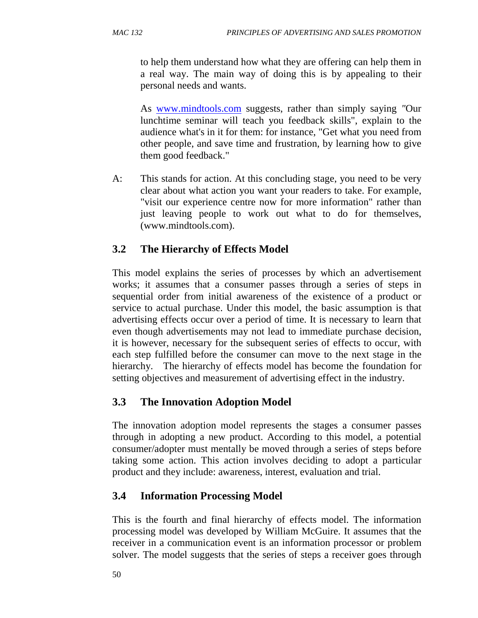to help them understand how what they are offering can help them in a real way. The main way of doing this is by appealing to their personal needs and wants.

As www.mindtools.com suggests, rather than simply saying *"*Our lunchtime seminar will teach you feedback skills", explain to the audience what's in it for them: for instance, "Get what you need from other people, and save time and frustration, by learning how to give them good feedback."

A: This stands for action. At this concluding stage, you need to be very clear about what action you want your readers to take. For example, "visit our experience centre now for more information" rather than just leaving people to work out what to do for themselves, (www.mindtools.com).

# **3.2 The Hierarchy of Effects Model**

This model explains the series of processes by which an advertisement works; it assumes that a consumer passes through a series of steps in sequential order from initial awareness of the existence of a product or service to actual purchase. Under this model, the basic assumption is that advertising effects occur over a period of time. It is necessary to learn that even though advertisements may not lead to immediate purchase decision, it is however, necessary for the subsequent series of effects to occur, with each step fulfilled before the consumer can move to the next stage in the hierarchy. The hierarchy of effects model has become the foundation for setting objectives and measurement of advertising effect in the industry.

# **3.3 The Innovation Adoption Model**

The innovation adoption model represents the stages a consumer passes through in adopting a new product. According to this model, a potential consumer/adopter must mentally be moved through a series of steps before taking some action. This action involves deciding to adopt a particular product and they include: awareness, interest, evaluation and trial.

# **3.4 Information Processing Model**

This is the fourth and final hierarchy of effects model. The information processing model was developed by William McGuire. It assumes that the receiver in a communication event is an information processor or problem solver. The model suggests that the series of steps a receiver goes through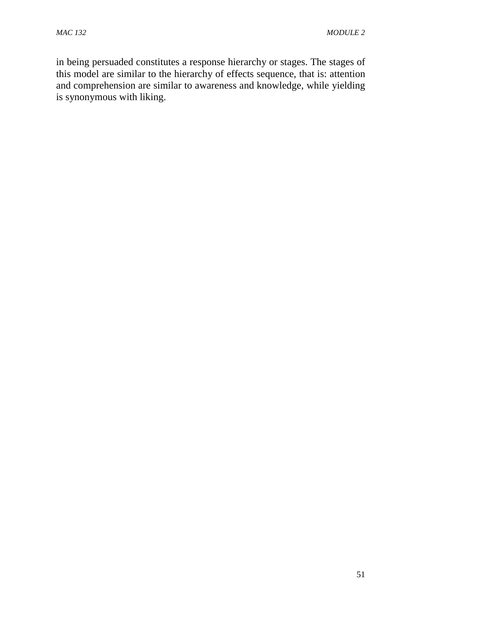in being persuaded constitutes a response hierarchy or stages. The stages of this model are similar to the hierarchy of effects sequence, that is: attention and comprehension are similar to awareness and knowledge, while yielding is synonymous with liking.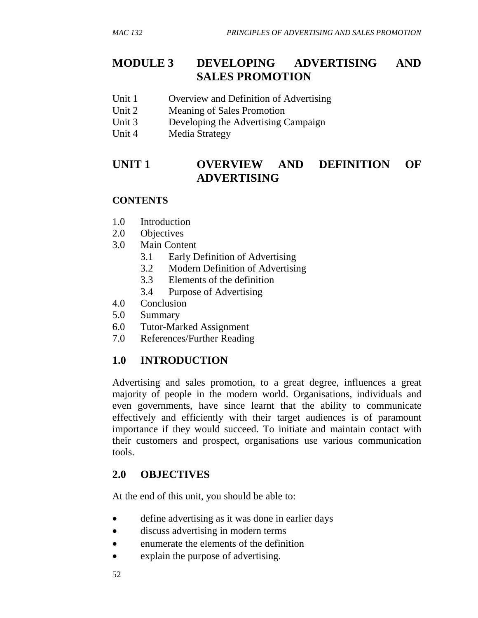# **MODULE 3 DEVELOPING ADVERTISING AND SALES PROMOTION**

- Unit 1 Overview and Definition of Advertising
- Unit 2 Meaning of Sales Promotion
- Unit 3 Developing the Advertising Campaign
- Unit 4 Media Strategy

# **UNIT 1 OVERVIEW AND DEFINITION OF ADVERTISING**

### **CONTENTS**

- 1.0 Introduction
- 2.0 Objectives
- 3.0 Main Content
	- 3.1 Early Definition of Advertising
	- 3.2 Modern Definition of Advertising
	- 3.3Elements of the definition
	- 3.4 Purpose of Advertising
- 4.0 Conclusion
- 5.0 Summary
- 6.0 Tutor-Marked Assignment
- 7.0 References/Further Reading

# **1.0 INTRODUCTION**

Advertising and sales promotion, to a great degree, influences a great majority of people in the modern world. Organisations, individuals and even governments, have since learnt that the ability to communicate effectively and efficiently with their target audiences is of paramount importance if they would succeed. To initiate and maintain contact with their customers and prospect, organisations use various communication tools.

# **2.0 OBJECTIVES**

At the end of this unit, you should be able to:

- define advertising as it was done in earlier days
- discuss advertising in modern terms
- enumerate the elements of the definition
- explain the purpose of advertising.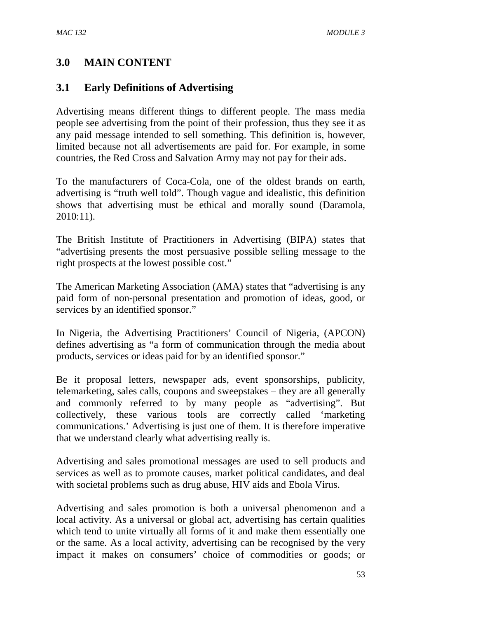# **3.0 MAIN CONTENT**

### **3.1 Early Definitions of Advertising**

Advertising means different things to different people. The mass media people see advertising from the point of their profession, thus they see it as any paid message intended to sell something. This definition is, however, limited because not all advertisements are paid for. For example, in some countries, the Red Cross and Salvation Army may not pay for their ads.

To the manufacturers of Coca-Cola, one of the oldest brands on earth, advertising is "truth well told". Though vague and idealistic, this definition shows that advertising must be ethical and morally sound (Daramola, 2010:11).

The British Institute of Practitioners in Advertising (BIPA) states that "advertising presents the most persuasive possible selling message to the right prospects at the lowest possible cost."

The American Marketing Association (AMA) states that "advertising is any paid form of non-personal presentation and promotion of ideas, good, or services by an identified sponsor."

In Nigeria, the Advertising Practitioners' Council of Nigeria, (APCON) defines advertising as "a form of communication through the media about products, services or ideas paid for by an identified sponsor."

Be it proposal letters, newspaper ads, event sponsorships, publicity, telemarketing, sales calls, coupons and sweepstakes – they are all generally and commonly referred to by many people as "advertising". But collectively, these various tools are correctly called 'marketing communications.' Advertising is just one of them. It is therefore imperative that we understand clearly what advertising really is.

Advertising and sales promotional messages are used to sell products and services as well as to promote causes, market political candidates, and deal with societal problems such as drug abuse, HIV aids and Ebola Virus.

Advertising and sales promotion is both a universal phenomenon and a local activity. As a universal or global act, advertising has certain qualities which tend to unite virtually all forms of it and make them essentially one or the same. As a local activity, advertising can be recognised by the very impact it makes on consumers' choice of commodities or goods; or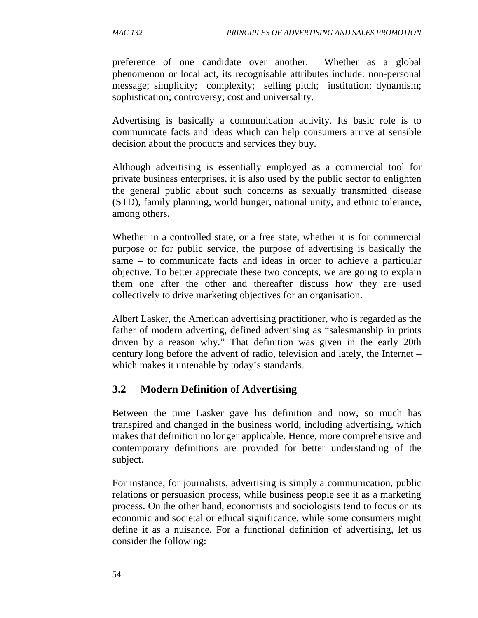preference of one candidate over another. Whether as a global phenomenon or local act, its recognisable attributes include: non-personal message; simplicity; complexity; selling pitch; institution; dynamism; sophistication; controversy; cost and universality.

Advertising is basically a communication activity. Its basic role is to communicate facts and ideas which can help consumers arrive at sensible decision about the products and services they buy.

Although advertising is essentially employed as a commercial tool for private business enterprises, it is also used by the public sector to enlighten the general public about such concerns as sexually transmitted disease (STD), family planning, world hunger, national unity, and ethnic tolerance, among others.

Whether in a controlled state, or a free state, whether it is for commercial purpose or for public service, the purpose of advertising is basically the same – to communicate facts and ideas in order to achieve a particular objective. To better appreciate these two concepts, we are going to explain them one after the other and thereafter discuss how they are used collectively to drive marketing objectives for an organisation.

Albert Lasker, the American advertising practitioner, who is regarded as the father of modern adverting, defined advertising as "salesmanship in prints driven by a reason why." That definition was given in the early 20th century long before the advent of radio, television and lately, the Internet – which makes it untenable by today's standards.

## **3.2 Modern Definition of Advertising**

Between the time Lasker gave his definition and now, so much has transpired and changed in the business world, including advertising, which makes that definition no longer applicable. Hence, more comprehensive and contemporary definitions are provided for better understanding of the subject.

For instance, for journalists, advertising is simply a communication, public relations or persuasion process, while business people see it as a marketing process. On the other hand, economists and sociologists tend to focus on its economic and societal or ethical significance, while some consumers might define it as a nuisance. For a functional definition of advertising, let us consider the following: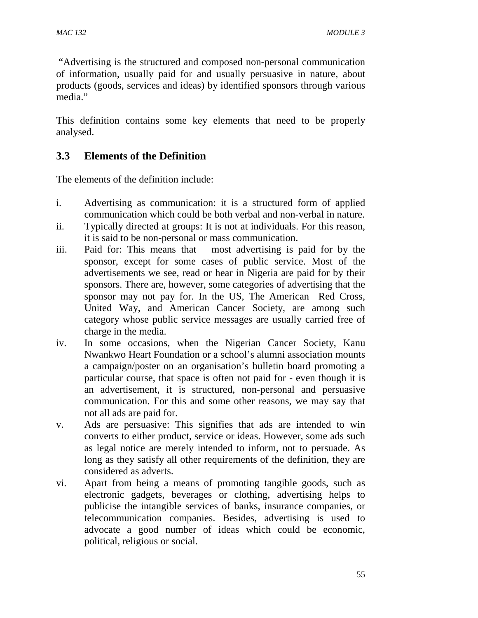"Advertising is the structured and composed non-personal communication of information, usually paid for and usually persuasive in nature, about products (goods, services and ideas) by identified sponsors through various media."

This definition contains some key elements that need to be properly analysed.

# **3.3 Elements of the Definition**

The elements of the definition include:

- i. Advertising as communication: it is a structured form of applied communication which could be both verbal and non-verbal in nature.
- ii. Typically directed at groups: It is not at individuals. For this reason, it is said to be non-personal or mass communication.
- iii. Paid for: This means that most advertising is paid for by the sponsor, except for some cases of public service. Most of the advertisements we see, read or hear in Nigeria are paid for by their sponsors. There are, however, some categories of advertising that the sponsor may not pay for. In the US, The American Red Cross, United Way, and American Cancer Society, are among such category whose public service messages are usually carried free of charge in the media.
- iv. In some occasions, when the Nigerian Cancer Society, Kanu Nwankwo Heart Foundation or a school's alumni association mounts a campaign/poster on an organisation's bulletin board promoting a particular course, that space is often not paid for - even though it is an advertisement, it is structured, non-personal and persuasive communication. For this and some other reasons, we may say that not all ads are paid for.
- v. Ads are persuasive: This signifies that ads are intended to win converts to either product, service or ideas. However, some ads such as legal notice are merely intended to inform, not to persuade. As long as they satisfy all other requirements of the definition, they are considered as adverts.
- vi. Apart from being a means of promoting tangible goods, such as electronic gadgets, beverages or clothing, advertising helps to publicise the intangible services of banks, insurance companies, or telecommunication companies. Besides, advertising is used to advocate a good number of ideas which could be economic, political, religious or social.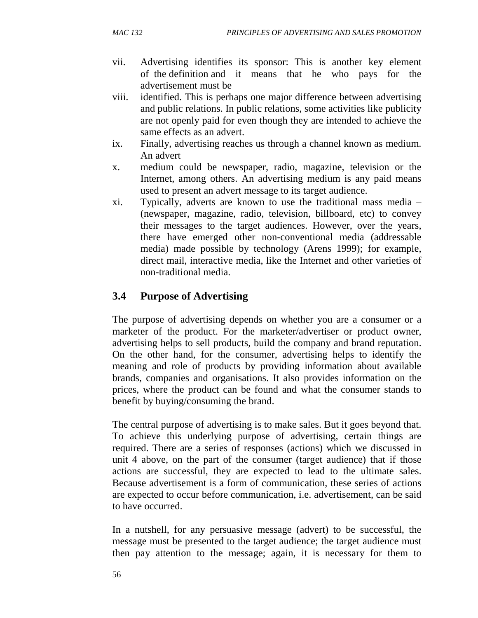- vii. Advertising identifies its sponsor: This is another key element of the definition and it means that he who pays for the advertisement must be
- viii. identified. This is perhaps one major difference between advertising and public relations. In public relations, some activities like publicity are not openly paid for even though they are intended to achieve the same effects as an advert.
- ix. Finally, advertising reaches us through a channel known as medium. An advert
- x. medium could be newspaper, radio, magazine, television or the Internet, among others. An advertising medium is any paid means used to present an advert message to its target audience.
- xi. Typically, adverts are known to use the traditional mass media (newspaper, magazine, radio, television, billboard, etc) to convey their messages to the target audiences. However, over the years, there have emerged other non-conventional media (addressable media) made possible by technology (Arens 1999); for example, direct mail, interactive media, like the Internet and other varieties of non-traditional media.

# **3.4 Purpose of Advertising**

The purpose of advertising depends on whether you are a consumer or a marketer of the product. For the marketer/advertiser or product owner, advertising helps to sell products, build the company and brand reputation. On the other hand, for the consumer, advertising helps to identify the meaning and role of products by providing information about available brands, companies and organisations. It also provides information on the prices, where the product can be found and what the consumer stands to benefit by buying/consuming the brand.

The central purpose of advertising is to make sales. But it goes beyond that. To achieve this underlying purpose of advertising, certain things are required. There are a series of responses (actions) which we discussed in unit 4 above, on the part of the consumer (target audience) that if those actions are successful, they are expected to lead to the ultimate sales. Because advertisement is a form of communication, these series of actions are expected to occur before communication, i.e. advertisement, can be said to have occurred.

In a nutshell, for any persuasive message (advert) to be successful, the message must be presented to the target audience; the target audience must then pay attention to the message; again, it is necessary for them to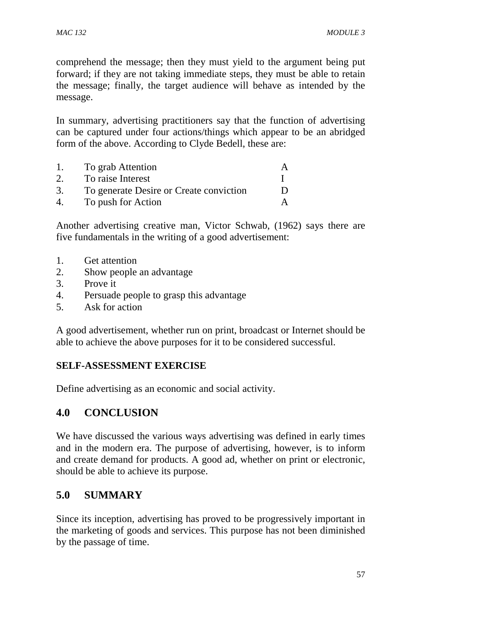comprehend the message; then they must yield to the argument being put forward; if they are not taking immediate steps, they must be able to retain the message; finally, the target audience will behave as intended by the message.

In summary, advertising practitioners say that the function of advertising can be captured under four actions/things which appear to be an abridged form of the above. According to Clyde Bedell, these are:

| $\mathbf{I}$ . | To grab Attention                       |   |
|----------------|-----------------------------------------|---|
|                | To raise Interest                       |   |
| 3.             | To generate Desire or Create conviction | Ð |
|                | To push for Action                      |   |

Another advertising creative man, Victor Schwab, (1962) says there are five fundamentals in the writing of a good advertisement:

- 1. Get attention
- 2. Show people an advantage
- 3. Prove it
- 4. Persuade people to grasp this advantage
- 5. Ask for action

A good advertisement, whether run on print, broadcast or Internet should be able to achieve the above purposes for it to be considered successful.

### **SELF-ASSESSMENT EXERCISE**

Define advertising as an economic and social activity.

## **4.0 CONCLUSION**

We have discussed the various ways advertising was defined in early times and in the modern era. The purpose of advertising, however, is to inform and create demand for products. A good ad, whether on print or electronic, should be able to achieve its purpose.

# **5.0 SUMMARY**

Since its inception, advertising has proved to be progressively important in the marketing of goods and services. This purpose has not been diminished by the passage of time.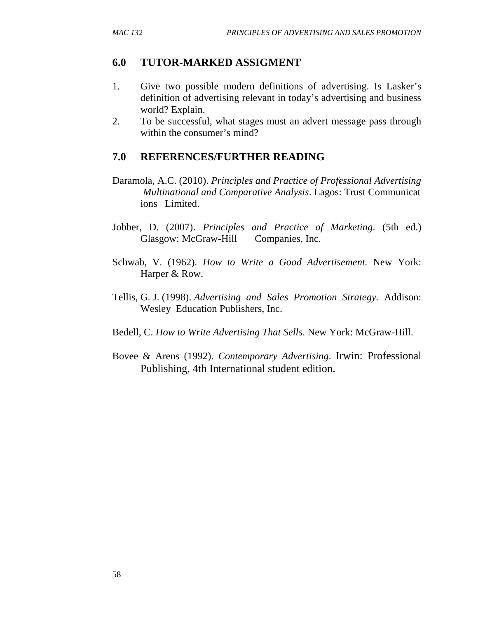## **6.0 TUTOR-MARKED ASSIGMENT**

- 1. Give two possible modern definitions of advertising. Is Lasker's definition of advertising relevant in today's advertising and business world? Explain.
- 2. To be successful, what stages must an advert message pass through within the consumer's mind?

## **7.0 REFERENCES/FURTHER READING**

- Daramola, A.C. (2010). *Principles and Practice of Professional Advertising Multinational and Comparative Analysis*. Lagos: Trust Communicat ions Limited.
- Jobber, D. (2007). *Principles and Practice of Marketing*. (5th ed.) Glasgow: McGraw-Hill Companies, Inc.
- Schwab, V. (1962). *How to Write a Good Advertisement.* New York: Harper & Row.
- Tellis, G. J. (1998). *Advertising and Sales Promotion Strategy.* Addison: Wesley Education Publishers, Inc.
- Bedell, C. *How to Write Advertising That Sells*. New York: McGraw-Hill.
- Bovee & Arens (1992). *Contemporary Advertising*. Irwin: Professional Publishing, 4th International student edition.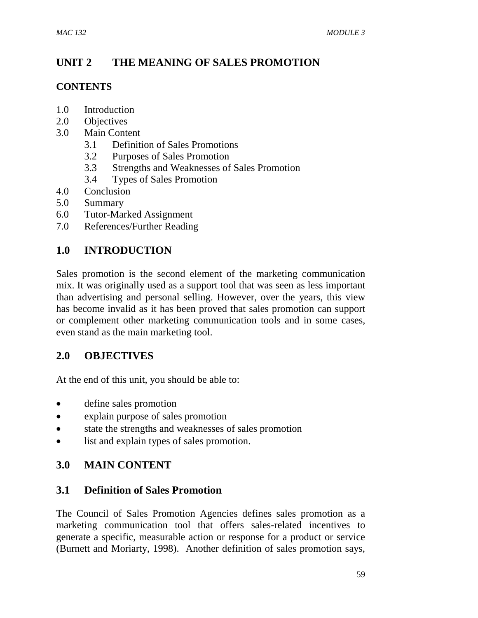# **UNIT 2 THE MEANING OF SALES PROMOTION**

### **CONTENTS**

- 1.0 Introduction
- 2.0 Objectives
- 3.0 Main Content
	- 3.1 Definition of Sales Promotions
	- 3.2 Purposes of Sales Promotion
	- 3.3Strengths and Weaknesses of Sales Promotion
	- 3.4Types of Sales Promotion
- 4.0 Conclusion
- 5.0 Summary
- 6.0 Tutor-Marked Assignment
- 7.0 References/Further Reading

## **1.0 INTRODUCTION**

Sales promotion is the second element of the marketing communication mix. It was originally used as a support tool that was seen as less important than advertising and personal selling. However, over the years, this view has become invalid as it has been proved that sales promotion can support or complement other marketing communication tools and in some cases, even stand as the main marketing tool.

### **2.0 OBJECTIVES**

At the end of this unit, you should be able to:

- define sales promotion
- explain purpose of sales promotion
- state the strengths and weaknesses of sales promotion
- list and explain types of sales promotion.

## **3.0 MAIN CONTENT**

### **3.1 Definition of Sales Promotion**

The Council of Sales Promotion Agencies defines sales promotion as a marketing communication tool that offers sales-related incentives to generate a specific, measurable action or response for a product or service (Burnett and Moriarty, 1998). Another definition of sales promotion says,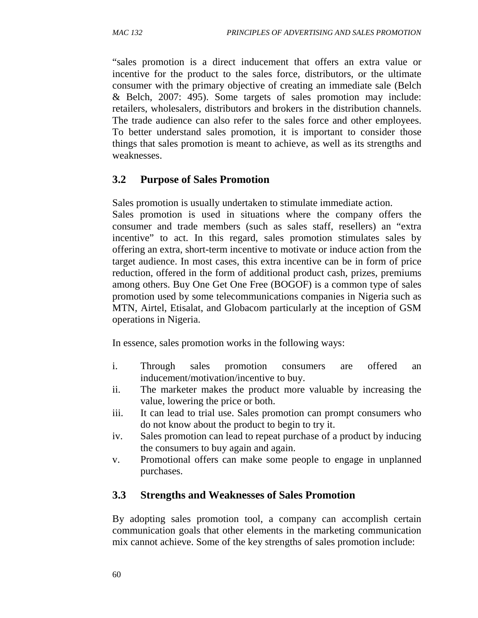"sales promotion is a direct inducement that offers an extra value or incentive for the product to the sales force, distributors, or the ultimate consumer with the primary objective of creating an immediate sale (Belch & Belch, 2007: 495). Some targets of sales promotion may include: retailers, wholesalers, distributors and brokers in the distribution channels. The trade audience can also refer to the sales force and other employees. To better understand sales promotion, it is important to consider those things that sales promotion is meant to achieve, as well as its strengths and weaknesses.

# **3.2 Purpose of Sales Promotion**

Sales promotion is usually undertaken to stimulate immediate action.

Sales promotion is used in situations where the company offers the consumer and trade members (such as sales staff, resellers) an "extra incentive" to act. In this regard, sales promotion stimulates sales by offering an extra, short-term incentive to motivate or induce action from the target audience. In most cases, this extra incentive can be in form of price reduction, offered in the form of additional product cash, prizes, premiums among others. Buy One Get One Free (BOGOF) is a common type of sales promotion used by some telecommunications companies in Nigeria such as MTN, Airtel, Etisalat, and Globacom particularly at the inception of GSM operations in Nigeria.

In essence, sales promotion works in the following ways:

- i. Through sales promotion consumers are offered an inducement/motivation/incentive to buy.
- ii. The marketer makes the product more valuable by increasing the value, lowering the price or both.
- iii. It can lead to trial use. Sales promotion can prompt consumers who do not know about the product to begin to try it.
- iv. Sales promotion can lead to repeat purchase of a product by inducing the consumers to buy again and again.
- v. Promotional offers can make some people to engage in unplanned purchases.

# **3.3 Strengths and Weaknesses of Sales Promotion**

By adopting sales promotion tool, a company can accomplish certain communication goals that other elements in the marketing communication mix cannot achieve. Some of the key strengths of sales promotion include: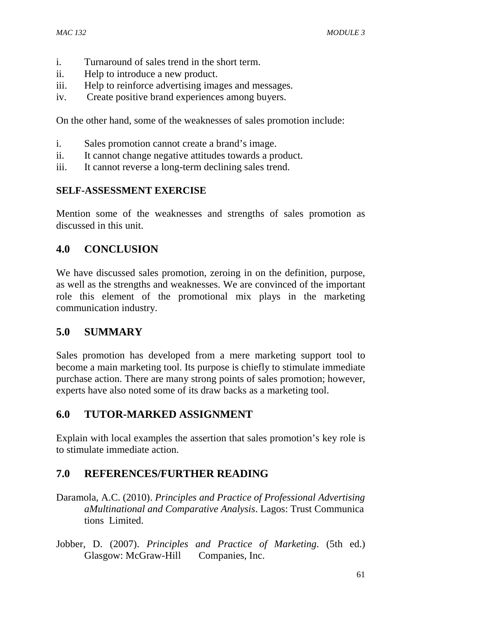- i. Turnaround of sales trend in the short term.
- ii. Help to introduce a new product.
- iii. Help to reinforce advertising images and messages.
- iv. Create positive brand experiences among buyers.

On the other hand, some of the weaknesses of sales promotion include:

- i. Sales promotion cannot create a brand's image.
- ii. It cannot change negative attitudes towards a product.
- iii. It cannot reverse a long-term declining sales trend.

## **SELF-ASSESSMENT EXERCISE**

Mention some of the weaknesses and strengths of sales promotion as discussed in this unit.

## **4.0 CONCLUSION**

We have discussed sales promotion, zeroing in on the definition, purpose, as well as the strengths and weaknesses. We are convinced of the important role this element of the promotional mix plays in the marketing communication industry.

# **5.0 SUMMARY**

Sales promotion has developed from a mere marketing support tool to become a main marketing tool. Its purpose is chiefly to stimulate immediate purchase action. There are many strong points of sales promotion; however, experts have also noted some of its draw backs as a marketing tool.

## **6.0 TUTOR-MARKED ASSIGNMENT**

Explain with local examples the assertion that sales promotion's key role is to stimulate immediate action.

- Daramola, A.C. (2010). *Principles and Practice of Professional Advertising aMultinational and Comparative Analysis*. Lagos: Trust Communica tions Limited.
- Jobber, D. (2007). *Principles and Practice of Marketing*. (5th ed.) Glasgow: McGraw-Hill Companies, Inc.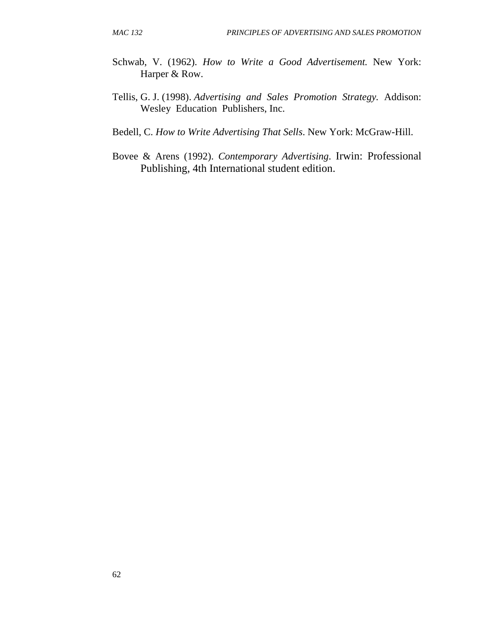- Schwab, V. (1962). *How to Write a Good Advertisement.* New York: Harper & Row.
- Tellis, G. J. (1998). *Advertising and Sales Promotion Strategy.* Addison: Wesley Education Publishers, Inc.
- Bedell, C. *How to Write Advertising That Sells*. New York: McGraw-Hill.
- Bovee & Arens (1992). *Contemporary Advertising*. Irwin: Professional Publishing, 4th International student edition.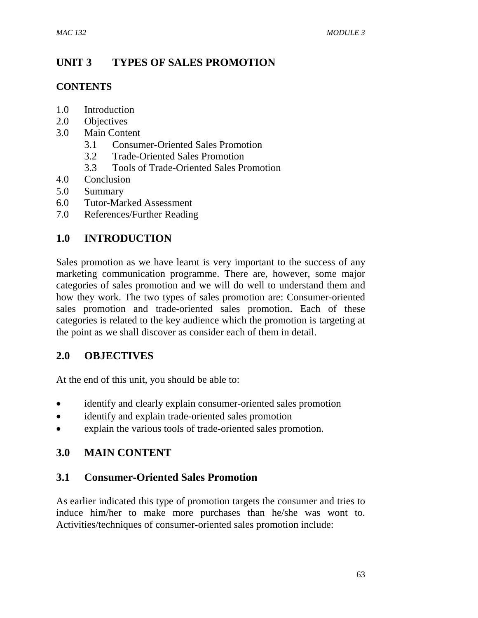## **UNIT 3 TYPES OF SALES PROMOTION**

### **CONTENTS**

- 1.0 Introduction
- 2.0 Objectives
- 3.0 Main Content
	- 3.1 Consumer-Oriented Sales Promotion
	- 3.2 Trade-Oriented Sales Promotion
	- 3.3 Tools of Trade-Oriented Sales Promotion
- 4.0 Conclusion
- 5.0 Summary
- 6.0 Tutor-Marked Assessment
- 7.0 References/Further Reading

## **1.0 INTRODUCTION**

Sales promotion as we have learnt is very important to the success of any marketing communication programme. There are, however, some major categories of sales promotion and we will do well to understand them and how they work. The two types of sales promotion are: Consumer-oriented sales promotion and trade-oriented sales promotion. Each of these categories is related to the key audience which the promotion is targeting at the point as we shall discover as consider each of them in detail.

## **2.0 OBJECTIVES**

At the end of this unit, you should be able to:

- identify and clearly explain consumer-oriented sales promotion
- identify and explain trade-oriented sales promotion
- explain the various tools of trade-oriented sales promotion.

## **3.0 MAIN CONTENT**

## **3.1 Consumer-Oriented Sales Promotion**

As earlier indicated this type of promotion targets the consumer and tries to induce him/her to make more purchases than he/she was wont to. Activities/techniques of consumer-oriented sales promotion include: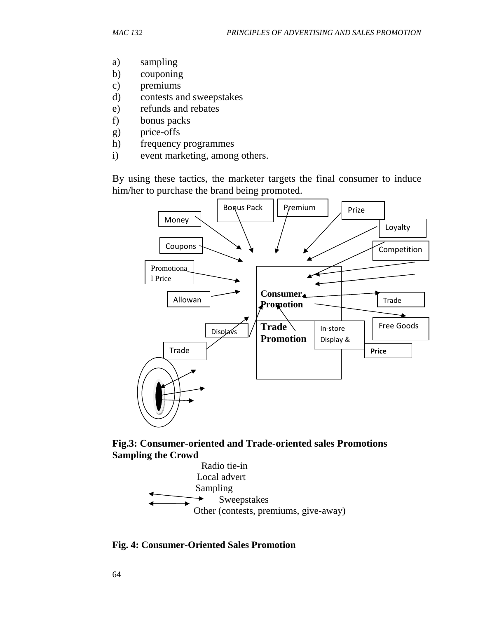- a) sampling
- b) couponing
- c) premiums
- d) contests and sweepstakes
- e) refunds and rebates
- f) bonus packs
- g) price-offs
- h) frequency programmes
- i) event marketing, among others.

By using these tactics, the marketer targets the final consumer to induce him/her to purchase the brand being promoted.



**Fig.3: Consumer-oriented and Trade-oriented sales Promotions Sampling the Crowd**



**Fig. 4: Consumer-Oriented Sales Promotion**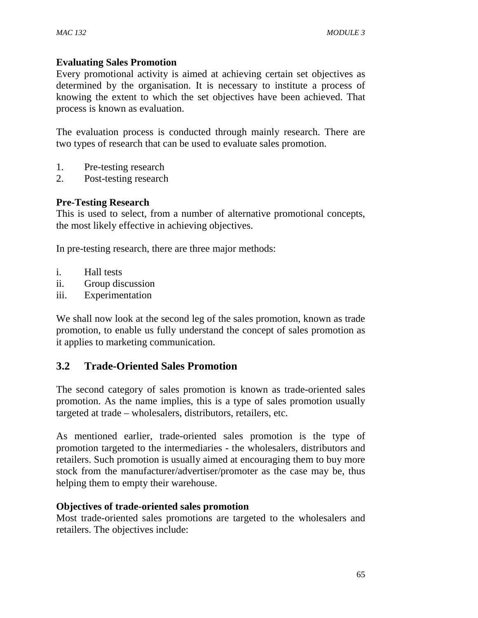### **Evaluating Sales Promotion**

Every promotional activity is aimed at achieving certain set objectives as determined by the organisation. It is necessary to institute a process of knowing the extent to which the set objectives have been achieved. That process is known as evaluation.

The evaluation process is conducted through mainly research. There are two types of research that can be used to evaluate sales promotion.

- 1. Pre-testing research
- 2. Post-testing research

#### **Pre-Testing Research**

This is used to select, from a number of alternative promotional concepts, the most likely effective in achieving objectives.

In pre-testing research, there are three major methods:

- i. Hall tests
- ii. Group discussion
- iii. Experimentation

We shall now look at the second leg of the sales promotion, known as trade promotion, to enable us fully understand the concept of sales promotion as it applies to marketing communication.

### **3.2 Trade-Oriented Sales Promotion**

The second category of sales promotion is known as trade-oriented sales promotion. As the name implies, this is a type of sales promotion usually targeted at trade – wholesalers, distributors, retailers, etc.

As mentioned earlier, trade-oriented sales promotion is the type of promotion targeted to the intermediaries - the wholesalers, distributors and retailers. Such promotion is usually aimed at encouraging them to buy more stock from the manufacturer/advertiser/promoter as the case may be, thus helping them to empty their warehouse.

#### **Objectives of trade-oriented sales promotion**

Most trade-oriented sales promotions are targeted to the wholesalers and retailers. The objectives include: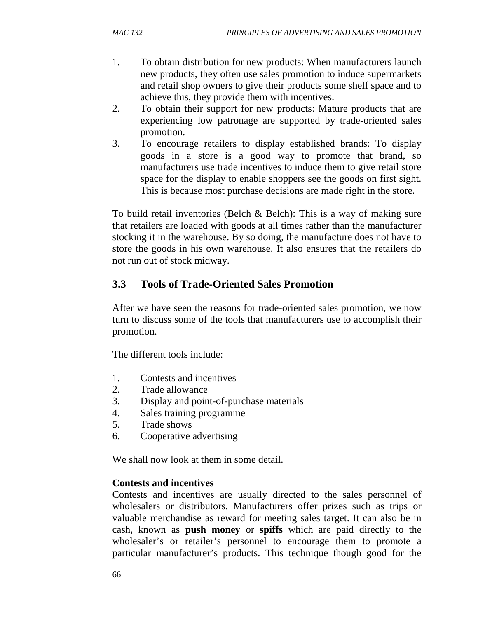- 1. To obtain distribution for new products: When manufacturers launch new products, they often use sales promotion to induce supermarkets and retail shop owners to give their products some shelf space and to achieve this, they provide them with incentives.
- 2. To obtain their support for new products: Mature products that are experiencing low patronage are supported by trade-oriented sales promotion.
- 3. To encourage retailers to display established brands: To display goods in a store is a good way to promote that brand, so manufacturers use trade incentives to induce them to give retail store space for the display to enable shoppers see the goods on first sight. This is because most purchase decisions are made right in the store.

To build retail inventories (Belch & Belch): This is a way of making sure that retailers are loaded with goods at all times rather than the manufacturer stocking it in the warehouse. By so doing, the manufacture does not have to store the goods in his own warehouse. It also ensures that the retailers do not run out of stock midway.

## **3.3 Tools of Trade-Oriented Sales Promotion**

After we have seen the reasons for trade-oriented sales promotion, we now turn to discuss some of the tools that manufacturers use to accomplish their promotion.

The different tools include:

- 1. Contests and incentives
- 2. Trade allowance
- 3. Display and point-of-purchase materials
- 4. Sales training programme
- 5. Trade shows
- 6. Cooperative advertising

We shall now look at them in some detail.

#### **Contests and incentives**

Contests and incentives are usually directed to the sales personnel of wholesalers or distributors. Manufacturers offer prizes such as trips or valuable merchandise as reward for meeting sales target. It can also be in cash, known as **push money** or **spiffs** which are paid directly to the wholesaler's or retailer's personnel to encourage them to promote a particular manufacturer's products. This technique though good for the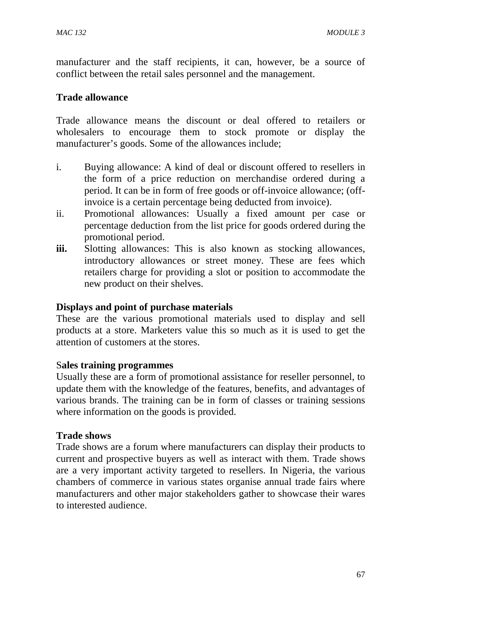manufacturer and the staff recipients, it can, however, be a source of conflict between the retail sales personnel and the management.

#### **Trade allowance**

Trade allowance means the discount or deal offered to retailers or wholesalers to encourage them to stock promote or display the manufacturer's goods. Some of the allowances include;

- i. Buying allowance: A kind of deal or discount offered to resellers in the form of a price reduction on merchandise ordered during a period. It can be in form of free goods or off-invoice allowance; (offinvoice is a certain percentage being deducted from invoice).
- ii. Promotional allowances: Usually a fixed amount per case or percentage deduction from the list price for goods ordered during the promotional period.
- **iii.** Slotting allowances: This is also known as stocking allowances, introductory allowances or street money. These are fees which retailers charge for providing a slot or position to accommodate the new product on their shelves.

#### **Displays and point of purchase materials**

These are the various promotional materials used to display and sell products at a store. Marketers value this so much as it is used to get the attention of customers at the stores.

#### S**ales training programmes**

Usually these are a form of promotional assistance for reseller personnel, to update them with the knowledge of the features, benefits, and advantages of various brands. The training can be in form of classes or training sessions where information on the goods is provided.

#### **Trade shows**

Trade shows are a forum where manufacturers can display their products to current and prospective buyers as well as interact with them. Trade shows are a very important activity targeted to resellers. In Nigeria, the various chambers of commerce in various states organise annual trade fairs where manufacturers and other major stakeholders gather to showcase their wares to interested audience.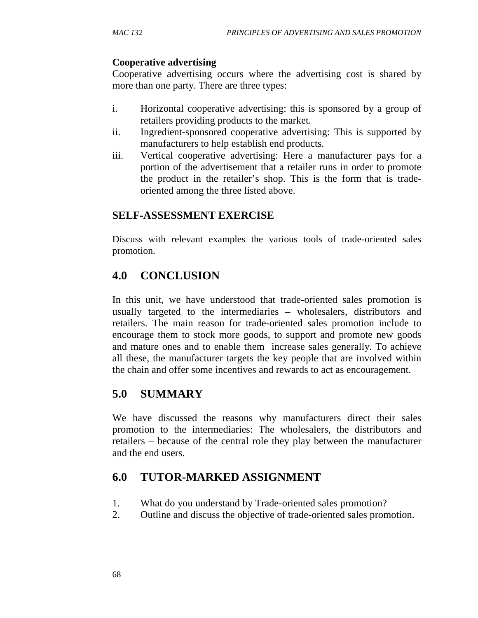### **Cooperative advertising**

Cooperative advertising occurs where the advertising cost is shared by more than one party. There are three types:

- i. Horizontal cooperative advertising: this is sponsored by a group of retailers providing products to the market.
- ii. Ingredient-sponsored cooperative advertising: This is supported by manufacturers to help establish end products.
- iii. Vertical cooperative advertising: Here a manufacturer pays for a portion of the advertisement that a retailer runs in order to promote the product in the retailer's shop. This is the form that is tradeoriented among the three listed above.

### **SELF-ASSESSMENT EXERCISE**

Discuss with relevant examples the various tools of trade-oriented sales promotion.

# **4.0 CONCLUSION**

In this unit, we have understood that trade-oriented sales promotion is usually targeted to the intermediaries – wholesalers, distributors and retailers. The main reason for trade-oriented sales promotion include to encourage them to stock more goods, to support and promote new goods and mature ones and to enable them increase sales generally. To achieve all these, the manufacturer targets the key people that are involved within the chain and offer some incentives and rewards to act as encouragement.

## **5.0 SUMMARY**

We have discussed the reasons why manufacturers direct their sales promotion to the intermediaries: The wholesalers, the distributors and retailers – because of the central role they play between the manufacturer and the end users.

# **6.0 TUTOR-MARKED ASSIGNMENT**

- 1. What do you understand by Trade-oriented sales promotion?
- 2. Outline and discuss the objective of trade-oriented sales promotion.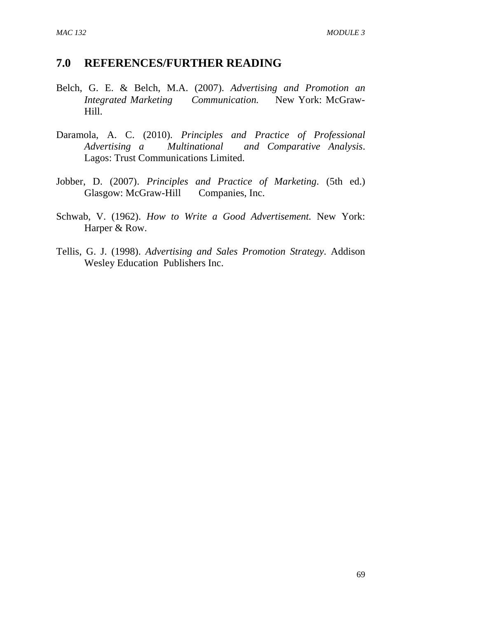- Belch, G. E. & Belch, M.A. (2007). *Advertising and Promotion an Integrated Marketing Communication.* New York: McGraw-Hill.
- Daramola, A. C. (2010). *Principles and Practice of Professional Advertising a Multinational and Comparative Analysis*. Lagos: Trust Communications Limited.
- Jobber, D. (2007). *Principles and Practice of Marketing*. (5th ed.) Glasgow: McGraw-Hill Companies, Inc.
- Schwab, V. (1962). *How to Write a Good Advertisement.* New York: Harper & Row.
- Tellis, G. J. (1998). *Advertising and Sales Promotion Strategy*. Addison Wesley Education Publishers Inc.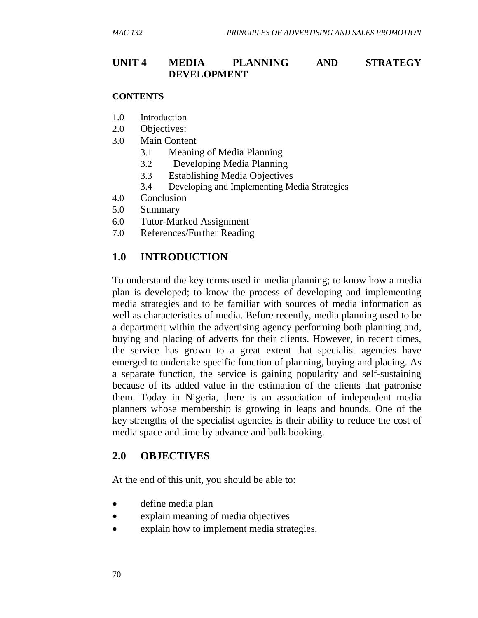### **UNIT 4 MEDIA PLANNING AND STRATEGY DEVELOPMENT**

#### **CONTENTS**

- 1.0 Introduction
- 2.0 Objectives:
- 3.0 Main Content
	- 3.1 Meaning of Media Planning
	- 3.2 Developing Media Planning
	- 3.3 Establishing Media Objectives
	- 3.4 Developing and Implementing Media Strategies
- 4.0 Conclusion
- 5.0 Summary
- 6.0 Tutor-Marked Assignment
- 7.0 References/Further Reading

### **1.0 INTRODUCTION**

To understand the key terms used in media planning; to know how a media plan is developed; to know the process of developing and implementing media strategies and to be familiar with sources of media information as well as characteristics of media. Before recently, media planning used to be a department within the advertising agency performing both planning and, buying and placing of adverts for their clients. However, in recent times, the service has grown to a great extent that specialist agencies have emerged to undertake specific function of planning, buying and placing. As a separate function, the service is gaining popularity and self-sustaining because of its added value in the estimation of the clients that patronise them. Today in Nigeria, there is an association of independent media planners whose membership is growing in leaps and bounds. One of the key strengths of the specialist agencies is their ability to reduce the cost of media space and time by advance and bulk booking.

### **2.0 OBJECTIVES**

At the end of this unit, you should be able to:

- define media plan
- explain meaning of media objectives
- explain how to implement media strategies.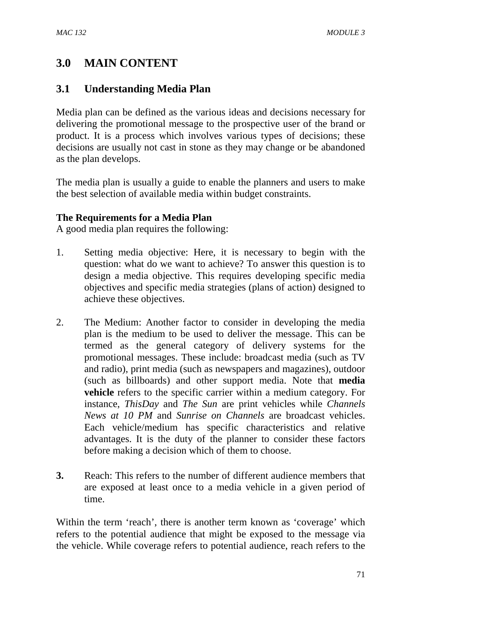# **3.0 MAIN CONTENT**

### **3.1 Understanding Media Plan**

Media plan can be defined as the various ideas and decisions necessary for delivering the promotional message to the prospective user of the brand or product. It is a process which involves various types of decisions; these decisions are usually not cast in stone as they may change or be abandoned as the plan develops.

The media plan is usually a guide to enable the planners and users to make the best selection of available media within budget constraints.

### **The Requirements for a Media Plan**

A good media plan requires the following:

- 1. Setting media objective: Here, it is necessary to begin with the question: what do we want to achieve? To answer this question is to design a media objective. This requires developing specific media objectives and specific media strategies (plans of action) designed to achieve these objectives.
- 2. The Medium: Another factor to consider in developing the media plan is the medium to be used to deliver the message. This can be termed as the general category of delivery systems for the promotional messages. These include: broadcast media (such as TV and radio), print media (such as newspapers and magazines), outdoor (such as billboards) and other support media. Note that **media vehicle** refers to the specific carrier within a medium category. For instance, *ThisDay* and *The Sun* are print vehicles while *Channels News at 10 PM* and *Sunrise on Channels* are broadcast vehicles. Each vehicle/medium has specific characteristics and relative advantages. It is the duty of the planner to consider these factors before making a decision which of them to choose.
- **3.** Reach: This refers to the number of different audience members that are exposed at least once to a media vehicle in a given period of time.

Within the term 'reach', there is another term known as 'coverage' which refers to the potential audience that might be exposed to the message via the vehicle. While coverage refers to potential audience, reach refers to the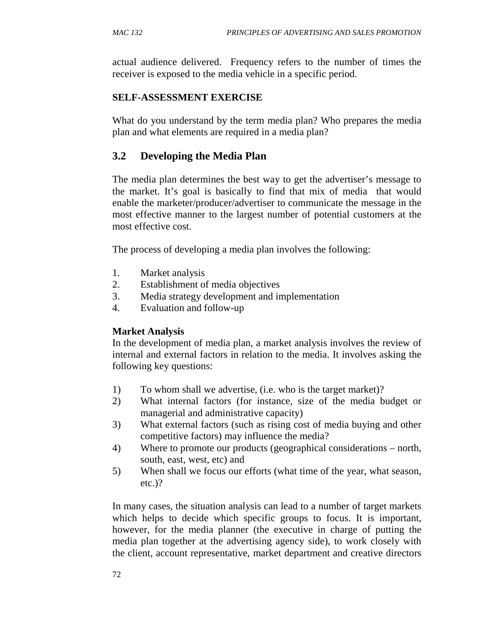actual audience delivered. Frequency refers to the number of times the receiver is exposed to the media vehicle in a specific period.

### **SELF-ASSESSMENT EXERCISE**

What do you understand by the term media plan? Who prepares the media plan and what elements are required in a media plan?

## **3.2 Developing the Media Plan**

The media plan determines the best way to get the advertiser's message to the market. It's goal is basically to find that mix of media that would enable the marketer/producer/advertiser to communicate the message in the most effective manner to the largest number of potential customers at the most effective cost.

The process of developing a media plan involves the following:

- 1. Market analysis
- 2. Establishment of media objectives
- 3. Media strategy development and implementation
- 4. Evaluation and follow-up

### **Market Analysis**

In the development of media plan, a market analysis involves the review of internal and external factors in relation to the media. It involves asking the following key questions:

- 1) To whom shall we advertise, (i.e. who is the target market)?
- 2) What internal factors (for instance, size of the media budget or managerial and administrative capacity)
- 3) What external factors (such as rising cost of media buying and other competitive factors) may influence the media?
- 4) Where to promote our products (geographical considerations north, south, east, west, etc) and
- 5) When shall we focus our efforts (what time of the year, what season, etc.)?

In many cases, the situation analysis can lead to a number of target markets which helps to decide which specific groups to focus. It is important, however, for the media planner (the executive in charge of putting the media plan together at the advertising agency side), to work closely with the client, account representative, market department and creative directors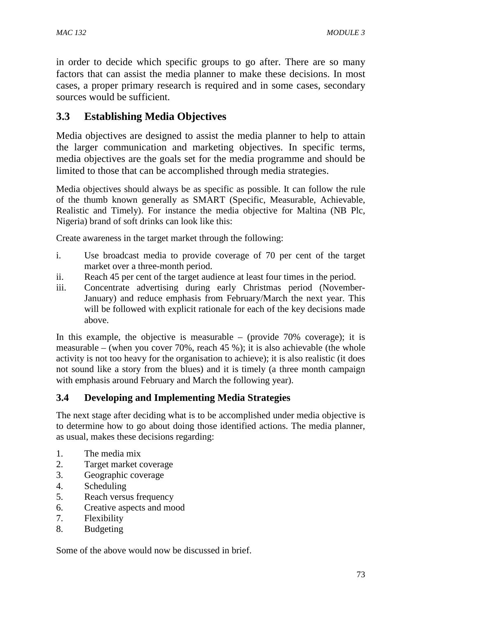in order to decide which specific groups to go after. There are so many factors that can assist the media planner to make these decisions. In most cases, a proper primary research is required and in some cases, secondary sources would be sufficient.

## **3.3 Establishing Media Objectives**

Media objectives are designed to assist the media planner to help to attain the larger communication and marketing objectives. In specific terms, media objectives are the goals set for the media programme and should be limited to those that can be accomplished through media strategies.

Media objectives should always be as specific as possible. It can follow the rule of the thumb known generally as SMART (Specific, Measurable, Achievable, Realistic and Timely). For instance the media objective for Maltina (NB Plc, Nigeria) brand of soft drinks can look like this:

Create awareness in the target market through the following:

- i. Use broadcast media to provide coverage of 70 per cent of the target market over a three-month period.
- ii. Reach 45 per cent of the target audience at least four times in the period.
- iii. Concentrate advertising during early Christmas period (November-January) and reduce emphasis from February/March the next year. This will be followed with explicit rationale for each of the key decisions made above.

In this example, the objective is measurable – (provide  $70\%$  coverage); it is measurable – (when you cover 70%, reach 45 %); it is also achievable (the whole activity is not too heavy for the organisation to achieve); it is also realistic (it does not sound like a story from the blues) and it is timely (a three month campaign with emphasis around February and March the following year).

### **3.4 Developing and Implementing Media Strategies**

The next stage after deciding what is to be accomplished under media objective is to determine how to go about doing those identified actions. The media planner, as usual, makes these decisions regarding:

- 1. The media mix
- 2. Target market coverage
- 3. Geographic coverage
- 4. Scheduling
- 5. Reach versus frequency
- 6. Creative aspects and mood
- 7. Flexibility
- 8. Budgeting

Some of the above would now be discussed in brief.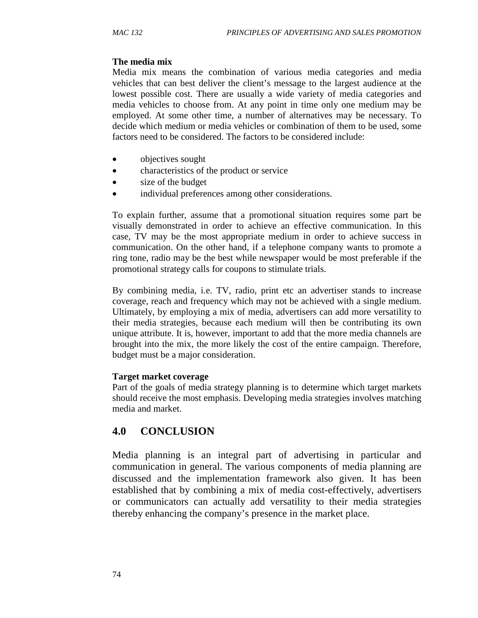#### **The media mix**

Media mix means the combination of various media categories and media vehicles that can best deliver the client's message to the largest audience at the lowest possible cost. There are usually a wide variety of media categories and media vehicles to choose from. At any point in time only one medium may be employed. At some other time, a number of alternatives may be necessary. To decide which medium or media vehicles or combination of them to be used, some factors need to be considered. The factors to be considered include:

- objectives sought
- characteristics of the product or service
- size of the budget
- individual preferences among other considerations.

To explain further, assume that a promotional situation requires some part be visually demonstrated in order to achieve an effective communication. In this case, TV may be the most appropriate medium in order to achieve success in communication. On the other hand, if a telephone company wants to promote a ring tone, radio may be the best while newspaper would be most preferable if the promotional strategy calls for coupons to stimulate trials.

By combining media, i.e. TV, radio, print etc an advertiser stands to increase coverage, reach and frequency which may not be achieved with a single medium. Ultimately, by employing a mix of media, advertisers can add more versatility to their media strategies, because each medium will then be contributing its own unique attribute. It is, however, important to add that the more media channels are brought into the mix, the more likely the cost of the entire campaign. Therefore, budget must be a major consideration.

#### **Target market coverage**

Part of the goals of media strategy planning is to determine which target markets should receive the most emphasis. Developing media strategies involves matching media and market.

### **4.0 CONCLUSION**

Media planning is an integral part of advertising in particular and communication in general. The various components of media planning are discussed and the implementation framework also given. It has been established that by combining a mix of media cost-effectively, advertisers or communicators can actually add versatility to their media strategies thereby enhancing the company's presence in the market place.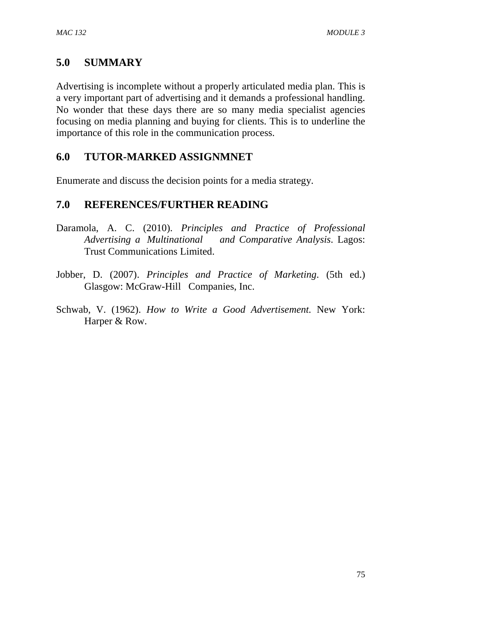## **5.0 SUMMARY**

Advertising is incomplete without a properly articulated media plan. This is a very important part of advertising and it demands a professional handling. No wonder that these days there are so many media specialist agencies focusing on media planning and buying for clients. This is to underline the importance of this role in the communication process.

### **6.0 TUTOR-MARKED ASSIGNMNET**

Enumerate and discuss the decision points for a media strategy.

- Daramola, A. C. (2010). *Principles and Practice of Professional Advertising a Multinational and Comparative Analysis*. Lagos: Trust Communications Limited.
- Jobber, D. (2007). *Principles and Practice of Marketing*. (5th ed.) Glasgow: McGraw-Hill Companies, Inc.
- Schwab, V. (1962). *How to Write a Good Advertisement.* New York: Harper & Row.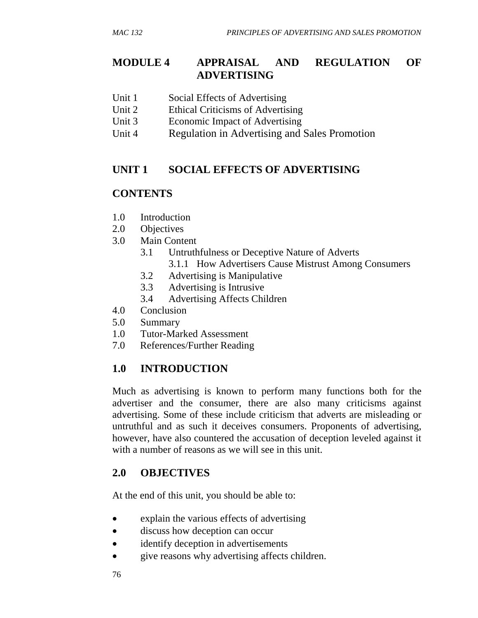## **MODULE 4 APPRAISAL AND REGULATION OF ADVERTISING**

- Unit 1 Social Effects of Advertising
- Unit 2 Ethical Criticisms of Advertising
- Unit 3 Economic Impact of Advertising
- Unit 4 Regulation in Advertising and Sales Promotion

#### **UNIT 1 SOCIAL EFFECTS OF ADVERTISING**

### **CONTENTS**

- 1.0 Introduction
- 2.0 Objectives
- 3.0 Main Content
	- 3.1 Untruthfulness or Deceptive Nature of Adverts
		- 3.1.1 How Advertisers Cause Mistrust Among Consumers
	- 3.2 Advertising is Manipulative
	- 3.3 Advertising is Intrusive
	- 3.4 Advertising Affects Children
- 4.0 Conclusion
- 5.0 Summary
- 1.0 Tutor-Marked Assessment
- 7.0 References/Further Reading

### **1.0 INTRODUCTION**

Much as advertising is known to perform many functions both for the advertiser and the consumer, there are also many criticisms against advertising. Some of these include criticism that adverts are misleading or untruthful and as such it deceives consumers. Proponents of advertising, however, have also countered the accusation of deception leveled against it with a number of reasons as we will see in this unit.

### **2.0 OBJECTIVES**

At the end of this unit, you should be able to:

- explain the various effects of advertising
- discuss how deception can occur
- identify deception in advertisements
- give reasons why advertising affects children.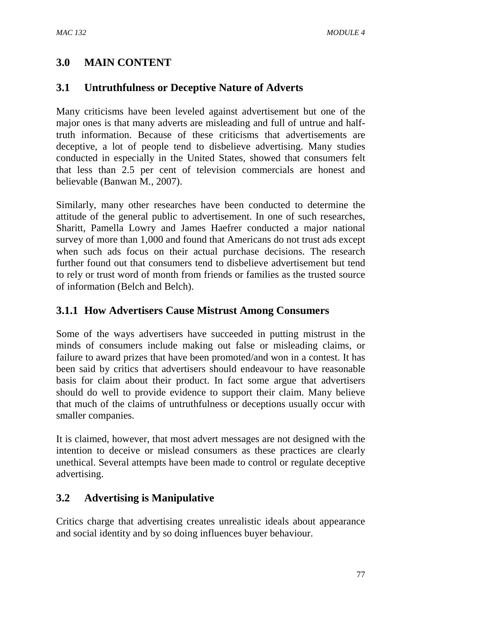## **3.0 MAIN CONTENT**

### **3.1 Untruthfulness or Deceptive Nature of Adverts**

Many criticisms have been leveled against advertisement but one of the major ones is that many adverts are misleading and full of untrue and halftruth information. Because of these criticisms that advertisements are deceptive, a lot of people tend to disbelieve advertising. Many studies conducted in especially in the United States, showed that consumers felt that less than 2.5 per cent of television commercials are honest and believable (Banwan M., 2007).

Similarly, many other researches have been conducted to determine the attitude of the general public to advertisement. In one of such researches, Sharitt, Pamella Lowry and James Haefrer conducted a major national survey of more than 1,000 and found that Americans do not trust ads except when such ads focus on their actual purchase decisions. The research further found out that consumers tend to disbelieve advertisement but tend to rely or trust word of month from friends or families as the trusted source of information (Belch and Belch).

### **3.1.1 How Advertisers Cause Mistrust Among Consumers**

Some of the ways advertisers have succeeded in putting mistrust in the minds of consumers include making out false or misleading claims, or failure to award prizes that have been promoted/and won in a contest. It has been said by critics that advertisers should endeavour to have reasonable basis for claim about their product. In fact some argue that advertisers should do well to provide evidence to support their claim. Many believe that much of the claims of untruthfulness or deceptions usually occur with smaller companies.

It is claimed, however, that most advert messages are not designed with the intention to deceive or mislead consumers as these practices are clearly unethical. Several attempts have been made to control or regulate deceptive advertising.

### **3.2 Advertising is Manipulative**

Critics charge that advertising creates unrealistic ideals about appearance and social identity and by so doing influences buyer behaviour.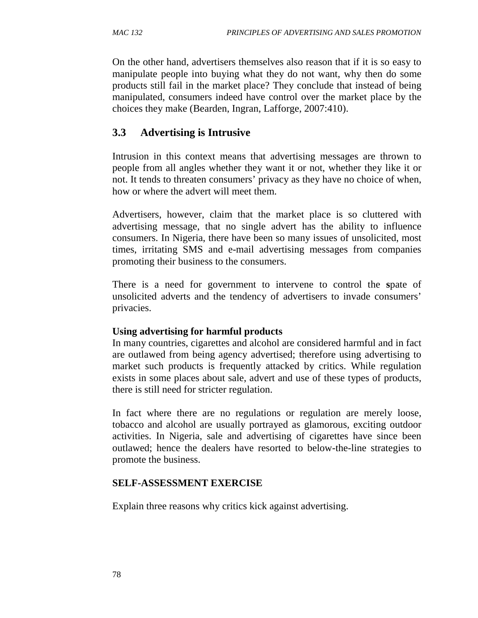On the other hand, advertisers themselves also reason that if it is so easy to manipulate people into buying what they do not want, why then do some products still fail in the market place? They conclude that instead of being manipulated, consumers indeed have control over the market place by the choices they make (Bearden, Ingran, Lafforge, 2007:410).

## **3.3 Advertising is Intrusive**

Intrusion in this context means that advertising messages are thrown to people from all angles whether they want it or not, whether they like it or not. It tends to threaten consumers' privacy as they have no choice of when, how or where the advert will meet them.

Advertisers, however, claim that the market place is so cluttered with advertising message, that no single advert has the ability to influence consumers. In Nigeria, there have been so many issues of unsolicited, most times, irritating SMS and e-mail advertising messages from companies promoting their business to the consumers.

There is a need for government to intervene to control the **s**pate of unsolicited adverts and the tendency of advertisers to invade consumers' privacies.

### **Using advertising for harmful products**

In many countries, cigarettes and alcohol are considered harmful and in fact are outlawed from being agency advertised; therefore using advertising to market such products is frequently attacked by critics. While regulation exists in some places about sale, advert and use of these types of products, there is still need for stricter regulation.

In fact where there are no regulations or regulation are merely loose, tobacco and alcohol are usually portrayed as glamorous, exciting outdoor activities. In Nigeria, sale and advertising of cigarettes have since been outlawed; hence the dealers have resorted to below-the-line strategies to promote the business.

### **SELF-ASSESSMENT EXERCISE**

Explain three reasons why critics kick against advertising.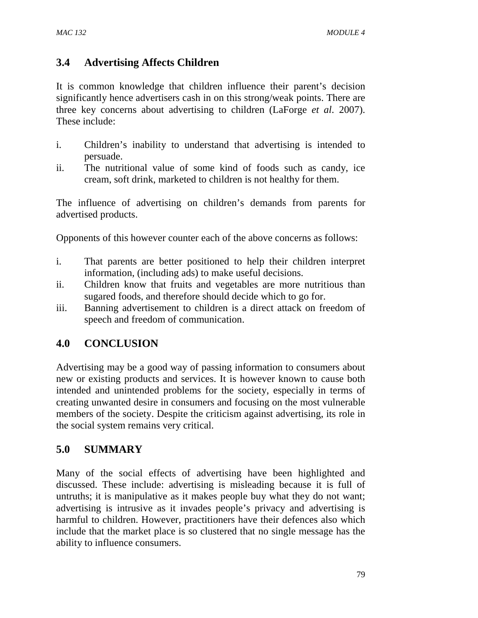## **3.4 Advertising Affects Children**

It is common knowledge that children influence their parent's decision significantly hence advertisers cash in on this strong/weak points. There are three key concerns about advertising to children (LaForge *et al*. 2007). These include:

- i. Children's inability to understand that advertising is intended to persuade.
- ii. The nutritional value of some kind of foods such as candy, ice cream, soft drink, marketed to children is not healthy for them.

The influence of advertising on children's demands from parents for advertised products.

Opponents of this however counter each of the above concerns as follows:

- i. That parents are better positioned to help their children interpret information, (including ads) to make useful decisions.
- ii. Children know that fruits and vegetables are more nutritious than sugared foods, and therefore should decide which to go for.
- iii. Banning advertisement to children is a direct attack on freedom of speech and freedom of communication.

## **4.0 CONCLUSION**

Advertising may be a good way of passing information to consumers about new or existing products and services. It is however known to cause both intended and unintended problems for the society, especially in terms of creating unwanted desire in consumers and focusing on the most vulnerable members of the society. Despite the criticism against advertising, its role in the social system remains very critical.

## **5.0 SUMMARY**

Many of the social effects of advertising have been highlighted and discussed. These include: advertising is misleading because it is full of untruths; it is manipulative as it makes people buy what they do not want; advertising is intrusive as it invades people's privacy and advertising is harmful to children. However, practitioners have their defences also which include that the market place is so clustered that no single message has the ability to influence consumers.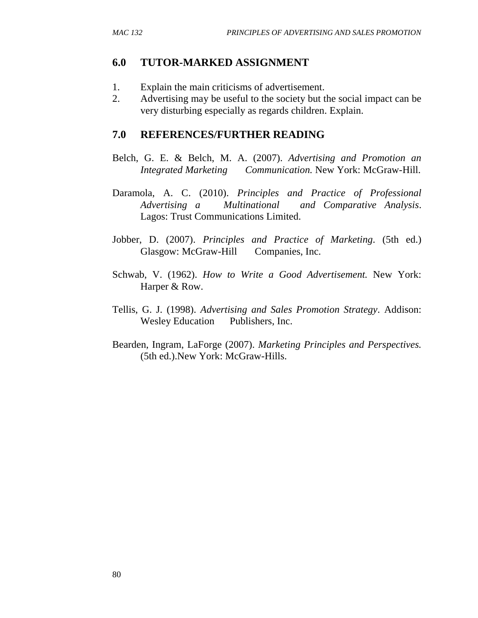### **6.0 TUTOR-MARKED ASSIGNMENT**

- 1. Explain the main criticisms of advertisement.
- 2. Advertising may be useful to the society but the social impact can be very disturbing especially as regards children. Explain.

- Belch, G. E. & Belch, M. A. (2007). *Advertising and Promotion an Integrated Marketing Communication.* New York: McGraw-Hill.
- Daramola, A. C. (2010). *Principles and Practice of Professional Advertising a Multinational and Comparative Analysis*. Lagos: Trust Communications Limited.
- Jobber, D. (2007). *Principles and Practice of Marketing*. (5th ed.) Glasgow: McGraw-Hill Companies, Inc.
- Schwab, V. (1962). *How to Write a Good Advertisement.* New York: Harper & Row.
- Tellis, G. J. (1998). *Advertising and Sales Promotion Strategy*. Addison: Wesley Education Publishers, Inc.
- Bearden, Ingram, LaForge (2007). *Marketing Principles and Perspectives.* (5th ed.).New York: McGraw-Hills.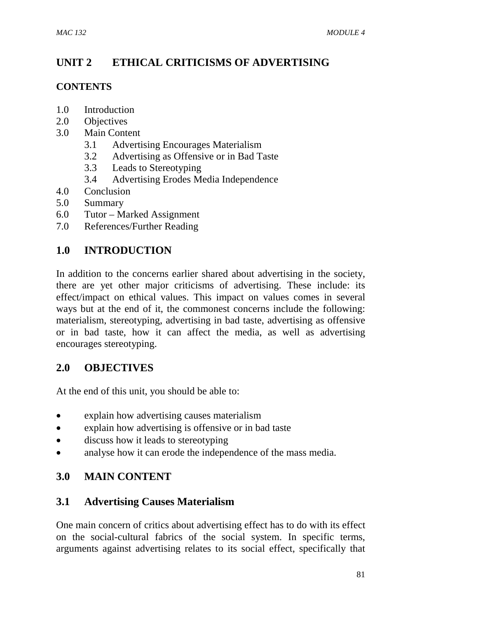## **UNIT 2 ETHICAL CRITICISMS OF ADVERTISING**

### **CONTENTS**

- 1.0 Introduction
- 2.0 Objectives
- 3.0 Main Content
	- 3.1 Advertising Encourages Materialism
	- 3.2 Advertising as Offensive or in Bad Taste
	- 3.3 Leads to Stereotyping
	- 3.4 Advertising Erodes Media Independence
- 4.0 Conclusion
- 5.0 Summary
- 6.0 Tutor Marked Assignment
- 7.0 References/Further Reading

## **1.0 INTRODUCTION**

In addition to the concerns earlier shared about advertising in the society, there are yet other major criticisms of advertising. These include: its effect/impact on ethical values. This impact on values comes in several ways but at the end of it, the commonest concerns include the following: materialism, stereotyping, advertising in bad taste, advertising as offensive or in bad taste, how it can affect the media, as well as advertising encourages stereotyping.

## **2.0 OBJECTIVES**

At the end of this unit, you should be able to:

- explain how advertising causes materialism
- explain how advertising is offensive or in bad taste
- discuss how it leads to stereotyping
- analyse how it can erode the independence of the mass media.

## **3.0 MAIN CONTENT**

## **3.1 Advertising Causes Materialism**

One main concern of critics about advertising effect has to do with its effect on the social-cultural fabrics of the social system. In specific terms, arguments against advertising relates to its social effect, specifically that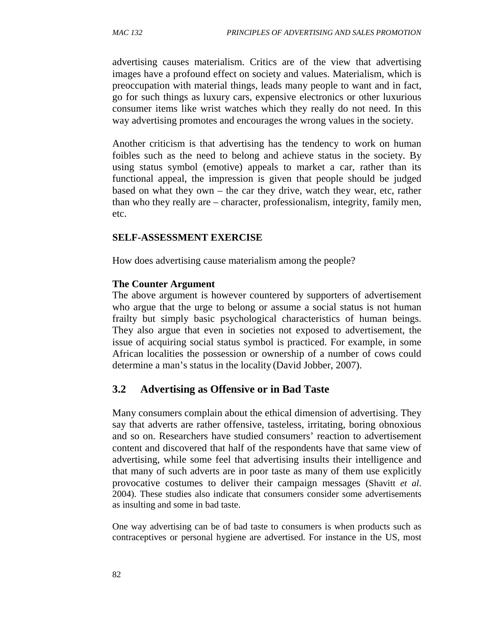advertising causes materialism. Critics are of the view that advertising images have a profound effect on society and values. Materialism, which is preoccupation with material things, leads many people to want and in fact, go for such things as luxury cars, expensive electronics or other luxurious consumer items like wrist watches which they really do not need. In this way advertising promotes and encourages the wrong values in the society.

Another criticism is that advertising has the tendency to work on human foibles such as the need to belong and achieve status in the society. By using status symbol (emotive) appeals to market a car, rather than its functional appeal, the impression is given that people should be judged based on what they own – the car they drive, watch they wear, etc, rather than who they really are – character, professionalism, integrity, family men, etc.

#### **SELF-ASSESSMENT EXERCISE**

How does advertising cause materialism among the people?

#### **The Counter Argument**

The above argument is however countered by supporters of advertisement who argue that the urge to belong or assume a social status is not human frailty but simply basic psychological characteristics of human beings. They also argue that even in societies not exposed to advertisement, the issue of acquiring social status symbol is practiced. For example, in some African localities the possession or ownership of a number of cows could determine a man's status in the locality (David Jobber, 2007).

### **3.2 Advertising as Offensive or in Bad Taste**

Many consumers complain about the ethical dimension of advertising. They say that adverts are rather offensive, tasteless, irritating, boring obnoxious and so on. Researchers have studied consumers' reaction to advertisement content and discovered that half of the respondents have that same view of advertising, while some feel that advertising insults their intelligence and that many of such adverts are in poor taste as many of them use explicitly provocative costumes to deliver their campaign messages (Shavitt *et al*. 2004). These studies also indicate that consumers consider some advertisements as insulting and some in bad taste.

One way advertising can be of bad taste to consumers is when products such as contraceptives or personal hygiene are advertised. For instance in the US, most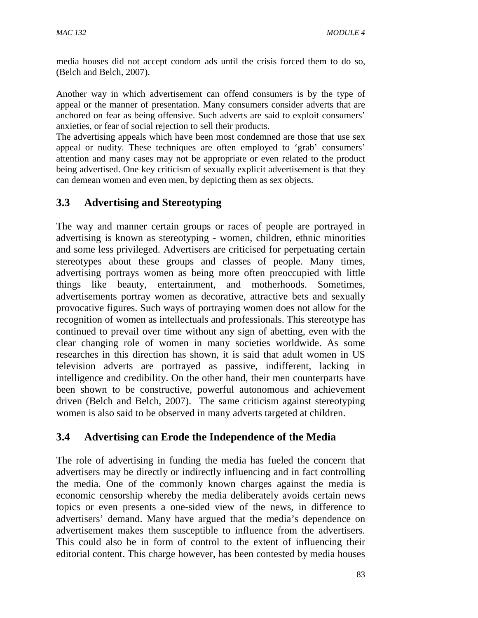media houses did not accept condom ads until the crisis forced them to do so, (Belch and Belch, 2007).

Another way in which advertisement can offend consumers is by the type of appeal or the manner of presentation. Many consumers consider adverts that are anchored on fear as being offensive. Such adverts are said to exploit consumers' anxieties, or fear of social rejection to sell their products.

The advertising appeals which have been most condemned are those that use sex appeal or nudity. These techniques are often employed to 'grab' consumers' attention and many cases may not be appropriate or even related to the product being advertised. One key criticism of sexually explicit advertisement is that they can demean women and even men, by depicting them as sex objects.

## **3.3 Advertising and Stereotyping**

The way and manner certain groups or races of people are portrayed in advertising is known as stereotyping - women, children, ethnic minorities and some less privileged. Advertisers are criticised for perpetuating certain stereotypes about these groups and classes of people. Many times, advertising portrays women as being more often preoccupied with little things like beauty, entertainment, and motherhoods. Sometimes, advertisements portray women as decorative, attractive bets and sexually provocative figures. Such ways of portraying women does not allow for the recognition of women as intellectuals and professionals. This stereotype has continued to prevail over time without any sign of abetting, even with the clear changing role of women in many societies worldwide. As some researches in this direction has shown, it is said that adult women in US television adverts are portrayed as passive, indifferent, lacking in intelligence and credibility. On the other hand, their men counterparts have been shown to be constructive, powerful autonomous and achievement driven (Belch and Belch, 2007). The same criticism against stereotyping women is also said to be observed in many adverts targeted at children.

## **3.4 Advertising can Erode the Independence of the Media**

The role of advertising in funding the media has fueled the concern that advertisers may be directly or indirectly influencing and in fact controlling the media. One of the commonly known charges against the media is economic censorship whereby the media deliberately avoids certain news topics or even presents a one-sided view of the news, in difference to advertisers' demand. Many have argued that the media's dependence on advertisement makes them susceptible to influence from the advertisers. This could also be in form of control to the extent of influencing their editorial content. This charge however, has been contested by media houses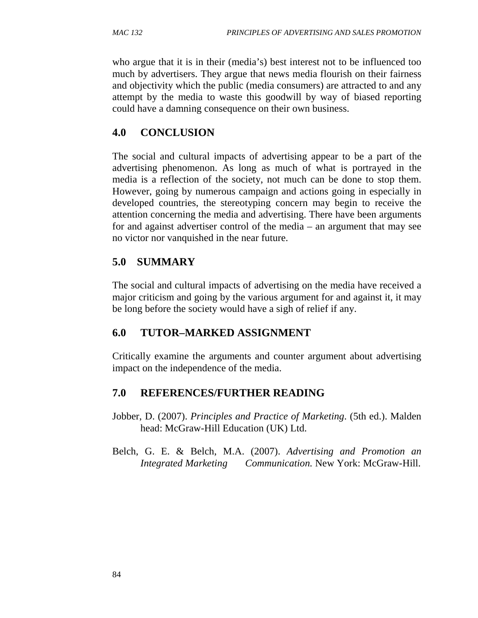who argue that it is in their (media's) best interest not to be influenced too much by advertisers. They argue that news media flourish on their fairness and objectivity which the public (media consumers) are attracted to and any attempt by the media to waste this goodwill by way of biased reporting could have a damning consequence on their own business.

## **4.0 CONCLUSION**

The social and cultural impacts of advertising appear to be a part of the advertising phenomenon. As long as much of what is portrayed in the media is a reflection of the society, not much can be done to stop them. However, going by numerous campaign and actions going in especially in developed countries, the stereotyping concern may begin to receive the attention concerning the media and advertising. There have been arguments for and against advertiser control of the media – an argument that may see no victor nor vanquished in the near future.

## **5.0 SUMMARY**

The social and cultural impacts of advertising on the media have received a major criticism and going by the various argument for and against it, it may be long before the society would have a sigh of relief if any.

### **6.0 TUTOR–MARKED ASSIGNMENT**

Critically examine the arguments and counter argument about advertising impact on the independence of the media.

- Jobber, D. (2007). *Principles and Practice of Marketing*. (5th ed.). Malden head: McGraw-Hill Education (UK) Ltd.
- Belch, G. E. & Belch, M.A. (2007). *Advertising and Promotion an Integrated Marketing Communication.* New York: McGraw-Hill.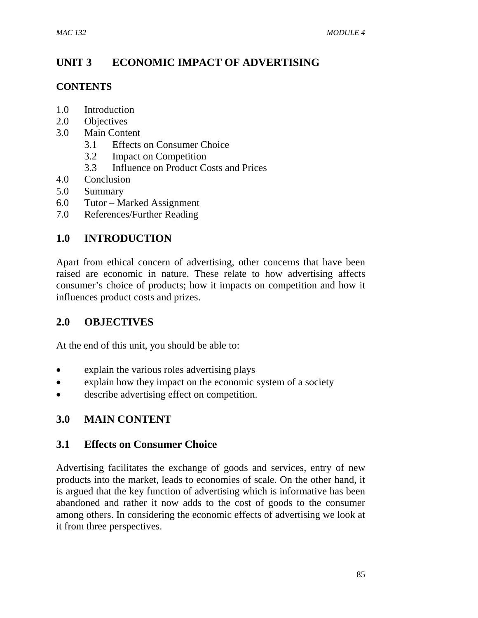## **UNIT 3 ECONOMIC IMPACT OF ADVERTISING**

### **CONTENTS**

- 1.0 Introduction
- 2.0 Objectives
- 3.0 Main Content
	- 3.1 Effects on Consumer Choice
	- 3.2 Impact on Competition
	- 3.3 Influence on Product Costs and Prices
- 4.0 Conclusion
- 5.0 Summary
- 6.0 Tutor Marked Assignment
- 7.0 References/Further Reading

## **1.0 INTRODUCTION**

Apart from ethical concern of advertising, other concerns that have been raised are economic in nature. These relate to how advertising affects consumer's choice of products; how it impacts on competition and how it influences product costs and prizes.

## **2.0 OBJECTIVES**

At the end of this unit, you should be able to:

- explain the various roles advertising plays
- explain how they impact on the economic system of a society
- describe advertising effect on competition.

## **3.0 MAIN CONTENT**

### **3.1 Effects on Consumer Choice**

Advertising facilitates the exchange of goods and services, entry of new products into the market, leads to economies of scale. On the other hand, it is argued that the key function of advertising which is informative has been abandoned and rather it now adds to the cost of goods to the consumer among others. In considering the economic effects of advertising we look at it from three perspectives.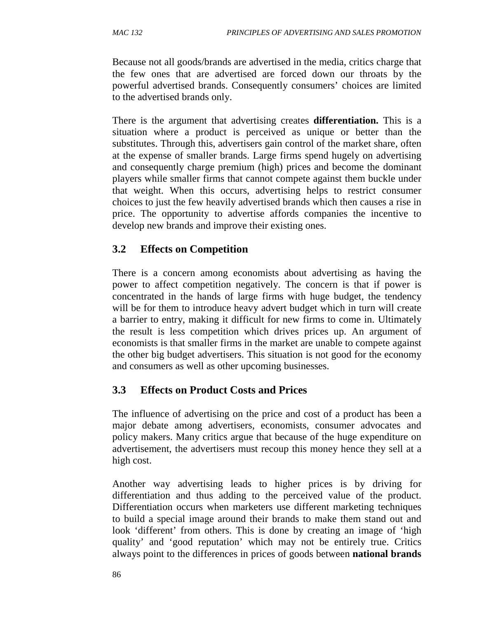Because not all goods/brands are advertised in the media, critics charge that the few ones that are advertised are forced down our throats by the powerful advertised brands. Consequently consumers' choices are limited to the advertised brands only.

There is the argument that advertising creates **differentiation.** This is a situation where a product is perceived as unique or better than the substitutes. Through this, advertisers gain control of the market share, often at the expense of smaller brands. Large firms spend hugely on advertising and consequently charge premium (high) prices and become the dominant players while smaller firms that cannot compete against them buckle under that weight. When this occurs, advertising helps to restrict consumer choices to just the few heavily advertised brands which then causes a rise in price. The opportunity to advertise affords companies the incentive to develop new brands and improve their existing ones.

## **3.2 Effects on Competition**

There is a concern among economists about advertising as having the power to affect competition negatively. The concern is that if power is concentrated in the hands of large firms with huge budget, the tendency will be for them to introduce heavy advert budget which in turn will create a barrier to entry, making it difficult for new firms to come in. Ultimately the result is less competition which drives prices up. An argument of economists is that smaller firms in the market are unable to compete against the other big budget advertisers. This situation is not good for the economy and consumers as well as other upcoming businesses.

## **3.3 Effects on Product Costs and Prices**

The influence of advertising on the price and cost of a product has been a major debate among advertisers, economists, consumer advocates and policy makers. Many critics argue that because of the huge expenditure on advertisement, the advertisers must recoup this money hence they sell at a high cost.

Another way advertising leads to higher prices is by driving for differentiation and thus adding to the perceived value of the product. Differentiation occurs when marketers use different marketing techniques to build a special image around their brands to make them stand out and look 'different' from others. This is done by creating an image of 'high quality' and 'good reputation' which may not be entirely true. Critics always point to the differences in prices of goods between **national brands**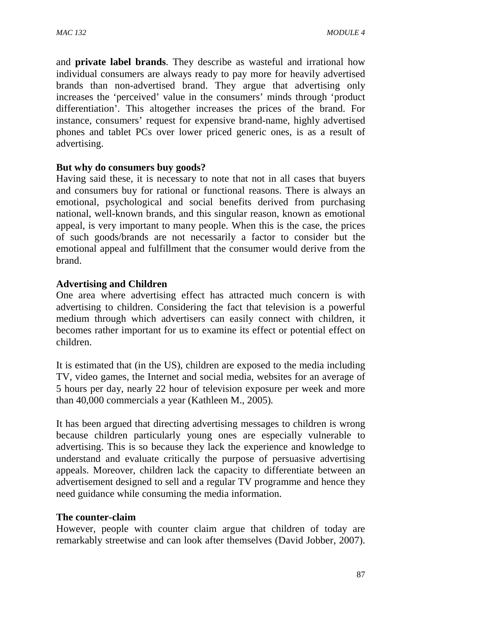and **private label brands**. They describe as wasteful and irrational how individual consumers are always ready to pay more for heavily advertised brands than non-advertised brand. They argue that advertising only increases the 'perceived' value in the consumers' minds through 'product differentiation'. This altogether increases the prices of the brand. For instance, consumers' request for expensive brand-name, highly advertised phones and tablet PCs over lower priced generic ones, is as a result of advertising.

#### **But why do consumers buy goods?**

Having said these, it is necessary to note that not in all cases that buyers and consumers buy for rational or functional reasons. There is always an emotional, psychological and social benefits derived from purchasing national, well-known brands, and this singular reason, known as emotional appeal, is very important to many people. When this is the case, the prices of such goods/brands are not necessarily a factor to consider but the emotional appeal and fulfillment that the consumer would derive from the brand.

### **Advertising and Children**

One area where advertising effect has attracted much concern is with advertising to children. Considering the fact that television is a powerful medium through which advertisers can easily connect with children, it becomes rather important for us to examine its effect or potential effect on children.

It is estimated that (in the US), children are exposed to the media including TV, video games, the Internet and social media, websites for an average of 5 hours per day, nearly 22 hour of television exposure per week and more than 40,000 commercials a year (Kathleen M., 2005)*.* 

It has been argued that directing advertising messages to children is wrong because children particularly young ones are especially vulnerable to advertising. This is so because they lack the experience and knowledge to understand and evaluate critically the purpose of persuasive advertising appeals. Moreover, children lack the capacity to differentiate between an advertisement designed to sell and a regular TV programme and hence they need guidance while consuming the media information.

#### **The counter-claim**

However, people with counter claim argue that children of today are remarkably streetwise and can look after themselves (David Jobber, 2007).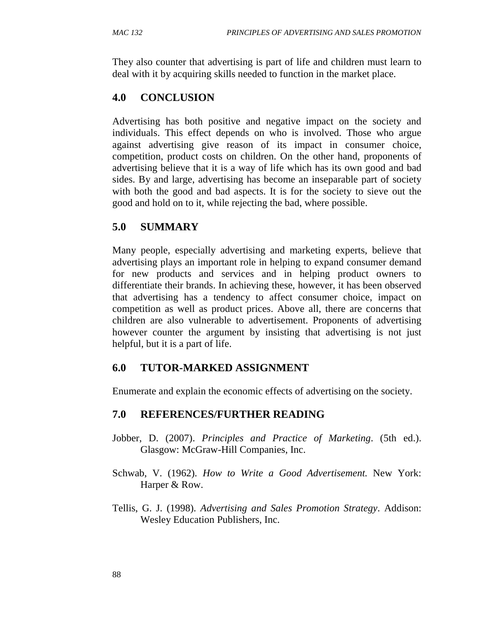They also counter that advertising is part of life and children must learn to deal with it by acquiring skills needed to function in the market place.

## **4.0 CONCLUSION**

Advertising has both positive and negative impact on the society and individuals. This effect depends on who is involved. Those who argue against advertising give reason of its impact in consumer choice, competition, product costs on children. On the other hand, proponents of advertising believe that it is a way of life which has its own good and bad sides. By and large, advertising has become an inseparable part of society with both the good and bad aspects. It is for the society to sieve out the good and hold on to it, while rejecting the bad, where possible.

## **5.0 SUMMARY**

Many people, especially advertising and marketing experts, believe that advertising plays an important role in helping to expand consumer demand for new products and services and in helping product owners to differentiate their brands. In achieving these, however, it has been observed that advertising has a tendency to affect consumer choice, impact on competition as well as product prices. Above all, there are concerns that children are also vulnerable to advertisement. Proponents of advertising however counter the argument by insisting that advertising is not just helpful, but it is a part of life.

### **6.0 TUTOR-MARKED ASSIGNMENT**

Enumerate and explain the economic effects of advertising on the society.

- Jobber, D. (2007). *Principles and Practice of Marketing*. (5th ed.). Glasgow: McGraw-Hill Companies, Inc.
- Schwab, V. (1962). *How to Write a Good Advertisement.* New York: Harper & Row.
- Tellis, G. J. (1998). *Advertising and Sales Promotion Strategy*. Addison: Wesley Education Publishers, Inc.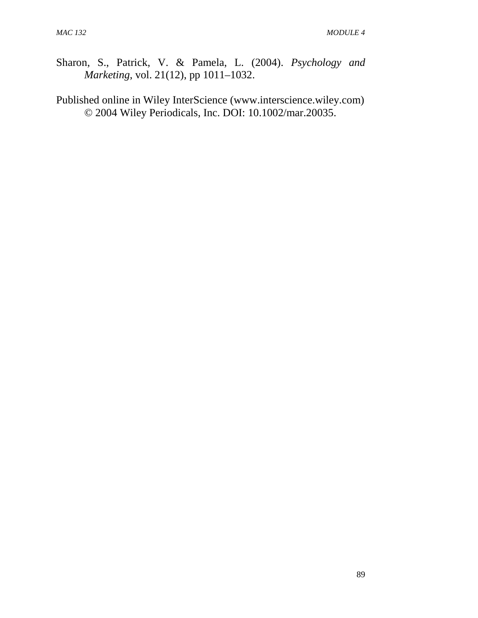- Sharon, S., Patrick, V. & Pamela, L. (2004). *Psychology and Marketing*, vol. 21(12), pp 1011–1032.
- Published online in Wiley InterScience (www.interscience.wiley.com) © 2004 Wiley Periodicals, Inc. DOI: 10.1002/mar.20035.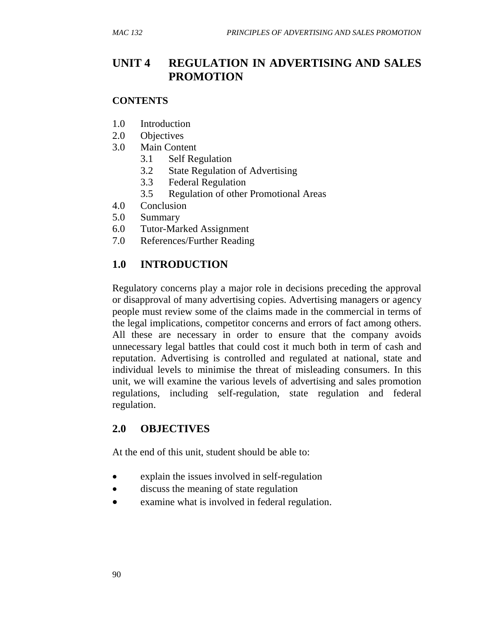# **UNIT 4 REGULATION IN ADVERTISING AND SALES PROMOTION**

### **CONTENTS**

- 1.0 Introduction
- 2.0 Objectives
- 3.0 Main Content
	- 3.1 Self Regulation
	- 3.2 State Regulation of Advertising
	- 3.3 Federal Regulation
	- 3.5 Regulation of other Promotional Areas
- 4.0 Conclusion
- 5.0 Summary
- 6.0 Tutor-Marked Assignment
- 7.0 References/Further Reading

## **1.0 INTRODUCTION**

Regulatory concerns play a major role in decisions preceding the approval or disapproval of many advertising copies. Advertising managers or agency people must review some of the claims made in the commercial in terms of the legal implications, competitor concerns and errors of fact among others. All these are necessary in order to ensure that the company avoids unnecessary legal battles that could cost it much both in term of cash and reputation. Advertising is controlled and regulated at national, state and individual levels to minimise the threat of misleading consumers. In this unit, we will examine the various levels of advertising and sales promotion regulations, including self-regulation, state regulation and federal regulation.

### **2.0 OBJECTIVES**

At the end of this unit, student should be able to:

- explain the issues involved in self-regulation
- discuss the meaning of state regulation
- examine what is involved in federal regulation.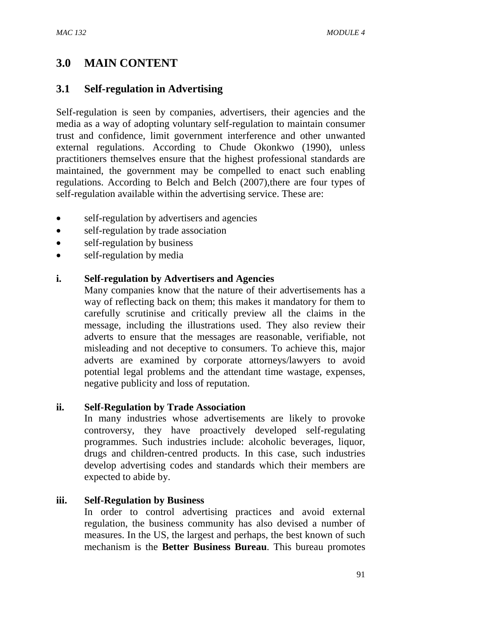# **3.0 MAIN CONTENT**

### **3.1 Self-regulation in Advertising**

Self-regulation is seen by companies, advertisers, their agencies and the media as a way of adopting voluntary self-regulation to maintain consumer trust and confidence, limit government interference and other unwanted external regulations. According to Chude Okonkwo (1990), unless practitioners themselves ensure that the highest professional standards are maintained, the government may be compelled to enact such enabling regulations. According to Belch and Belch (2007),there are four types of self-regulation available within the advertising service. These are:

- self-regulation by advertisers and agencies
- self-regulation by trade association
- self-regulation by business
- self-regulation by media

### **i. Self-regulation by Advertisers and Agencies**

Many companies know that the nature of their advertisements has a way of reflecting back on them; this makes it mandatory for them to carefully scrutinise and critically preview all the claims in the message, including the illustrations used. They also review their adverts to ensure that the messages are reasonable, verifiable, not misleading and not deceptive to consumers. To achieve this, major adverts are examined by corporate attorneys/lawyers to avoid potential legal problems and the attendant time wastage, expenses, negative publicity and loss of reputation.

### **ii. Self-Regulation by Trade Association**

In many industries whose advertisements are likely to provoke controversy, they have proactively developed self-regulating programmes. Such industries include: alcoholic beverages, liquor, drugs and children-centred products. In this case, such industries develop advertising codes and standards which their members are expected to abide by.

### **iii. Self-Regulation by Business**

In order to control advertising practices and avoid external regulation, the business community has also devised a number of measures. In the US, the largest and perhaps, the best known of such mechanism is the **Better Business Bureau**. This bureau promotes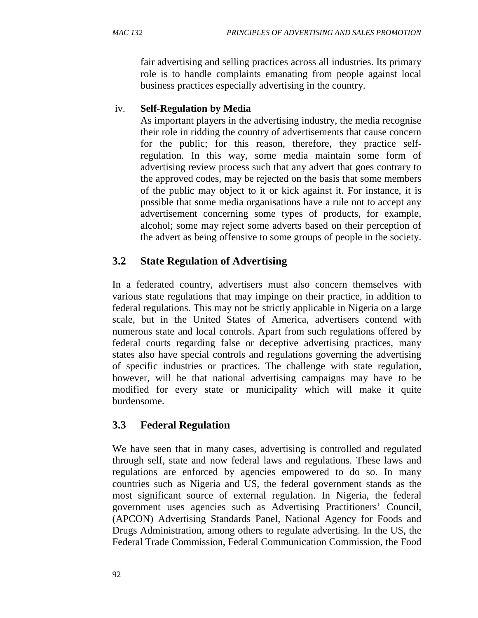fair advertising and selling practices across all industries. Its primary role is to handle complaints emanating from people against local business practices especially advertising in the country.

### iv. **Self-Regulation by Media**

As important players in the advertising industry, the media recognise their role in ridding the country of advertisements that cause concern for the public; for this reason, therefore, they practice selfregulation. In this way, some media maintain some form of advertising review process such that any advert that goes contrary to the approved codes, may be rejected on the basis that some members of the public may object to it or kick against it. For instance, it is possible that some media organisations have a rule not to accept any advertisement concerning some types of products, for example, alcohol; some may reject some adverts based on their perception of the advert as being offensive to some groups of people in the society.

# **3.2 State Regulation of Advertising**

In a federated country, advertisers must also concern themselves with various state regulations that may impinge on their practice, in addition to federal regulations. This may not be strictly applicable in Nigeria on a large scale, but in the United States of America, advertisers contend with numerous state and local controls. Apart from such regulations offered by federal courts regarding false or deceptive advertising practices, many states also have special controls and regulations governing the advertising of specific industries or practices. The challenge with state regulation, however, will be that national advertising campaigns may have to be modified for every state or municipality which will make it quite burdensome.

# **3.3 Federal Regulation**

We have seen that in many cases, advertising is controlled and regulated through self, state and now federal laws and regulations. These laws and regulations are enforced by agencies empowered to do so. In many countries such as Nigeria and US, the federal government stands as the most significant source of external regulation. In Nigeria, the federal government uses agencies such as Advertising Practitioners' Council, (APCON) Advertising Standards Panel, National Agency for Foods and Drugs Administration, among others to regulate advertising. In the US, the Federal Trade Commission, Federal Communication Commission, the Food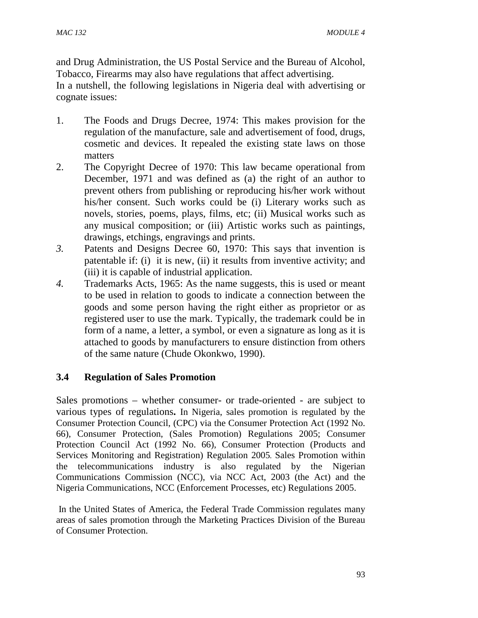and Drug Administration, the US Postal Service and the Bureau of Alcohol, Tobacco, Firearms may also have regulations that affect advertising.

In a nutshell, the following legislations in Nigeria deal with advertising or cognate issues:

- 1. The Foods and Drugs Decree, 1974: This makes provision for the regulation of the manufacture, sale and advertisement of food, drugs, cosmetic and devices. It repealed the existing state laws on those matters
- 2. The Copyright Decree of 1970: This law became operational from December, 1971 and was defined as (a) the right of an author to prevent others from publishing or reproducing his/her work without his/her consent. Such works could be (i) Literary works such as novels, stories, poems, plays, films, etc; (ii) Musical works such as any musical composition; or (iii) Artistic works such as paintings, drawings, etchings, engravings and prints.
- *3.* Patents and Designs Decree 60, 1970: This says that invention is patentable if: (i) it is new, (ii) it results from inventive activity; and (iii) it is capable of industrial application.
- *4.* Trademarks Acts, 1965: As the name suggests, this is used or meant to be used in relation to goods to indicate a connection between the goods and some person having the right either as proprietor or as registered user to use the mark. Typically, the trademark could be in form of a name, a letter, a symbol, or even a signature as long as it is attached to goods by manufacturers to ensure distinction from others of the same nature (Chude Okonkwo, 1990).

### **3.4 Regulation of Sales Promotion**

Sales promotions – whether consumer- or trade-oriented - are subject to various types of regulations**.** In Nigeria, sales promotion is regulated by the Consumer Protection Council, (CPC) via the Consumer Protection Act (1992 No. 66), Consumer Protection, (Sales Promotion) Regulations 2005; Consumer Protection Council Act (1992 No. 66), Consumer Protection (Products and Services Monitoring and Registration) Regulation 2005*.* Sales Promotion within the telecommunications industry is also regulated by the Nigerian Communications Commission (NCC), via NCC Act, 2003 (the Act) and the Nigeria Communications, NCC (Enforcement Processes, etc) Regulations 2005.

 In the United States of America, the Federal Trade Commission regulates many areas of sales promotion through the Marketing Practices Division of the Bureau of Consumer Protection.